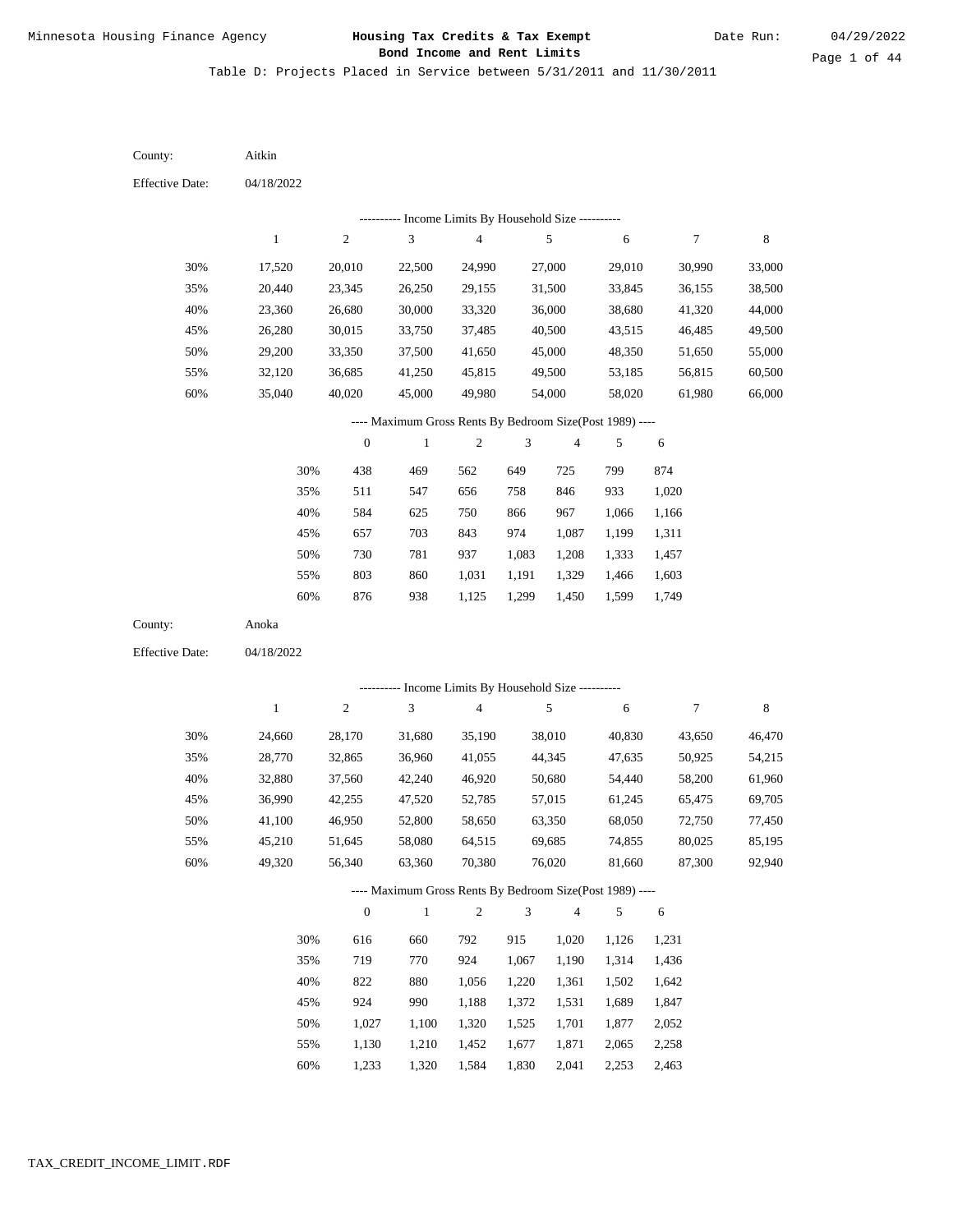Table D: Projects Placed in Service between 5/31/2011 and 11/30/2011

04/18/2022 04/18/2022 Aitkin Anoka 30% 35% 40% 45% 50% 55% 60% 30% 35% 40% 45% 50% 55% 60% 17,520 20,440 23,360 26,280 29,200 32,120 35,040 24,660 28,770 32,880 36,990 41,100 45,210 49,320 20,010 23,345 26,680 30,015 33,350 36,685 40,020 28,170 32,865 37,560 42,255 46,950 51,645 56,340 22,500 26,250 30,000 33,750 37,500 41,250 45,000 31,680 36,960 42,240 47,520 52,800 58,080 63,360 24,990 29,155 33,320 37,485 41,650 45,815 49,980 35,190 41,055 46,920 52,785 58,650 64,515 70,380 27,000 31,500 36,000 40,500 45,000 49,500 54,000 38,010 44,345 50,680 57,015 63,350 69,685 76,020 29,010 33,845 38,680 43,515 48,350 53,185 58,020 40,830 47,635 54,440 61,245 68,050 74,855 81,660 30,990 36,155 41,320 46,485 51,650 56,815 61,980 43,650 50,925 58,200 65,475 72,750 80,025 87,300 33,000 38,500 44,000 49,500 55,000 60,500 66,000 46,470 54,215 61,960 69,705 77,450 85,195 92,940 438 511 584 657 730 803 876 616 719 822 924 1,027 1,130 1,233 469 547 625 703 781 860 938 660 770 880 990 1,100 1,210 1,320 562 656 750 843 937 1,031 1,125 792 924 1,056 1,188 1,320 1,452 1,584 649 758 866 974 1,083 1,191 1,299 915 1,067 1,220 1,372 1,525 1,677 1,830 725 846 967 1,087 1,208 1,329 1,450 1,020 1,190 1,361 1,531 1,701 1,871 2,041 799 933 1,066 1,199 1,333 1,466 1,599 1,126 1,314 1,502 1,689 1,877 2,065 2,253 874 1,020 1,166 1,311 1,457 1,603 1,749 1,231 1,436 1,642 1,847 2,052 2,258 2,463 County: County: Effective Date: Effective Date: 1 1 2 2 3 3 4 4 5 5 6 6 7 7 8 8 0 0 1 1 2 2 3 3 4 4 5 5 6 6 ---------- Income Limits By Household Size ---------- ---------- Income Limits By Household Size ---------- ---- Maximum Gross Rents By Bedroom Size(Post 1989) ---- ---- Maximum Gross Rents By Bedroom Size(Post 1989) ---- 30% 35% 40% 45% 50% 55% 60% 30% 35% 40% 45% 50% 55% 60%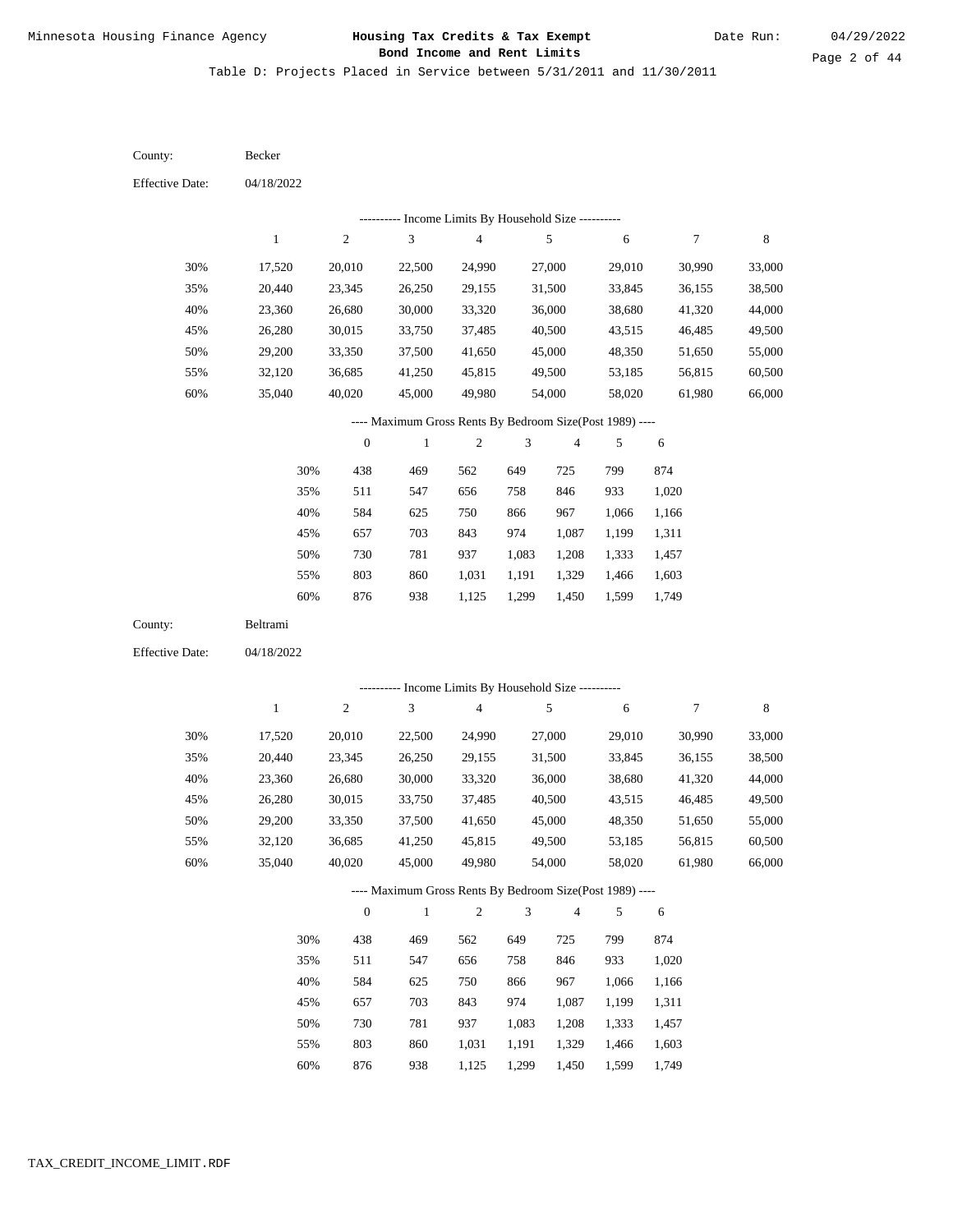Table D: Projects Placed in Service between 5/31/2011 and 11/30/2011

| County:                | Becker           |                  |                                                                          |                                            |                             |                         |                  |                  |                  |
|------------------------|------------------|------------------|--------------------------------------------------------------------------|--------------------------------------------|-----------------------------|-------------------------|------------------|------------------|------------------|
| <b>Effective Date:</b> | 04/18/2022       |                  |                                                                          |                                            |                             |                         |                  |                  |                  |
|                        |                  |                  |                                                                          | Income Limits By Household Size ---------- |                             |                         |                  |                  |                  |
|                        | $\mathbf{1}$     | $\mathfrak{2}$   | 3                                                                        | $\overline{\mathbf{4}}$                    |                             | $\sqrt{5}$              | 6                | $\boldsymbol{7}$ | 8                |
| 30%                    | 17,520           | 20,010           | 22,500                                                                   | 24,990                                     |                             | 27,000                  | 29,010           | 30,990           | 33,000           |
| 35%                    | 20,440           | 23,345           | 26,250                                                                   | 29,155                                     |                             | 31,500                  | 33,845           | 36,155           | 38,500           |
| 40%                    | 23,360           | 26,680           | 30,000                                                                   | 33,320                                     |                             | 36,000                  | 38,680           | 41,320           | 44,000           |
| 45%                    | 26,280           | 30,015           | 33,750                                                                   | 37,485                                     |                             | 40,500                  | 43,515           | 46,485           | 49,500           |
| 50%                    | 29,200           | 33,350           | 37,500                                                                   | 41,650                                     |                             | 45,000                  | 48,350           | 51,650           | 55,000           |
| 55%                    | 32,120           | 36,685           | 41,250                                                                   | 45,815                                     |                             | 49,500                  | 53,185           | 56,815           | 60,500           |
| 60%                    | 35,040           | 40,020           | 45,000                                                                   | 49,980                                     |                             | 54,000                  | 58,020           | 61,980           | 66,000           |
|                        |                  |                  | ---- Maximum Gross Rents By Bedroom Size(Post 1989) ----                 |                                            |                             |                         |                  |                  |                  |
|                        |                  | $\boldsymbol{0}$ | $\mathbf{1}$                                                             | $\mathfrak{2}$                             | 3                           | $\overline{\mathbf{4}}$ | 5                | $\sqrt{6}$       |                  |
|                        | 30%              | 438              | 469                                                                      | 562                                        | 649                         | 725                     | 799              | 874              |                  |
|                        | 35%              | 511              | 547                                                                      | 656                                        | 758                         | 846                     | 933              | 1,020            |                  |
|                        | 40%              | 584              | 625                                                                      | 750                                        | 866                         | 967                     | 1,066            | 1,166            |                  |
|                        | 45%              | 657              | 703                                                                      | 843                                        | 974                         | 1,087                   | 1,199            | 1,311            |                  |
|                        | 50%              | 730              | 781                                                                      | 937                                        | 1,083                       | 1,208                   | 1,333            | 1,457            |                  |
|                        | 55%              | 803              | 860                                                                      | 1,031                                      | 1,191                       | 1,329                   | 1,466            | 1,603            |                  |
|                        | $60\%$           | 876              | 938                                                                      | 1,125                                      | 1,299                       | 1,450                   | 1,599            | 1,749            |                  |
| County:                | Beltrami         |                  |                                                                          |                                            |                             |                         |                  |                  |                  |
| <b>Effective Date:</b> | 04/18/2022       |                  |                                                                          |                                            |                             |                         |                  |                  |                  |
|                        |                  |                  | ---------- Income Limits By Household Size ----------                    |                                            |                             |                         |                  |                  |                  |
|                        | $\mathbf{1}$     | $\boldsymbol{2}$ | 3                                                                        | $\overline{4}$                             |                             | $\sqrt{5}$              | 6                | 7                | 8                |
|                        |                  |                  |                                                                          |                                            |                             |                         |                  |                  |                  |
| 30%<br>35%             | 17,520           | 20,010<br>23,345 | 22,500<br>26,250                                                         | 24,990<br>29,155                           |                             | 27,000<br>31,500        | 29,010<br>33,845 | 30,990<br>36,155 | 33,000<br>38,500 |
| 40%                    | 20,440<br>23,360 | 26,680           | 30,000                                                                   | 33,320                                     |                             | 36,000                  | 38,680           | 41,320           | 44,000           |
| 45%                    | 26,280           | 30,015           | 33,750                                                                   | 37,485                                     |                             | 40,500                  | 43,515           | 46,485           | 49,500           |
| 50%                    | 29,200           | 33,350           | 37,500                                                                   | 41,650                                     |                             | 45,000                  | 48,350           | 51,650           | 55,000           |
| 55%                    | 32,120           | 36,685           | 41,250                                                                   | 45,815                                     |                             | 49,500                  | 53,185           | 56,815           | 60,500           |
| $60\%$                 | 35,040           | 40,020           | 45,000                                                                   | 49,980                                     |                             | 54,000                  | 58,020           | 61,980           | 66,000           |
|                        |                  |                  |                                                                          |                                            |                             |                         |                  |                  |                  |
|                        |                  | $\mathbf{0}$     | ---- Maximum Gross Rents By Bedroom Size(Post 1989) ----<br>$\mathbf{1}$ | $\sqrt{2}$                                 | $\ensuremath{\mathfrak{Z}}$ | 4                       | 5                |                  |                  |
|                        |                  |                  |                                                                          |                                            |                             |                         |                  | $\sqrt{6}$       |                  |
|                        | 30%              | 438              | 469                                                                      | 562                                        | 649                         | 725                     | 799              | 874              |                  |
|                        | 35%              | 511              | 547                                                                      | 656                                        | 758                         | 846                     | 933              | 1,020            |                  |
|                        | 40%              | 584              | 625                                                                      | 750                                        | 866                         | 967                     | 1,066            | 1,166            |                  |
|                        | 45%              | 657              | 703                                                                      | 843                                        | 974                         | 1,087                   | 1,199            | 1,311            |                  |
|                        | 50%              | 730              | 781                                                                      | 937                                        | 1,083                       | 1,208                   | 1,333            | 1,457            |                  |
|                        | 55%              | 803              | 860                                                                      | 1,031                                      | 1,191                       | 1,329                   | 1,466            | 1,603            |                  |

876 938 1,125 1,299 1,450 1,599 1,749 60%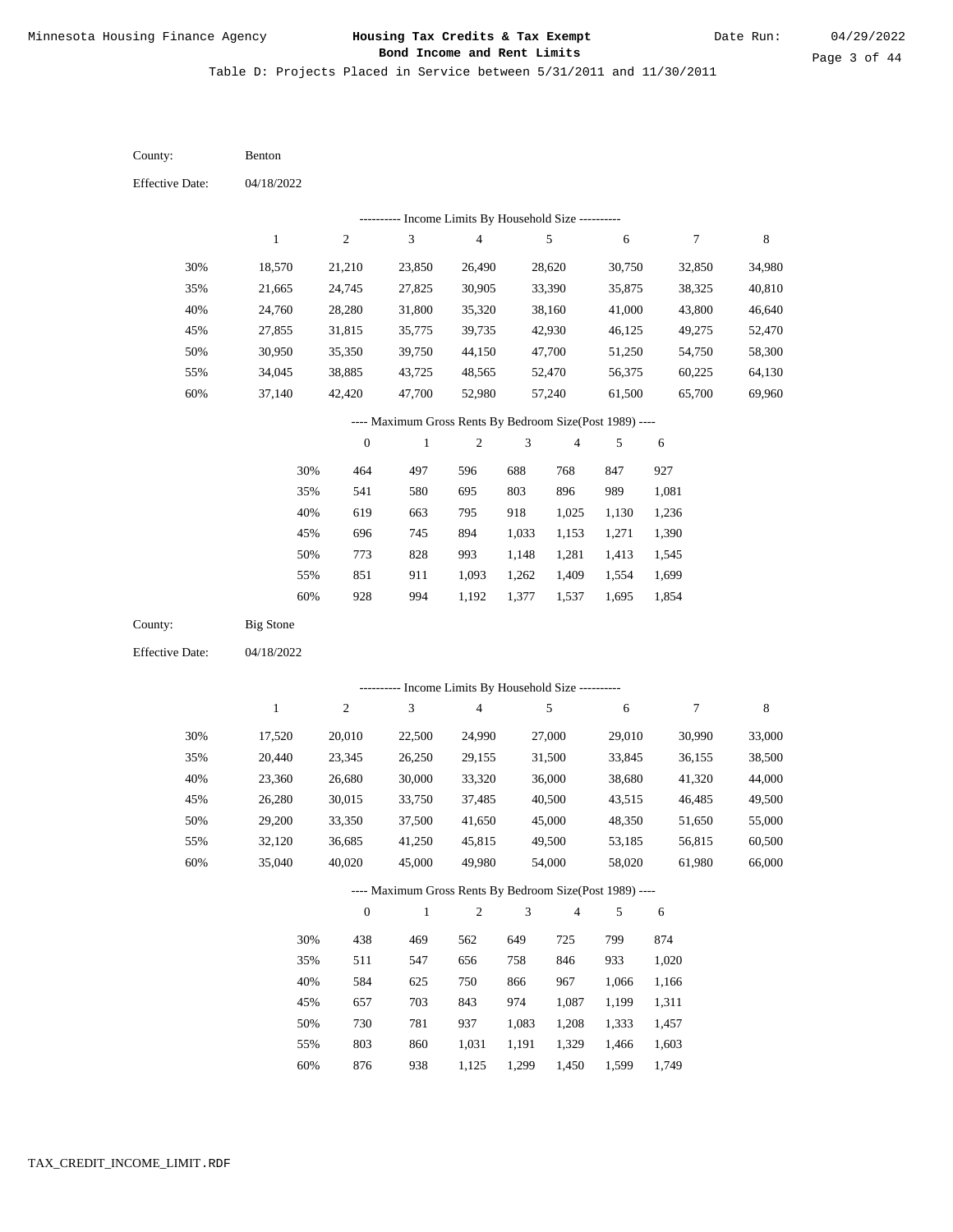County:

Benton

# Minnesota Housing Finance Agency **Housing Tax Credits & Tax Exempt** 04/29/2022  **Bond Income and Rent Limits**

Table D: Projects Placed in Service between 5/31/2011 and 11/30/2011

04/18/2022 04/18/2022 Big Stone 30% 35% 40% 45% 50% 55% 60% 30% 35% 40% 45% 50% 55% 60% 18,570 21,665 24,760 27,855 30,950 34,045 37,140 17,520 20,440 23,360 26,280 29,200 32,120 35,040 21,210 24,745 28,280 31,815 35,350 38,885 42,420 20,010 23,345 26,680 30,015 33,350 36,685 40,020 23,850 27,825 31,800 35,775 39,750 43,725 47,700 22,500 26,250 30,000 33,750 37,500 41,250 45,000 26,490 30,905 35,320 39,735 44,150 48,565 52,980 24,990 29,155 33,320 37,485 41,650 45,815 49,980 28,620 33,390 38,160 42,930 47,700 52,470 57,240 27,000 31,500 36,000 40,500 45,000 49,500 54,000 30,750 35,875 41,000 46,125 51,250 56,375 61,500 29,010 33,845 38,680 43,515 48,350 53,185 58,020 32,850 38,325 43,800 49,275 54,750 60,225 65,700 30,990 36,155 41,320 46,485 51,650 56,815 61,980 34,980 40,810 46,640 52,470 58,300 64,130 69,960 33,000 38,500 44,000 49,500 55,000 60,500 66,000 464 541 619 696 773 851 928 438 511 584 657 730 803 876 497 580 663 745 828 911 994 469 547 625 703 781 860 938 596 695 795 894 993 1,093 1,192 562 656 750 843 937 1,031 1,125 688 803 918 1,033 1,148 1,262 1,377 649 758 866 974 1,083 1,191 1,299 768 896 1,025 1,153 1,281 1,409 1,537 725 846 967 1,087 1,208 1,329 1,450 847 989 1,130 1,271 1,413 1,554 1,695 799 933 1,066 1,199 1,333 1,466 1,599 927 1,081 1,236 1,390 1,545 1,699 1,854 874 1,020 1,166 1,311 1,457 1,603 1,749 County: Effective Date: Effective Date: 1 1 2 2 3 3 4 4 5 5 6 6 7 7 8 8 0 0 1 1 2 2 3 3 4 4 5 5 6 6 ---------- Income Limits By Household Size ---------- ---------- Income Limits By Household Size ---------- ---- Maximum Gross Rents By Bedroom Size(Post 1989) ---- ---- Maximum Gross Rents By Bedroom Size(Post 1989) ---- 30% 35% 40% 45% 50% 55% 60% 30% 35% 40% 45% 50% 55% 60%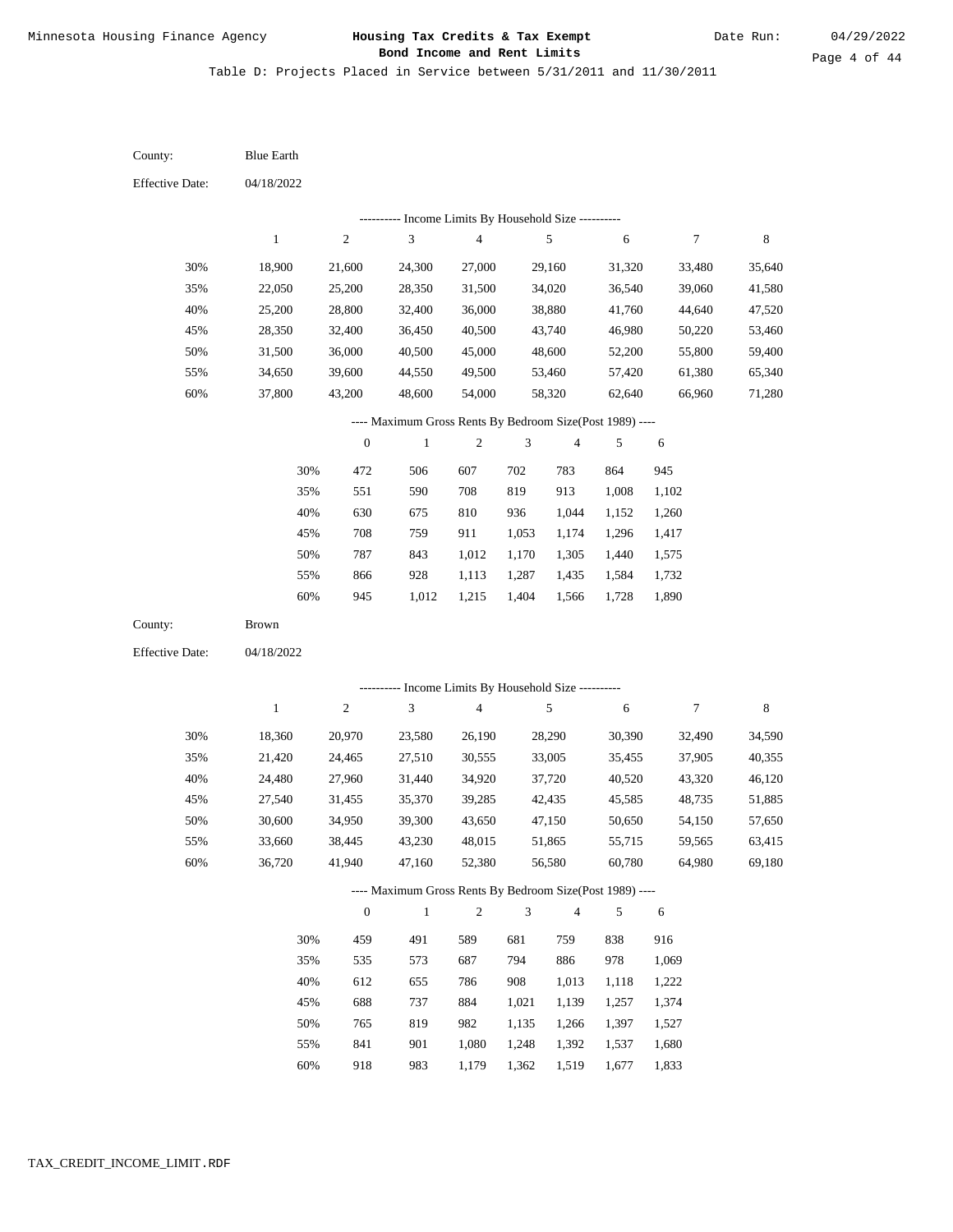Table D: Projects Placed in Service between 5/31/2011 and 11/30/2011

04/18/2022 04/18/2022 Blue Earth Brown 30% 35% 40% 45% 50% 55% 60% 30% 35% 40% 45% 50% 55% 60% 18,900 22,050 25,200 28,350 31,500 34,650 37,800 18,360 21,420 24,480 27,540 30,600 33,660 36,720 21,600 25,200 28,800 32,400 36,000 39,600 43,200 20,970 24,465 27,960 31,455 34,950 38,445 41,940 24,300 28,350 32,400 36,450 40,500 44,550 48,600 23,580 27,510 31,440 35,370 39,300 43,230 47,160 27,000 31,500 36,000 40,500 45,000 49,500 54,000 26,190 30,555 34,920 39,285 43,650 48,015 52,380 29,160 34,020 38,880 43,740 48,600 53,460 58,320 28,290 33,005 37,720 42,435 47,150 51,865 56,580 31,320 36,540 41,760 46,980 52,200 57,420 62,640 30,390 35,455 40,520 45,585 50,650 55,715 60,780 33,480 39,060 44,640 50,220 55,800 61,380 66,960 32,490 37,905 43,320 48,735 54,150 59,565 64,980 35,640 41,580 47,520 53,460 59,400 65,340 71,280 34,590 40,355 46,120 51,885 57,650 63,415 69,180 472 551 630 708 787 866 945 459 535 612 688 765 841 918 506 590 675 759 843 928 1,012 491 573 655 737 819 901 607 708 810 911 1,012 1,113 1,215 589 687 786 884 982 1,080 1,179 702 819 936 1,053 1,170 1,287 1,404 681 794 908 1,021 1,135 1,248 783 913 1,044 1,174 1,305 1,435 1,566 759 886 1,013 1,139 1,266 1,392 864 1,008 1,152 1,296 1,440 1,584 1,728 838 978 1,118 1,257 1,397 1,537 945 1,102 1,260 1,417 1,575 1,732 1,890 916 1,069 1,222 1,374 1,527 1,680 1,833 County: County: Effective Date: Effective Date: 1 1 2 2 3 3 4 4 5 5 6 6 7 7 8 8 0 0 1 1 2 2 3 3 4 4 5 5 6 6 ---------- Income Limits By Household Size ---------- ---------- Income Limits By Household Size ---------- ---- Maximum Gross Rents By Bedroom Size(Post 1989) ---- ---- Maximum Gross Rents By Bedroom Size(Post 1989) ---- 30% 35% 40% 45% 50% 55% 60% 30% 35% 40% 45% 50% 55% 60%

983

1,362

1,519

1,677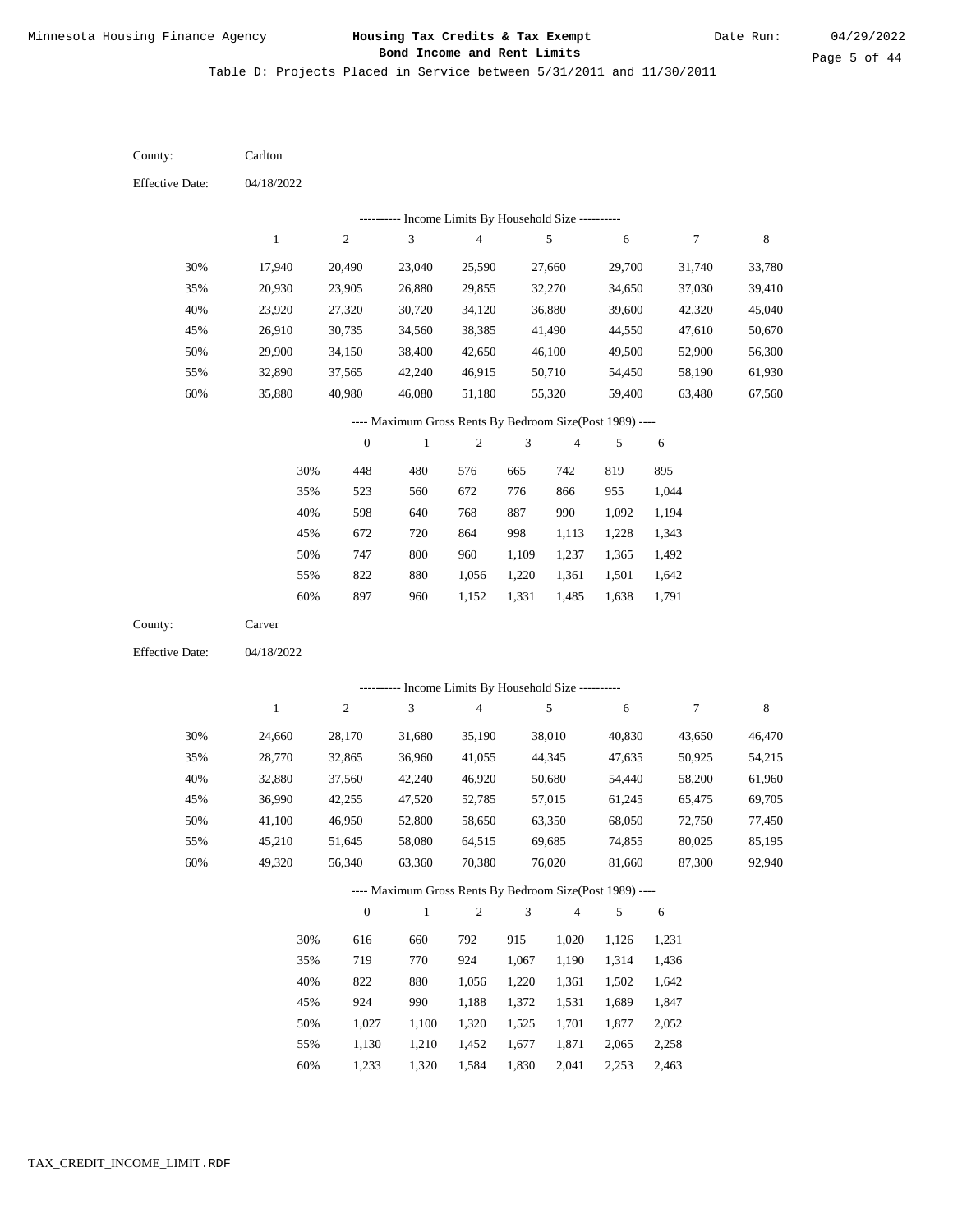Table D: Projects Placed in Service between 5/31/2011 and 11/30/2011

04/18/2022 04/18/2022 Carlton Carver 30% 35% 40% 45% 50% 55% 60% 30% 35% 40% 45% 50% 55% 60% 17,940 20,930 23,920 26,910 29,900 32,890 35,880 24,660 28,770 32,880 36,990 41,100 45,210 49,320 20,490 23,905 27,320 30,735 34,150 37,565 40,980 28,170 32,865 37,560 42,255 46,950 51,645 56,340 23,040 26,880 30,720 34,560 38,400 42,240 46,080 31,680 36,960 42,240 47,520 52,800 58,080 63,360 25,590 29,855 34,120 38,385 42,650 46,915 51,180 35,190 41,055 46,920 52,785 58,650 64,515 70,380 27,660 32,270 36,880 41,490 46,100 50,710 55,320 38,010 44,345 50,680 57,015 63,350 69,685 76,020 29,700 34,650 39,600 44,550 49,500 54,450 59,400 40,830 47,635 54,440 61,245 68,050 74,855 81,660 31,740 37,030 42,320 47,610 52,900 58,190 63,480 43,650 50,925 58,200 65,475 72,750 80,025 87,300 33,780 39,410 45,040 50,670 56,300 61,930 67,560 46,470 54,215 61,960 69,705 77,450 85,195 92,940 448 523 598 672 747 822 897 616 719 822 924 1,027 1,130 1,233 480 560 640 720 800 880 960 660 770 880 990 1,100 1,210 1,320 576 672 768 864 960 1,056 1,152 792 924 1,056 1,188 1,320 1,452 1,584 665 776 887 998 1,109 1,220 1,331 915 1,067 1,220 1,372 1,525 1,677 742 866 990 1,113 1,237 1,361 1,485 1,020 1,190 1,361 1,531 1,701 1,871 2,041 819 955 1,092 1,228 1,365 1,501 1,638 1,126 1,314 1,502 1,689 1,877 2,065 2,253 895 1,044 1,194 1,343 1,492 1,642 1,791 1,231 1,436 1,642 1,847 2,052 2,258 County: County: Effective Date: Effective Date: 1 1 2 2 3 3 4 4 5 5 6 6 7 7 8 8 0 0 1 1 2 2 3 3 4 4 5 5 6 6 ---------- Income Limits By Household Size ---------- ---------- Income Limits By Household Size ---------- ---- Maximum Gross Rents By Bedroom Size(Post 1989) ---- ---- Maximum Gross Rents By Bedroom Size(Post 1989) ---- 30% 35% 40% 45% 50% 55% 60% 30% 35% 40% 45% 50% 55%

1,830

2,463

60%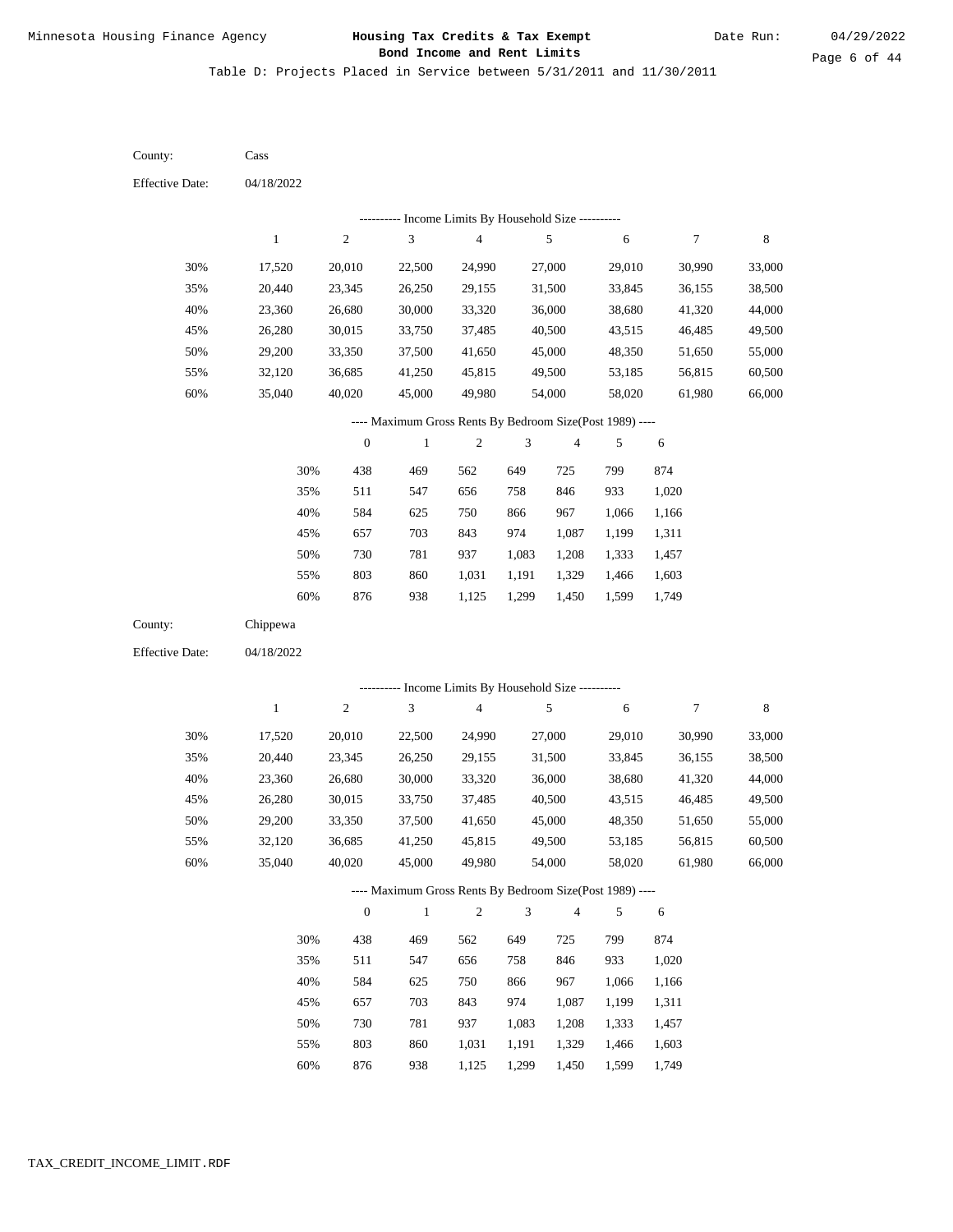Table D: Projects Placed in Service between 5/31/2011 and 11/30/2011

| County:                | Cass         |                  |                                                          |                         |                |                         |            |                  |             |
|------------------------|--------------|------------------|----------------------------------------------------------|-------------------------|----------------|-------------------------|------------|------------------|-------------|
| <b>Effective Date:</b> | 04/18/2022   |                  |                                                          |                         |                |                         |            |                  |             |
|                        |              |                  | --------- Income Limits By Household Size ----------     |                         |                |                         |            |                  |             |
|                        | $\mathbf{1}$ | $\overline{c}$   | 3                                                        | $\overline{\mathbf{4}}$ |                | $\sqrt{5}$              | $\sqrt{6}$ | $\boldsymbol{7}$ | 8           |
| 30%                    | 17,520       | 20,010           | 22,500                                                   | 24,990                  |                | 27,000                  | 29,010     | 30,990           | 33,000      |
| 35%                    | 20,440       | 23,345           | 26,250                                                   | 29,155                  |                | 31,500                  | 33,845     | 36,155           | 38,500      |
| 40%                    | 23,360       | 26,680           | 30,000                                                   | 33,320                  |                | 36,000                  | 38,680     | 41,320           | 44,000      |
| 45%                    | 26,280       | 30,015           | 33,750                                                   | 37,485                  |                | 40,500                  | 43,515     | 46,485           | 49,500      |
| 50%                    | 29,200       | 33,350           | 37,500                                                   | 41,650                  |                | 45,000                  | 48,350     | 51,650           | 55,000      |
| 55%                    | 32,120       | 36,685           | 41,250                                                   | 45,815                  |                | 49,500                  | 53,185     | 56,815           | 60,500      |
| 60%                    | 35,040       | 40,020           | 45,000                                                   | 49,980                  |                | 54,000                  | 58,020     | 61,980           | 66,000      |
|                        |              |                  | ---- Maximum Gross Rents By Bedroom Size(Post 1989) ---- |                         |                |                         |            |                  |             |
|                        |              | $\boldsymbol{0}$ | $\mathbf{1}$                                             | $\sqrt{2}$              | 3              | $\overline{\mathbf{4}}$ | 5          | 6                |             |
|                        | 30%          | 438              | 469                                                      | 562                     | 649            | 725                     | 799        | 874              |             |
|                        | 35%          | 511              | 547                                                      | 656                     | 758            | 846                     | 933        | 1,020            |             |
|                        | 40%          | 584              | 625                                                      | 750                     | 866            | 967                     | 1,066      | 1,166            |             |
|                        | 45%          | 657              | 703                                                      | 843                     | 974            | 1,087                   | 1,199      | 1,311            |             |
|                        | 50%          | 730              | 781                                                      | 937                     | 1,083          | 1,208                   | 1,333      | 1,457            |             |
|                        | 55%          | 803              | 860                                                      | 1,031                   | 1,191          | 1,329                   | 1,466      | 1,603            |             |
|                        | 60%          | 876              | 938                                                      | 1,125                   | 1,299          | 1,450                   | 1,599      | 1,749            |             |
| County:                | Chippewa     |                  |                                                          |                         |                |                         |            |                  |             |
| <b>Effective Date:</b> | 04/18/2022   |                  |                                                          |                         |                |                         |            |                  |             |
|                        |              |                  | --------- Income Limits By Household Size ----------     |                         |                |                         |            |                  |             |
|                        | $\mathbf{1}$ | $\sqrt{2}$       | 3                                                        | $\overline{4}$          |                | $\sqrt{5}$              | 6          | 7                | $\,$ 8 $\,$ |
| 30%                    | 17,520       | 20,010           | 22,500                                                   | 24,990                  |                | 27,000                  | 29,010     | 30,990           | 33,000      |
| 35%                    | 20,440       | 23,345           | 26,250                                                   | 29,155                  |                | 31,500                  | 33,845     | 36,155           | 38,500      |
| 40%                    | 23,360       | 26,680           | 30,000                                                   | 33,320                  |                | 36,000                  | 38,680     | 41,320           | 44,000      |
| 45%                    | 26,280       | 30,015           | 33,750                                                   | 37,485                  |                | 40,500                  | 43,515     | 46,485           | 49,500      |
| 50%                    | 29,200       | 33,350           | 37,500                                                   | 41,650                  |                | 45,000                  | 48,350     | 51,650           | 55,000      |
| 55%                    | 32,120       | 36,685           | 41,250                                                   | 45,815                  |                | 49,500                  | 53,185     | 56,815           | 60,500      |
| 60%                    | 35,040       | 40,020           | 45,000                                                   | 49,980                  |                | 54,000                  | 58,020     | 61,980           | 66,000      |
|                        |              |                  | ---- Maximum Gross Rents By Bedroom Size(Post 1989) ---- |                         |                |                         |            |                  |             |
|                        |              | $\boldsymbol{0}$ | $\mathbf{1}$                                             | $\sqrt{2}$              | $\mathfrak{Z}$ | 4                       | 5          | 6                |             |
|                        | 30%          | 438              | 469                                                      | 562                     | 649            | 725                     | 799        | 874              |             |
|                        | 35%          | 511              | 547                                                      | 656                     | 758            | 846                     | 933        | 1,020            |             |
|                        | 40%          | 584              | 625                                                      | 750                     | 866            | 967                     | 1,066      | 1,166            |             |
|                        | 45%          | 657              | 703                                                      | 843                     | 974            | 1,087                   | 1,199      | 1,311            |             |
|                        | 50%          | 730              | 781                                                      | 937                     | 1,083          | 1,208                   | 1,333      | 1,457            |             |
|                        | 55%          | 803              | 860                                                      | 1,031                   | 1,191          | 1,329                   | 1,466      | 1,603            |             |

876 938 1,125 1,299 1,450 1,599 1,749 60%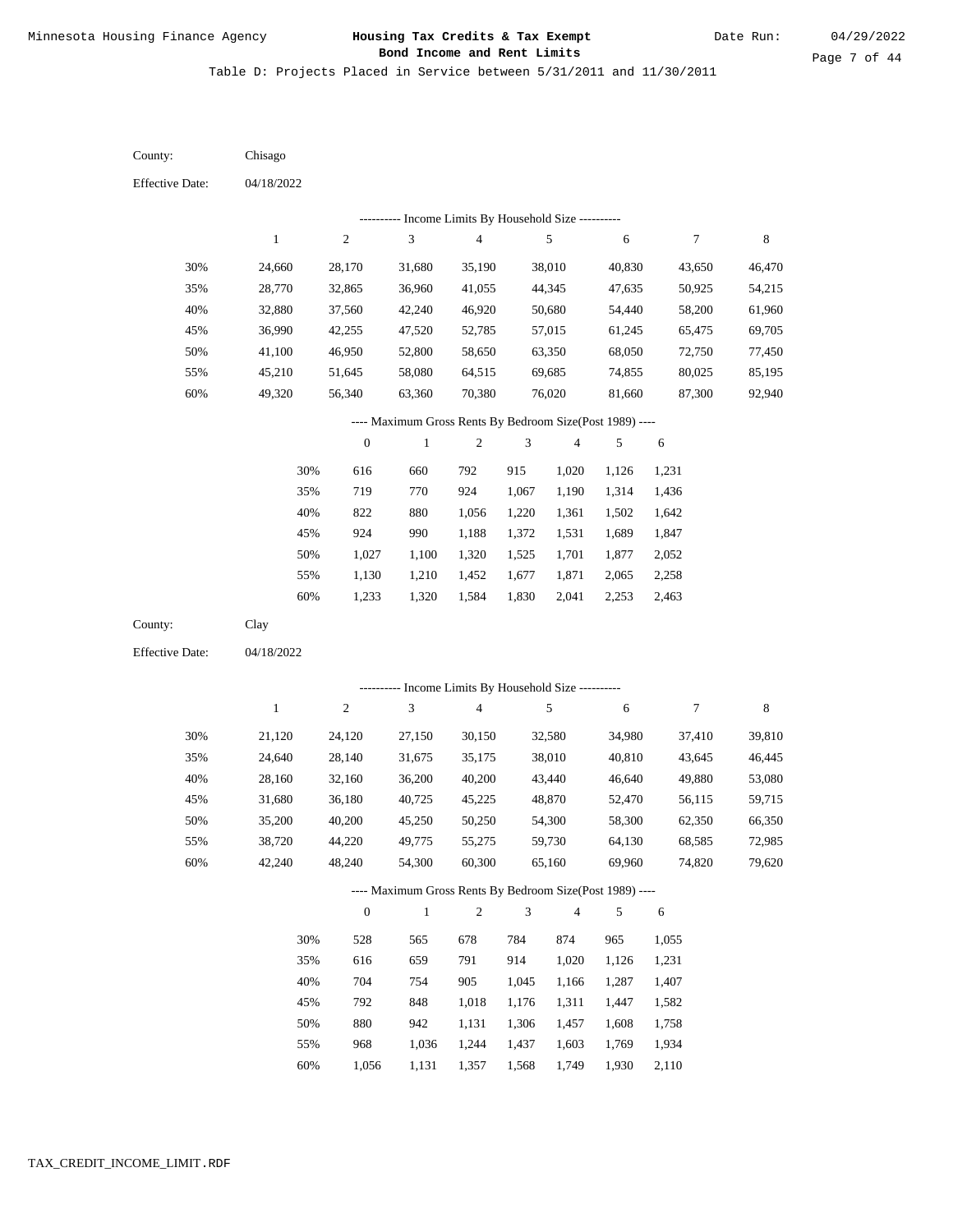Table D: Projects Placed in Service between 5/31/2011 and 11/30/2011

04/18/2022 04/18/2022 Chisago Clay 30% 35% 40% 45% 50% 55% 60% 30% 35% 40% 45% 50% 55% 60% 24,660 28,770 32,880 36,990 41,100 45,210 49,320 21,120 24,640 28,160 31,680 35,200 38,720 42,240 28,170 32,865 37,560 42,255 46,950 51,645 56,340 24,120 28,140 32,160 36,180 40,200 44,220 48,240 31,680 36,960 42,240 47,520 52,800 58,080 63,360 27,150 31,675 36,200 40,725 45,250 49,775 54,300 35,190 41,055 46,920 52,785 58,650 64,515 70,380 30,150 35,175 40,200 45,225 50,250 55,275 60,300 38,010 44,345 50,680 57,015 63,350 69,685 76,020 32,580 38,010 43,440 48,870 54,300 59,730 65,160 40,830 47,635 54,440 61,245 68,050 74,855 81,660 34,980 40,810 46,640 52,470 58,300 64,130 69,960 43,650 50,925 58,200 65,475 72,750 80,025 87,300 37,410 43,645 49,880 56,115 62,350 68,585 74,820 46,470 54,215 61,960 69,705 77,450 85,195 92,940 39,810 46,445 53,080 59,715 66,350 72,985 79,620 616 719 822 924 1,027 1,130 1,233 528 616 704 792 880 968 660 770 880 990 1,100 1,210 1,320 565 659 754 848 942 1,036 792 924 1,056 1,188 1,320 1,452 1,584 678 791 905 1,018 1,131 1,244 915 1,067 1,220 1,372 1,525 1,677 1,830 784 914 1,045 1,176 1,306 1,437 1,020 1,190 1,361 1,531 1,701 1,871 2,041 874 1,020 1,166 1,311 1,457 1,603 1,126 1,314 1,502 1,689 1,877 2,065 2,253 965 1,126 1,287 1,447 1,608 1,769 1,231 1,436 1,642 1,847 2,052 2,258 2,463 1,055 1,231 1,407 1,582 1,758 1,934 County: County: Effective Date: Effective Date: 1 1 2 2 3 3 4 4 5 5 6 6 7 7 8 8 0 0 1 1 2 2 3 3 4 4 5 5 6 6 ---------- Income Limits By Household Size ---------- ---------- Income Limits By Household Size ---------- ---- Maximum Gross Rents By Bedroom Size(Post 1989) ---- ---- Maximum Gross Rents By Bedroom Size(Post 1989) ---- 30% 35% 40% 45% 50% 55% 60% 30% 35% 40% 45% 50% 55%

1,056

60%

1,131

1,357

1,568

1,749

1,930

2,110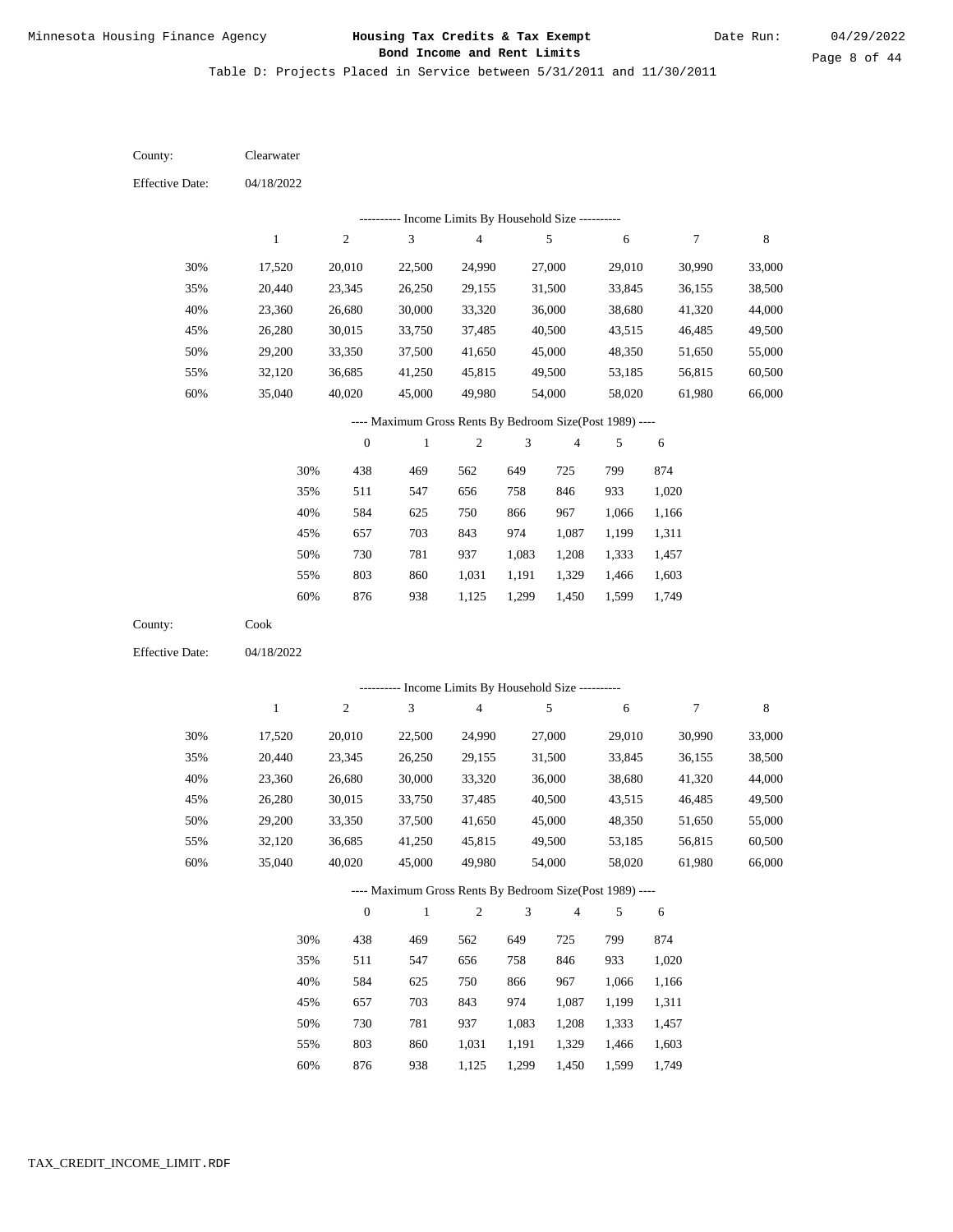Table D: Projects Placed in Service between 5/31/2011 and 11/30/2011

04/18/2022 04/18/2022 Clearwater Cook 30% 35% 40% 45% 50% 55% 60% 30% 35% 40% 45% 50% 55% 60% 17,520 20,440 23,360 26,280 29,200 32,120 35,040 17,520 20,440 23,360 26,280 29,200 32,120 35,040 20,010 23,345 26,680 30,015 33,350 36,685 40,020 20,010 23,345 26,680 30,015 33,350 36,685 40,020 22,500 26,250 30,000 33,750 37,500 41,250 45,000 22,500 26,250 30,000 33,750 37,500 41,250 45,000 24,990 29,155 33,320 37,485 41,650 45,815 49,980 24,990 29,155 33,320 37,485 41,650 45,815 49,980 27,000 31,500 36,000 40,500 45,000 49,500 54,000 27,000 31,500 36,000 40,500 45,000 49,500 54,000 29,010 33,845 38,680 43,515 48,350 53,185 58,020 29,010 33,845 38,680 43,515 48,350 53,185 58,020 30,990 36,155 41,320 46,485 51,650 56,815 61,980 30,990 36,155 41,320 46,485 51,650 56,815 61,980 33,000 38,500 44,000 49,500 55,000 60,500 66,000 33,000 38,500 44,000 49,500 55,000 60,500 66,000 438 511 584 657 730 803 876 438 511 584 657 730 803 469 547 625 703 781 860 938 469 547 625 703 781 860 562 656 750 843 937 1,031 1,125 562 656 750 843 937 1,031 649 758 866 974 1,083 1,191 1,299 649 758 866 974 1,083 1,191 725 846 967 1,087 1,208 1,329 1,450 725 846 967 1,087 1,208 1,329 799 933 1,066 1,199 1,333 1,466 1,599 799 933 1,066 1,199 1,333 1,466 874 1,020 1,166 1,311 1,457 1,603 1,749 874 1,020 1,166 1,311 1,457 1,603 County: County: Effective Date: Effective Date: 1 1 2 2 3 3 4 4 5 5 6 6 7 7 8 8 0 0 1 1 2 2 3 3 4 4 5 5 6 6 ---------- Income Limits By Household Size ---------- ---------- Income Limits By Household Size ---------- ---- Maximum Gross Rents By Bedroom Size(Post 1989) ---- ---- Maximum Gross Rents By Bedroom Size(Post 1989) ---- 30% 35% 40% 45% 50% 55% 60% 30% 35% 40% 45% 50% 55%

876

60%

938

1,125

1,299

1,450

1,599

1,749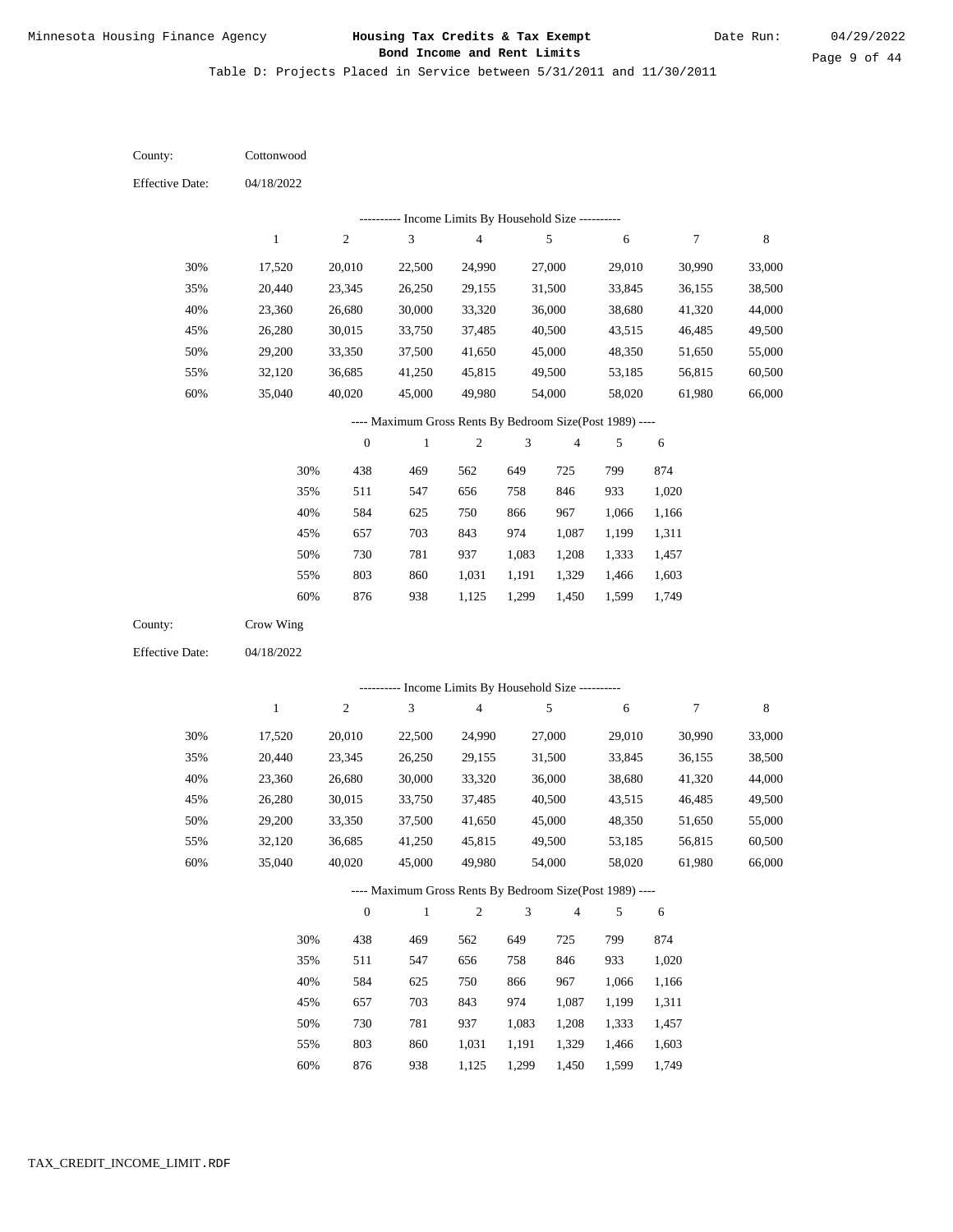Table D: Projects Placed in Service between 5/31/2011 and 11/30/2011

04/18/2022 04/18/2022 **Cottonwood** Crow Wing 30% 35% 40% 45% 50% 55% 60% 30% 35% 40% 45% 50% 55% 60% 17,520 20,440 23,360 26,280 29,200 32,120 35,040 17,520 20,440 23,360 26,280 29,200 32,120 35,040 20,010 23,345 26,680 30,015 33,350 36,685 40,020 20,010 23,345 26,680 30,015 33,350 36,685 40,020 22,500 26,250 30,000 33,750 37,500 41,250 45,000 22,500 26,250 30,000 33,750 37,500 41,250 45,000 24,990 29,155 33,320 37,485 41,650 45,815 49,980 24,990 29,155 33,320 37,485 41,650 45,815 49,980 27,000 31,500 36,000 40,500 45,000 49,500 54,000 27,000 31,500 36,000 40,500 45,000 49,500 54,000 29,010 33,845 38,680 43,515 48,350 53,185 58,020 29,010 33,845 38,680 43,515 48,350 53,185 58,020 30,990 36,155 41,320 46,485 51,650 56,815 61,980 30,990 36,155 41,320 46,485 51,650 56,815 61,980 33,000 38,500 44,000 49,500 55,000 60,500 66,000 33,000 38,500 44,000 49,500 55,000 60,500 66,000 438 511 584 657 730 803 876 438 511 584 657 730 803 876 469 547 625 703 781 860 938 469 547 625 703 781 860 938 562 656 750 843 937 1,031 1,125 562 656 750 843 937 1,031 1,125 649 758 866 974 1,083 1,191 1,299 649 758 866 974 1,083 1,191 1,299 725 846 967 1,087 1,208 1,329 1,450 725 846 967 1,087 1,208 1,329 1,450 799 933 1,066 1,199 1,333 1,466 1,599 799 933 1,066 1,199 1,333 1,466 1,599 874 1,020 1,166 1,311 1,457 1,603 1,749 874 1,020 1,166 1,311 1,457 1,603 1,749 County: County: Effective Date: Effective Date: 1 1 2 2 3 3 4 4 5 5 6 6 7 7 8 8 0 0 1 1 2 2 3 3 4 4 5 5 6 6 ---------- Income Limits By Household Size ---------- ---------- Income Limits By Household Size ---------- ---- Maximum Gross Rents By Bedroom Size(Post 1989) ---- ---- Maximum Gross Rents By Bedroom Size(Post 1989) ---- 30% 35% 40% 45% 50% 55% 60% 30% 35% 40% 45% 50% 55% 60%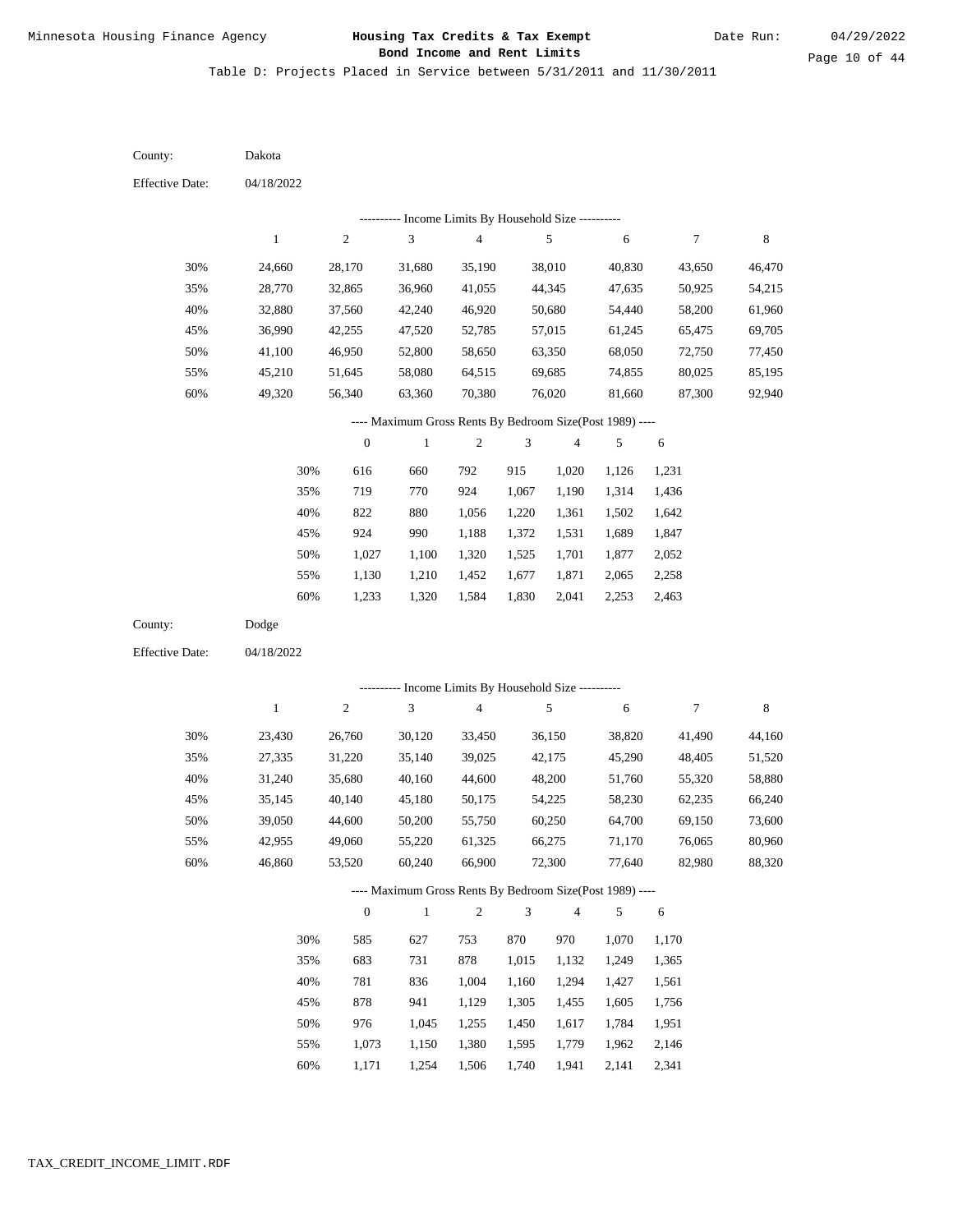Table D: Projects Placed in Service between 5/31/2011 and 11/30/2011

| County:                | Dakota       |                  |                                                          |                                            |                |                |            |                  |             |
|------------------------|--------------|------------------|----------------------------------------------------------|--------------------------------------------|----------------|----------------|------------|------------------|-------------|
| <b>Effective Date:</b> | 04/18/2022   |                  |                                                          |                                            |                |                |            |                  |             |
|                        |              |                  |                                                          | Income Limits By Household Size ---------- |                |                |            |                  |             |
|                        | $\,1$        | $\sqrt{2}$       | $\mathfrak 3$                                            | $\overline{\mathbf{4}}$                    |                | $\sqrt{5}$     | 6          | $\boldsymbol{7}$ | $\,$ 8 $\,$ |
| 30%                    | 24,660       | 28,170           | 31,680                                                   | 35,190                                     |                | 38,010         | 40,830     | 43,650           | 46,470      |
| 35%                    | 28,770       | 32,865           | 36,960                                                   | 41,055                                     |                | 44,345         | 47,635     | 50,925           | 54,215      |
| 40%                    | 32,880       | 37,560           | 42,240                                                   | 46,920                                     |                | 50,680         | 54,440     | 58,200           | 61,960      |
| 45%                    | 36,990       | 42,255           | 47,520                                                   | 52,785                                     |                | 57,015         | 61,245     | 65,475           | 69,705      |
| 50%                    | 41,100       | 46,950           | 52,800                                                   | 58,650                                     |                | 63,350         | 68,050     | 72,750           | 77,450      |
| 55%                    | 45,210       | 51,645           | 58,080                                                   | 64,515                                     |                | 69,685         | 74,855     | 80,025           | 85,195      |
| 60%                    | 49,320       | 56,340           | 63,360                                                   | 70,380                                     |                | 76,020         | 81,660     | 87,300           | 92,940      |
|                        |              |                  | ---- Maximum Gross Rents By Bedroom Size(Post 1989) ---- |                                            |                |                |            |                  |             |
|                        |              | $\boldsymbol{0}$ | $\mathbf{1}$                                             | $\boldsymbol{2}$                           | 3              | $\overline{4}$ | 5          | 6                |             |
|                        | 30%          | 616              | 660                                                      | 792                                        | 915            | 1,020          | 1,126      | 1,231            |             |
|                        | 35%          | 719              | 770                                                      | 924                                        | 1,067          | 1,190          | 1,314      | 1,436            |             |
|                        | 40%          | 822              | 880                                                      | 1,056                                      | 1,220          | 1,361          | 1,502      | 1,642            |             |
|                        | 45%          | 924              | 990                                                      | 1,188                                      | 1,372          | 1,531          | 1,689      | 1,847            |             |
|                        | 50%          | 1,027            | 1,100                                                    | 1,320                                      | 1,525          | 1,701          | 1,877      | 2,052            |             |
|                        | 55%          | 1,130            | 1,210                                                    | 1,452                                      | 1,677          | 1,871          | 2,065      | 2,258            |             |
|                        | $60\%$       | 1,233            | 1,320                                                    | 1,584                                      | 1,830          | 2,041          | 2,253      | 2,463            |             |
| County:                | Dodge        |                  |                                                          |                                            |                |                |            |                  |             |
| <b>Effective Date:</b> | 04/18/2022   |                  |                                                          |                                            |                |                |            |                  |             |
|                        |              |                  | ---------- Income Limits By Household Size ----------    |                                            |                |                |            |                  |             |
|                        | $\mathbf{1}$ | $\sqrt{2}$       | 3                                                        | $\overline{\mathbf{4}}$                    |                | 5              | 6          | $\tau$           | $\,$ 8 $\,$ |
|                        |              |                  |                                                          |                                            |                |                |            |                  |             |
| 30%                    | 23,430       | 26,760           | 30,120                                                   | 33,450                                     |                | 36,150         | 38,820     | 41,490           | 44,160      |
| 35%                    | 27,335       | 31,220           | 35,140                                                   | 39,025                                     |                | 42,175         | 45,290     | 48,405           | 51,520      |
| 40%                    | 31,240       | 35,680           | 40,160                                                   | 44,600                                     |                | 48,200         | 51,760     | 55,320           | 58,880      |
| 45%                    | 35,145       | 40,140           | 45,180                                                   | 50,175                                     |                | 54,225         | 58,230     | 62,235           | 66,240      |
| 50%                    | 39,050       | 44,600           | 50,200                                                   | 55,750                                     |                | 60,250         | 64,700     | 69,150           | 73,600      |
| 55%                    | 42,955       | 49,060           | 55,220                                                   | 61,325                                     |                | 66,275         | 71,170     | 76,065           | 80,960      |
| 60%                    | 46,860       | 53,520           | 60,240                                                   | 66,900                                     |                | 72,300         | 77,640     | 82,980           | 88,320      |
|                        |              |                  | ---- Maximum Gross Rents By Bedroom Size(Post 1989) ---- |                                            |                |                |            |                  |             |
|                        |              | $\boldsymbol{0}$ | $\,1\,$                                                  | $\overline{c}$                             | $\mathfrak{Z}$ | $\overline{4}$ | $\sqrt{5}$ | 6                |             |
|                        | 30%          | 585              | 627                                                      | 753                                        | 870            | 970            | 1,070      | 1,170            |             |
|                        | 35%          | 683              | 731                                                      | 878                                        | 1,015          | 1,132          | 1,249      | 1,365            |             |
|                        | 40%          | 781              | 836                                                      | 1,004                                      | 1,160          | 1,294          | 1,427      | 1,561            |             |
|                        | 45%          | 878              | 941                                                      | 1,129                                      | 1,305          | 1,455          | 1,605      | 1,756            |             |
|                        | 50%          | 976              | 1,045                                                    | 1,255                                      | 1,450          | 1,617          | 1,784      | 1,951            |             |
|                        | 55%          | 1,073            | 1,150                                                    | 1,380                                      | 1,595          | 1,779          | 1,962      | 2,146            |             |
|                        | 60%          | 1,171            | 1,254                                                    | 1,506                                      | 1,740          | 1,941          | 2,141      | 2,341            |             |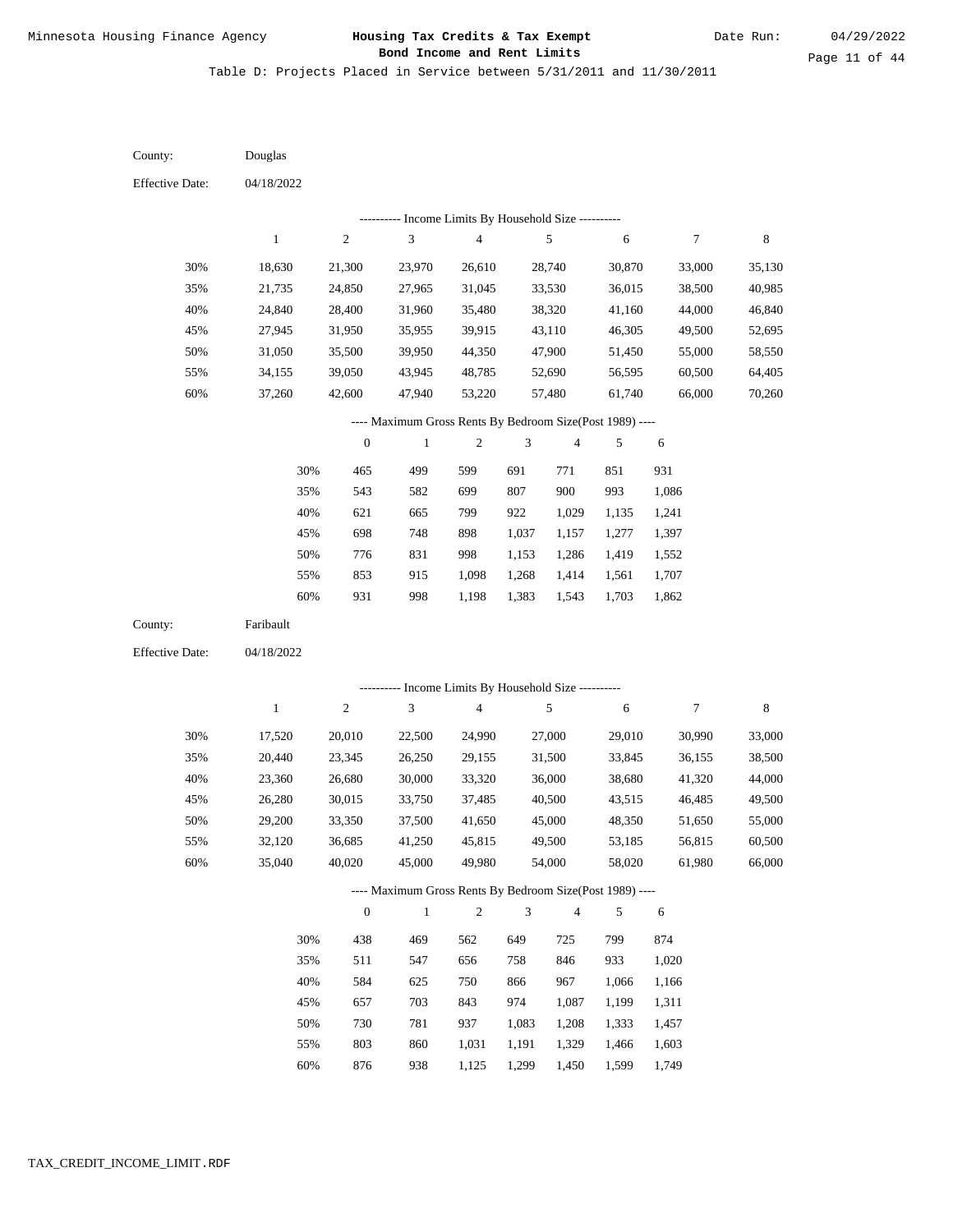Table D: Projects Placed in Service between 5/31/2011 and 11/30/2011

| County:                | Douglas      |                  |                                                          |                         |                |                |            |                  |             |
|------------------------|--------------|------------------|----------------------------------------------------------|-------------------------|----------------|----------------|------------|------------------|-------------|
| <b>Effective Date:</b> | 04/18/2022   |                  |                                                          |                         |                |                |            |                  |             |
|                        |              |                  | --------- Income Limits By Household Size ---------      |                         |                |                |            |                  |             |
|                        | $\mathbf{1}$ | $\sqrt{2}$       | 3                                                        | $\overline{\mathbf{4}}$ |                | $\sqrt{5}$     | 6          | $\boldsymbol{7}$ | $\,$ 8 $\,$ |
| 30%                    | 18,630       | 21,300           | 23,970                                                   | 26,610                  |                | 28,740         | 30,870     | 33,000           | 35,130      |
| 35%                    | 21,735       | 24,850           | 27,965                                                   | 31,045                  |                | 33,530         | 36,015     | 38,500           | 40,985      |
| 40%                    | 24,840       | 28,400           | 31,960                                                   | 35,480                  |                | 38,320         | 41,160     | 44,000           | 46,840      |
| 45%                    | 27,945       | 31,950           | 35,955                                                   | 39,915                  |                | 43,110         | 46,305     | 49,500           | 52,695      |
| 50%                    | 31,050       | 35,500           | 39,950                                                   | 44,350                  |                | 47,900         | 51,450     | 55,000           | 58,550      |
| 55%                    | 34,155       | 39,050           | 43,945                                                   | 48,785                  |                | 52,690         | 56,595     | 60,500           | 64,405      |
| 60%                    | 37,260       | 42,600           | 47,940                                                   | 53,220                  |                | 57,480         | 61,740     | 66,000           | 70,260      |
|                        |              |                  | ---- Maximum Gross Rents By Bedroom Size(Post 1989) ---- |                         |                |                |            |                  |             |
|                        |              | $\boldsymbol{0}$ | $\mathbf{1}$                                             | $\overline{c}$          | 3              | $\overline{4}$ | 5          | 6                |             |
|                        | 30%          | 465              | 499                                                      | 599                     | 691            | 771            | 851        | 931              |             |
|                        | 35%          | 543              | 582                                                      | 699                     | 807            | 900            | 993        | 1,086            |             |
|                        | 40%          | 621              | 665                                                      | 799                     | 922            | 1,029          | 1,135      | 1,241            |             |
|                        | 45%          | 698              | 748                                                      | 898                     | 1,037          | 1,157          | 1,277      | 1,397            |             |
|                        | 50%          | 776              | 831                                                      | 998                     | 1,153          | 1,286          | 1,419      | 1,552            |             |
|                        | 55%          | 853              | 915                                                      | 1,098                   | 1,268          | 1,414          | 1,561      | 1,707            |             |
|                        | 60%          | 931              | 998                                                      | 1,198                   | 1,383          | 1,543          | 1,703      | 1,862            |             |
| County:                | Faribault    |                  |                                                          |                         |                |                |            |                  |             |
| <b>Effective Date:</b> | 04/18/2022   |                  |                                                          |                         |                |                |            |                  |             |
|                        |              |                  | ---------- Income Limits By Household Size ----------    |                         |                |                |            |                  |             |
|                        | $\mathbf{1}$ | $\sqrt{2}$       | 3                                                        | $\overline{\mathbf{4}}$ |                | 5              | 6          | $\boldsymbol{7}$ | $\,$ 8 $\,$ |
| 30%                    | 17,520       | 20,010           | 22,500                                                   | 24,990                  |                | 27,000         | 29,010     | 30,990           | 33,000      |
| 35%                    | 20,440       | 23,345           | 26,250                                                   | 29,155                  |                | 31,500         | 33,845     | 36,155           | 38,500      |
| 40%                    | 23,360       | 26,680           | 30,000                                                   | 33,320                  |                | 36,000         | 38,680     | 41,320           | 44,000      |
| 45%                    | 26,280       | 30,015           | 33,750                                                   | 37,485                  |                | 40,500         | 43,515     | 46,485           | 49,500      |
| 50%                    | 29,200       | 33,350           | 37,500                                                   | 41,650                  |                | 45,000         | 48,350     | 51,650           | 55,000      |
| 55%                    | 32,120       | 36,685           | 41,250                                                   | 45,815                  |                | 49,500         | 53,185     | 56,815           | 60,500      |
| 60%                    | 35,040       | 40,020           | 45,000                                                   | 49,980                  |                | 54,000         | 58,020     | 61,980           | 66,000      |
|                        |              |                  | ---- Maximum Gross Rents By Bedroom Size(Post 1989) ---- |                         |                |                |            |                  |             |
|                        |              | $\boldsymbol{0}$ | $\mathbf{1}$                                             | $\mathbf{2}$            | $\mathfrak{Z}$ | $\overline{4}$ | $\sqrt{5}$ | 6                |             |
|                        | 30%          | 438              | 469                                                      | 562                     | 649            | 725            | 799        | 874              |             |
|                        | 35%          | 511              | 547                                                      | 656                     | 758            | 846            | 933        | 1,020            |             |
|                        | 40%          | 584              | 625                                                      | 750                     | 866            | 967            | 1,066      | 1,166            |             |
|                        | 45%          | 657              | 703                                                      | 843                     | 974            | 1,087          | 1,199      | 1,311            |             |
|                        | 50%          | 730              | 781                                                      | 937                     | 1,083          | 1,208          | 1,333      | 1,457            |             |
|                        | 55%          | 803              | 860                                                      | 1,031                   | 1,191          | 1,329          | 1,466      | 1,603            |             |
|                        | 60%          | 876              | 938                                                      | 1,125                   | 1,299          | 1,450          | 1,599      | 1,749            |             |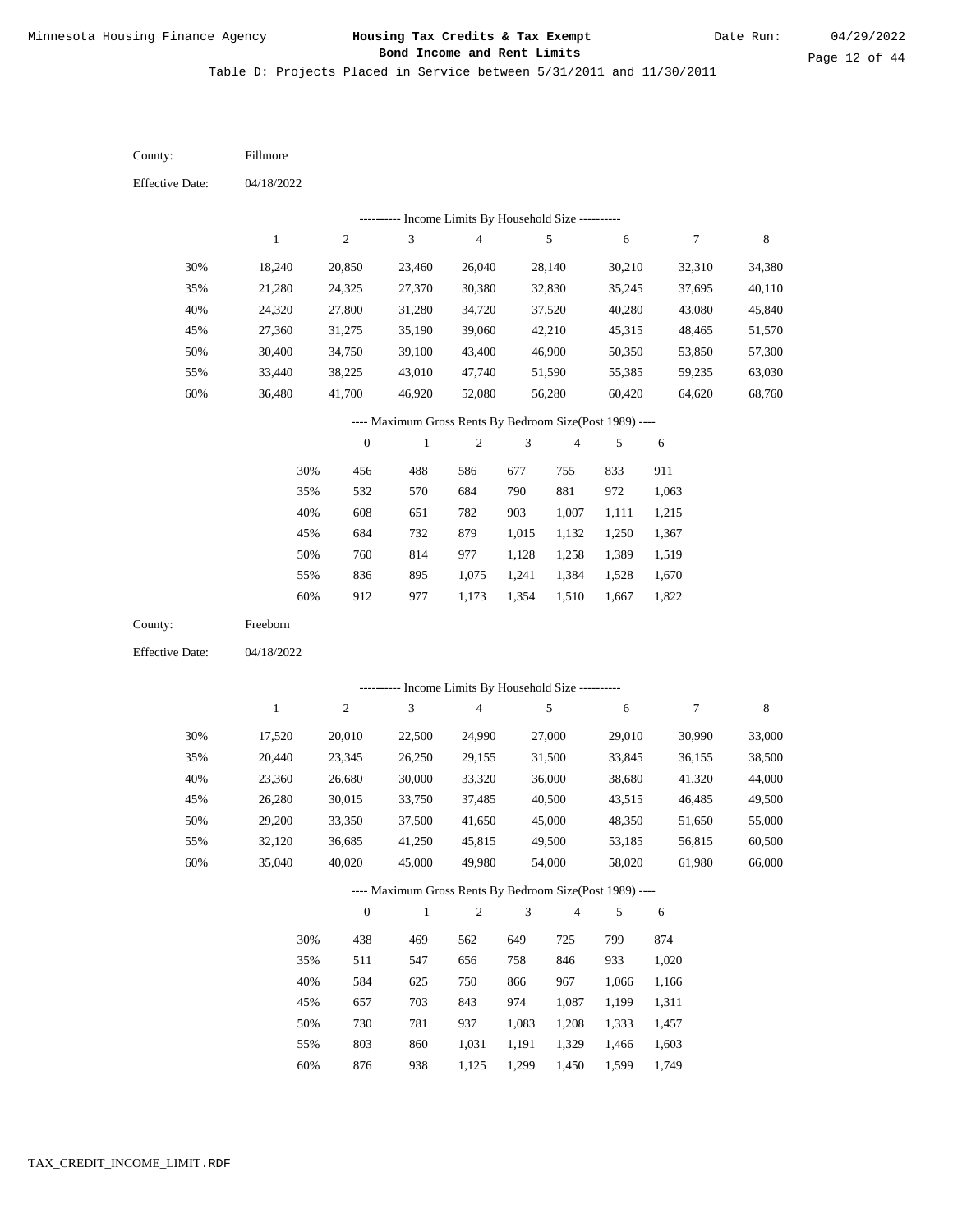Table D: Projects Placed in Service between 5/31/2011 and 11/30/2011

04/18/2022 04/18/2022 Fillmore Freeborn 30% 35% 40% 45% 50% 55% 60% 30% 35% 40% 45% 50% 55% 60% 18,240 21,280 24,320 27,360 30,400 33,440 36,480 17,520 20,440 23,360 26,280 29,200 32,120 35,040 20,850 24,325 27,800 31,275 34,750 38,225 41,700 20,010 23,345 26,680 30,015 33,350 36,685 40,020 23,460 27,370 31,280 35,190 39,100 43,010 46,920 22,500 26,250 30,000 33,750 37,500 41,250 45,000 26,040 30,380 34,720 39,060 43,400 47,740 52,080 24,990 29,155 33,320 37,485 41,650 45,815 49,980 28,140 32,830 37,520 42,210 46,900 51,590 56,280 27,000 31,500 36,000 40,500 45,000 49,500 54,000 30,210 35,245 40,280 45,315 50,350 55,385 60,420 29,010 33,845 38,680 43,515 48,350 53,185 58,020 32,310 37,695 43,080 48,465 53,850 59,235 64,620 30,990 36,155 41,320 46,485 51,650 56,815 61,980 34,380 40,110 45,840 51,570 57,300 63,030 68,760 33,000 38,500 44,000 49,500 55,000 60,500 66,000 456 532 608 684 760 836 912 438 511 584 657 730 803 876 488 570 651 732 814 895 977 469 547 625 703 781 860 938 586 684 782 879 977 1,075 1,173 562 656 750 843 937 1,031 1,125 677 790 903 1,015 1,128 1,241 1,354 649 758 866 974 1,083 1,191 1,299 755 881 1,007 1,132 1,258 1,384 1,510 725 846 967 1,087 1,208 1,329 1,450 833 972 1,111 1,250 1,389 1,528 1,667 799 933 1,066 1,199 1,333 1,466 1,599 911 1,063 1,215 1,367 1,519 1,670 1,822 874 1,020 1,166 1,311 1,457 1,603 1,749 County: County: Effective Date: Effective Date: 1 1 2 2 3 3 4 4 5 5 6 6 7 7 8 8 0 0 1 1 2 2 3 3 4 4 5 5 6 6 ---------- Income Limits By Household Size ---------- ---------- Income Limits By Household Size ---------- ---- Maximum Gross Rents By Bedroom Size(Post 1989) ---- ---- Maximum Gross Rents By Bedroom Size(Post 1989) ---- 30% 35% 40% 45% 50% 55% 60% 30% 35% 40% 45% 50% 55% 60%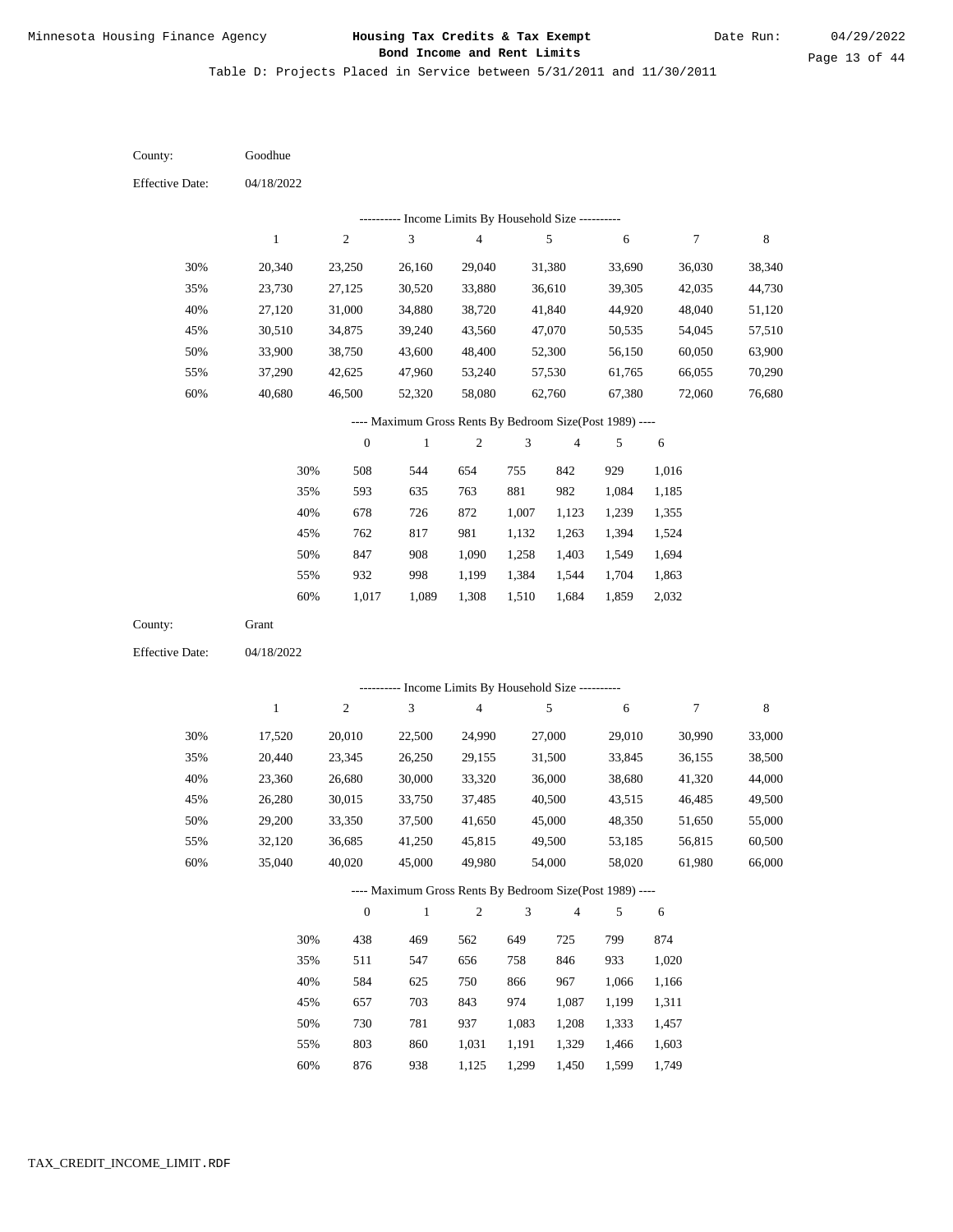Table D: Projects Placed in Service between 5/31/2011 and 11/30/2011

| County:                | Goodhue          |                  |                                                            |                                            |                |                  |                  |                  |                  |
|------------------------|------------------|------------------|------------------------------------------------------------|--------------------------------------------|----------------|------------------|------------------|------------------|------------------|
| <b>Effective Date:</b> | 04/18/2022       |                  |                                                            |                                            |                |                  |                  |                  |                  |
|                        |                  |                  |                                                            | Income Limits By Household Size ---------- |                |                  |                  |                  |                  |
|                        | $\mathbf{1}$     | $\sqrt{2}$       | 3                                                          | $\overline{\mathcal{L}}$                   |                | $\sqrt{5}$       | 6                | 7                | $\,$ 8 $\,$      |
| 30%                    | 20,340           | 23,250           | 26,160                                                     | 29,040                                     |                | 31,380           | 33,690           | 36,030           | 38,340           |
| 35%                    | 23,730           | 27,125           | 30,520                                                     | 33,880                                     |                | 36,610           | 39,305           | 42,035           | 44,730           |
| 40%                    | 27,120           | 31,000           | 34,880                                                     | 38,720                                     |                | 41,840           | 44,920           | 48,040           | 51,120           |
| 45%                    | 30,510           | 34,875           | 39,240                                                     | 43,560                                     |                | 47,070           | 50,535           | 54,045           | 57,510           |
| 50%                    | 33,900           | 38,750           | 43,600                                                     | 48,400                                     |                | 52,300           | 56,150           | 60,050           | 63,900           |
| 55%                    | 37,290           | 42,625           | 47,960                                                     | 53,240                                     |                | 57,530           | 61,765           | 66,055           | 70,290           |
| 60%                    | 40,680           | 46,500           | 52,320                                                     | 58,080                                     |                | 62,760           | 67,380           | 72,060           | 76,680           |
|                        |                  |                  | ---- Maximum Gross Rents By Bedroom Size(Post 1989) ----   |                                            |                |                  |                  |                  |                  |
|                        |                  | $\boldsymbol{0}$ | $\,1$                                                      | 2                                          | 3              | 4                | 5                | 6                |                  |
|                        | 30%              | 508              | 544                                                        | 654                                        | 755            | 842              | 929              | 1,016            |                  |
|                        | 35%              | 593              | 635                                                        | 763                                        | 881            | 982              | 1,084            | 1,185            |                  |
|                        | 40%              | 678              | 726                                                        | 872                                        | 1,007          | 1,123            | 1,239            | 1,355            |                  |
|                        | 45%              | 762              | 817                                                        | 981                                        | 1,132          | 1,263            | 1,394            | 1,524            |                  |
|                        | 50%              | 847              | 908                                                        | 1,090                                      | 1,258          | 1,403            | 1,549            | 1,694            |                  |
|                        | 55%              | 932              | 998                                                        | 1,199                                      | 1,384          | 1,544            | 1,704            | 1,863            |                  |
|                        | 60%              | 1,017            | 1,089                                                      | 1,308                                      | 1,510          | 1,684            | 1,859            | 2,032            |                  |
| County:                | Grant            |                  |                                                            |                                            |                |                  |                  |                  |                  |
| <b>Effective Date:</b> | 04/18/2022       |                  |                                                            |                                            |                |                  |                  |                  |                  |
|                        |                  |                  |                                                            |                                            |                |                  |                  |                  |                  |
|                        | $\mathbf{1}$     | $\sqrt{2}$       | ---------- Income Limits By Household Size ----------<br>3 | $\overline{\mathbf{4}}$                    |                | $\sqrt{5}$       | 6                | $\boldsymbol{7}$ | $\,$ 8 $\,$      |
|                        |                  |                  |                                                            |                                            |                |                  |                  |                  |                  |
| 30%                    | 17,520           | 20,010           | 22,500                                                     | 24,990                                     |                | 27,000           | 29,010           | 30,990           | 33,000           |
| 35%                    | 20,440           | 23,345           | 26,250                                                     | 29,155                                     |                | 31,500           | 33,845           | 36,155           | 38,500           |
| 40%                    | 23,360           | 26,680           | 30,000                                                     | 33,320                                     |                | 36,000           | 38,680           | 41,320           | 44,000           |
| 45%                    | 26,280           | 30,015           | 33,750                                                     | 37,485                                     |                | 40,500           | 43,515           | 46,485           | 49,500           |
| 50%                    | 29,200           | 33,350           | 37,500                                                     | 41,650                                     |                | 45,000           | 48,350           | 51,650           | 55,000           |
| 55%<br>60%             | 32,120<br>35,040 | 36,685<br>40,020 | 41,250<br>45,000                                           | 45,815<br>49,980                           |                | 49,500<br>54,000 | 53,185<br>58,020 | 56,815<br>61,980 | 60,500<br>66,000 |
|                        |                  |                  |                                                            |                                            |                |                  |                  |                  |                  |
|                        |                  |                  | ---- Maximum Gross Rents By Bedroom Size(Post 1989) ----   |                                            |                |                  |                  |                  |                  |
|                        |                  | $\mathbf{0}$     | $\mathbf{1}$                                               | $\sqrt{2}$                                 | $\mathfrak{Z}$ | 4                | 5                | 6                |                  |
|                        | 30%              | 438              | 469                                                        | 562                                        | 649            | 725              | 799              | 874              |                  |
|                        | 35%              | 511              | 547                                                        | 656                                        | 758            | 846              | 933              | 1,020            |                  |
|                        | 40%              | 584              | 625                                                        | 750                                        | 866            | 967              | 1,066            | 1,166            |                  |
|                        | 45%              | 657              | 703                                                        | 843                                        | 974            | 1,087            | 1,199            | 1,311            |                  |
|                        | 50%              | 730              | 781                                                        | 937                                        | 1,083          | 1,208            | 1,333            | 1,457            |                  |
|                        | 55%              | 803              | 860                                                        | 1,031                                      | 1,191          | 1,329            | 1,466            | 1,603            |                  |

876 938 1,125 1,299 1,450 1,599 1,749 60%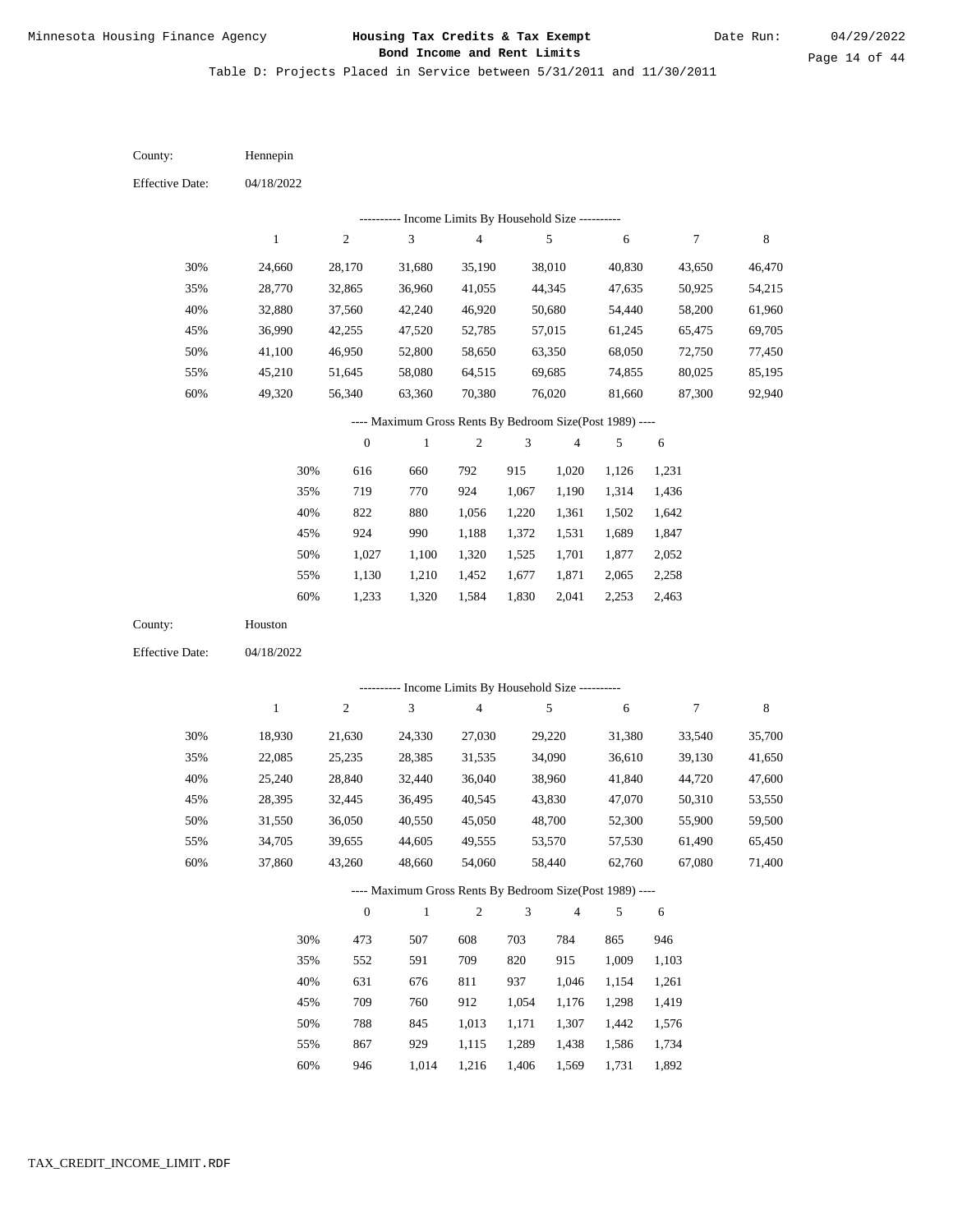Table D: Projects Placed in Service between 5/31/2011 and 11/30/2011

| County:                | Hennepin     |                  |                                                          |                                            |                |                          |        |                  |             |
|------------------------|--------------|------------------|----------------------------------------------------------|--------------------------------------------|----------------|--------------------------|--------|------------------|-------------|
| <b>Effective Date:</b> | 04/18/2022   |                  |                                                          |                                            |                |                          |        |                  |             |
|                        |              |                  |                                                          | Income Limits By Household Size ---------- |                |                          |        |                  |             |
|                        | $\mathbf{1}$ | $\sqrt{2}$       | 3                                                        | $\overline{\mathcal{L}}$                   |                | $\sqrt{5}$               | 6      | $\boldsymbol{7}$ | $\,$ 8 $\,$ |
| 30%                    | 24,660       | 28,170           | 31,680                                                   | 35,190                                     |                | 38,010                   | 40,830 | 43,650           | 46,470      |
| 35%                    | 28,770       | 32,865           | 36,960                                                   | 41,055                                     |                | 44,345                   | 47,635 | 50,925           | 54,215      |
| 40%                    | 32,880       | 37,560           | 42,240                                                   | 46,920                                     |                | 50,680                   | 54,440 | 58,200           | 61,960      |
| 45%                    | 36,990       | 42,255           | 47,520                                                   | 52,785                                     |                | 57,015                   | 61,245 | 65,475           | 69,705      |
| 50%                    | 41,100       | 46,950           | 52,800                                                   | 58,650                                     |                | 63,350                   | 68,050 | 72,750           | 77,450      |
| 55%                    | 45,210       | 51,645           | 58,080                                                   | 64,515                                     |                | 69,685                   | 74,855 | 80,025           | 85,195      |
| $60\%$                 | 49,320       | 56,340           | 63,360                                                   | 70,380                                     |                | 76,020                   | 81,660 | 87,300           | 92,940      |
|                        |              |                  | ---- Maximum Gross Rents By Bedroom Size(Post 1989) ---- |                                            |                |                          |        |                  |             |
|                        |              | $\boldsymbol{0}$ | 1                                                        | 2                                          | 3              | $\overline{\mathcal{A}}$ | 5      | $\sqrt{6}$       |             |
|                        | 30%          | 616              | 660                                                      | 792                                        | 915            | 1,020                    | 1,126  | 1,231            |             |
|                        | 35%          | 719              | 770                                                      | 924                                        | 1,067          | 1,190                    | 1,314  | 1,436            |             |
|                        | 40%          | 822              | 880                                                      | 1,056                                      | 1,220          | 1,361                    | 1,502  | 1,642            |             |
|                        | 45%          | 924              | 990                                                      | 1,188                                      | 1,372          | 1,531                    | 1,689  | 1,847            |             |
|                        | 50%          | 1,027            | 1,100                                                    | 1,320                                      | 1,525          | 1,701                    | 1,877  | 2,052            |             |
|                        | 55%          | 1,130            | 1,210                                                    | 1,452                                      | 1,677          | 1,871                    | 2,065  | 2,258            |             |
|                        | 60%          | 1,233            | 1,320                                                    | 1,584                                      | 1,830          | 2,041                    | 2,253  | 2,463            |             |
| County:                | Houston      |                  |                                                          |                                            |                |                          |        |                  |             |
| <b>Effective Date:</b> | 04/18/2022   |                  |                                                          |                                            |                |                          |        |                  |             |
|                        |              |                  | --------- Income Limits By Household Size ----------     |                                            |                |                          |        |                  |             |
|                        | $\,1$        | $\sqrt{2}$       | 3                                                        | $\overline{\mathbf{4}}$                    |                | $\sqrt{5}$               | 6      | $\boldsymbol{7}$ | 8           |
|                        |              |                  |                                                          |                                            |                |                          |        |                  |             |
| 30%                    | 18,930       | 21,630           | 24,330                                                   | 27,030                                     |                | 29,220                   | 31,380 | 33,540           | 35,700      |
| 35%                    | 22,085       | 25,235           | 28,385                                                   | 31,535                                     |                | 34,090                   | 36,610 | 39,130           | 41,650      |
| 40%                    | 25,240       | 28,840           | 32,440                                                   | 36,040                                     |                | 38,960                   | 41,840 | 44,720           | 47,600      |
| 45%                    | 28,395       | 32,445           | 36,495                                                   | 40,545                                     |                | 43,830                   | 47,070 | 50,310           | 53,550      |
| 50%                    | 31,550       | 36,050           | 40,550                                                   | 45,050                                     |                | 48,700                   | 52,300 | 55,900           | 59,500      |
| 55%                    | 34,705       | 39,655           | 44,605                                                   | 49,555                                     |                | 53,570                   | 57,530 | 61,490           | 65,450      |
| 60%                    | 37,860       | 43,260           | 48,660                                                   | 54,060                                     |                | 58,440                   | 62,760 | 67,080           | 71,400      |
|                        |              |                  | ---- Maximum Gross Rents By Bedroom Size(Post 1989) ---- |                                            |                |                          |        |                  |             |
|                        |              | $\boldsymbol{0}$ | $\mathbf{1}$                                             | $\sqrt{2}$                                 | $\mathfrak{Z}$ | $\overline{\mathcal{A}}$ | 5      | 6                |             |
|                        | 30%          | 473              | 507                                                      | 608                                        | 703            | 784                      | 865    | 946              |             |
|                        | 35%          | 552              | 591                                                      | 709                                        | 820            | 915                      | 1,009  | 1,103            |             |
|                        | 40%          | 631              | 676                                                      | 811                                        | 937            | 1,046                    | 1,154  | 1,261            |             |
|                        |              |                  |                                                          |                                            |                |                          |        |                  |             |
|                        | 45%          | 709              | 760                                                      | 912                                        | 1,054          | 1,176                    | 1,298  | 1,419            |             |
|                        | 50%          | 788              | 845                                                      | 1,013                                      | 1,171          | 1,307                    | 1,442  | 1,576            |             |
|                        | 55%          | 867              | 929                                                      | 1,115                                      | 1,289          | 1,438                    | 1,586  | 1,734            |             |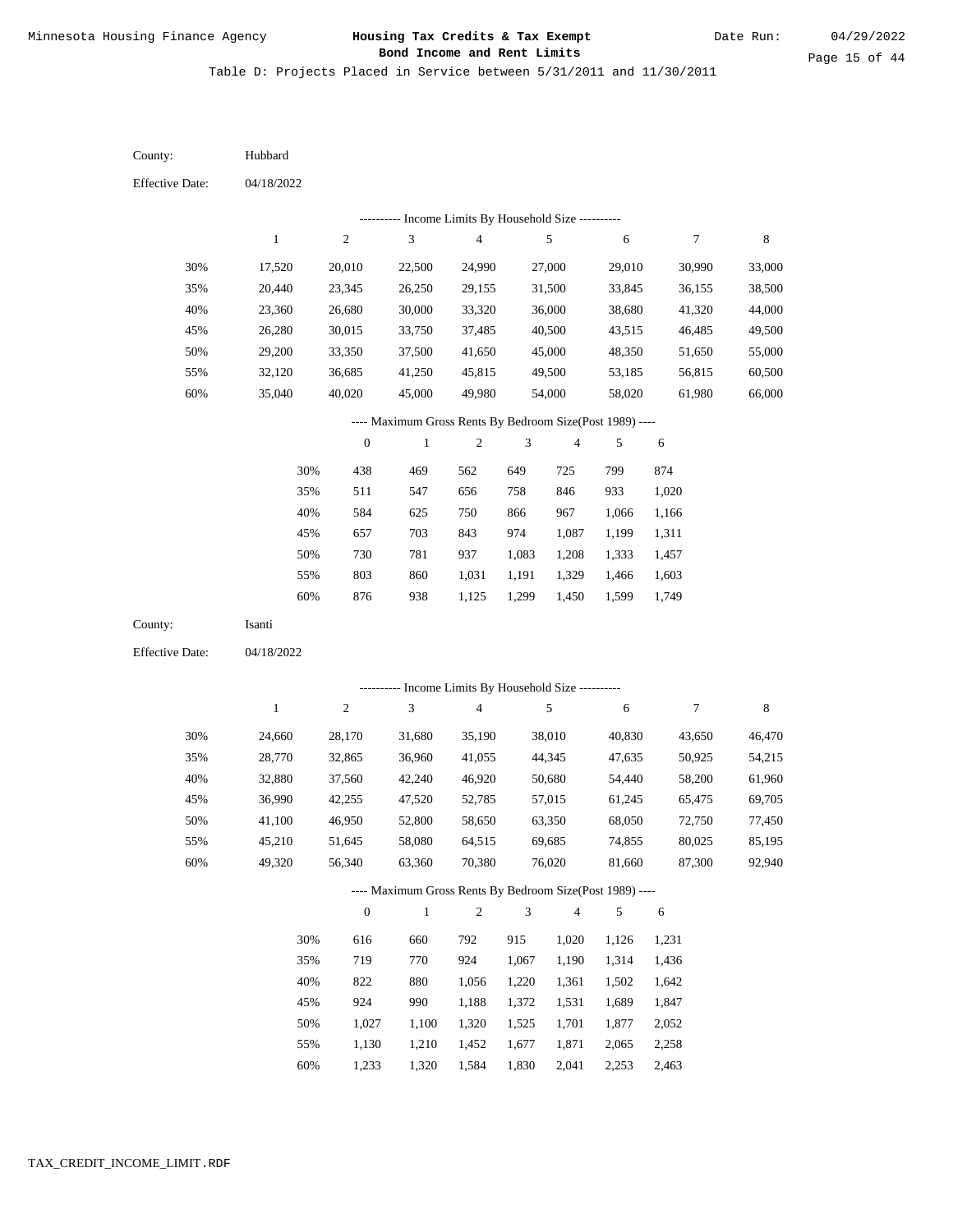Page 15 of 44

Table D: Projects Placed in Service between 5/31/2011 and 11/30/2011

| County:                | Hubbard      |                  |                                                          |                          |                |                         |        |            |         |
|------------------------|--------------|------------------|----------------------------------------------------------|--------------------------|----------------|-------------------------|--------|------------|---------|
| <b>Effective Date:</b> | 04/18/2022   |                  |                                                          |                          |                |                         |        |            |         |
|                        |              |                  | --------- Income Limits By Household Size ----------     |                          |                |                         |        |            |         |
|                        | $\mathbf{1}$ | $\sqrt{2}$       | 3                                                        | 4                        |                | 5                       | 6      | 7          | $\,8\,$ |
| 30%                    | 17,520       | 20,010           | 22,500                                                   | 24,990                   |                | 27,000                  | 29,010 | 30,990     | 33,000  |
| 35%                    | 20,440       | 23,345           | 26,250                                                   | 29,155                   |                | 31,500                  | 33,845 | 36,155     | 38,500  |
| 40%                    | 23,360       | 26,680           | 30,000                                                   | 33,320                   |                | 36,000                  | 38,680 | 41,320     | 44,000  |
| 45%                    | 26,280       | 30,015           | 33,750                                                   | 37,485                   |                | 40,500                  | 43,515 | 46,485     | 49,500  |
| 50%                    | 29,200       | 33,350           | 37,500                                                   | 41,650                   |                | 45,000                  | 48,350 | 51,650     | 55,000  |
| 55%                    | 32,120       | 36,685           | 41,250                                                   | 45,815                   |                | 49,500                  | 53,185 | 56,815     | 60,500  |
| 60%                    | 35,040       | 40,020           | 45,000                                                   | 49,980                   |                | 54,000                  | 58,020 | 61,980     | 66,000  |
|                        |              |                  | ---- Maximum Gross Rents By Bedroom Size(Post 1989) ---- |                          |                |                         |        |            |         |
|                        |              | $\boldsymbol{0}$ | $\mathbf{1}$                                             | $\boldsymbol{2}$         | 3              | 4                       | 5      | 6          |         |
|                        | 30%          | 438              | 469                                                      | 562                      | 649            | 725                     | 799    | 874        |         |
|                        | 35%          | 511              | 547                                                      | 656                      | 758            | 846                     | 933    | 1,020      |         |
|                        | 40%          | 584              | 625                                                      | 750                      | 866            | 967                     | 1,066  | 1,166      |         |
|                        | 45%          | 657              | 703                                                      | 843                      | 974            | 1,087                   | 1,199  | 1,311      |         |
|                        | 50%          | 730              | 781                                                      | 937                      | 1,083          | 1,208                   | 1,333  | 1,457      |         |
|                        | 55%          | 803              | 860                                                      | 1,031                    | 1,191          | 1,329                   | 1,466  | 1,603      |         |
|                        | 60%          | 876              | 938                                                      | 1,125                    | 1,299          | 1,450                   | 1,599  | 1,749      |         |
| County:                | Isanti       |                  |                                                          |                          |                |                         |        |            |         |
| <b>Effective Date:</b> | 04/18/2022   |                  |                                                          |                          |                |                         |        |            |         |
|                        |              |                  | --------- Income Limits By Household Size ----------     |                          |                |                         |        |            |         |
|                        | $\mathbf{1}$ | $\sqrt{2}$       | 3                                                        | $\overline{\mathcal{A}}$ |                | $\sqrt{5}$              | 6      | 7          | $\,8\,$ |
| 30%                    | 24,660       | 28,170           | 31,680                                                   | 35,190                   |                | 38,010                  | 40,830 | 43,650     | 46,470  |
| 35%                    | 28,770       | 32,865           | 36,960                                                   | 41,055                   |                | 44,345                  | 47,635 | 50,925     | 54,215  |
| 40%                    | 32,880       | 37,560           | 42,240                                                   | 46,920                   |                | 50,680                  | 54,440 | 58,200     | 61,960  |
| 45%                    | 36,990       | 42,255           | 47,520                                                   | 52,785                   |                | 57,015                  | 61,245 | 65,475     | 69,705  |
| 50%                    | 41,100       | 46,950           | 52,800                                                   | 58,650                   |                | 63,350                  | 68,050 | 72,750     | 77,450  |
| 55%                    | 45,210       | 51,645           | 58,080                                                   | 64,515                   |                | 69,685                  | 74,855 | 80,025     | 85,195  |
| 60%                    | 49,320       | 56,340           | 63,360                                                   | 70,380                   |                | 76,020                  | 81,660 | 87,300     | 92,940  |
|                        |              |                  | ---- Maximum Gross Rents By Bedroom Size(Post 1989) ---- |                          |                |                         |        |            |         |
|                        |              | $\boldsymbol{0}$ | $\,1$                                                    | $\sqrt{2}$               | $\mathfrak{Z}$ | $\overline{\mathbf{4}}$ | 5      | $\sqrt{6}$ |         |
|                        | 30%          | 616              | 660                                                      | 792                      | 915            | 1,020                   | 1,126  | 1,231      |         |
|                        |              |                  |                                                          |                          | 1,067          | 1,190                   | 1,314  | 1,436      |         |
|                        | 35%          | 719              | 770                                                      | 924                      |                |                         |        |            |         |
|                        | 40%          | 822              | 880                                                      | 1,056                    | 1,220          | 1,361                   | 1,502  | 1,642      |         |
|                        | 45%          | 924              | 990                                                      | 1,188                    | 1,372          | 1,531                   | 1,689  | 1,847      |         |
|                        | 50%          | 1,027            | 1,100                                                    | 1,320                    | 1,525          | 1,701                   | 1,877  | 2,052      |         |

1,233 1,320 1,584 1,830 2,041 2,253 2,463 60%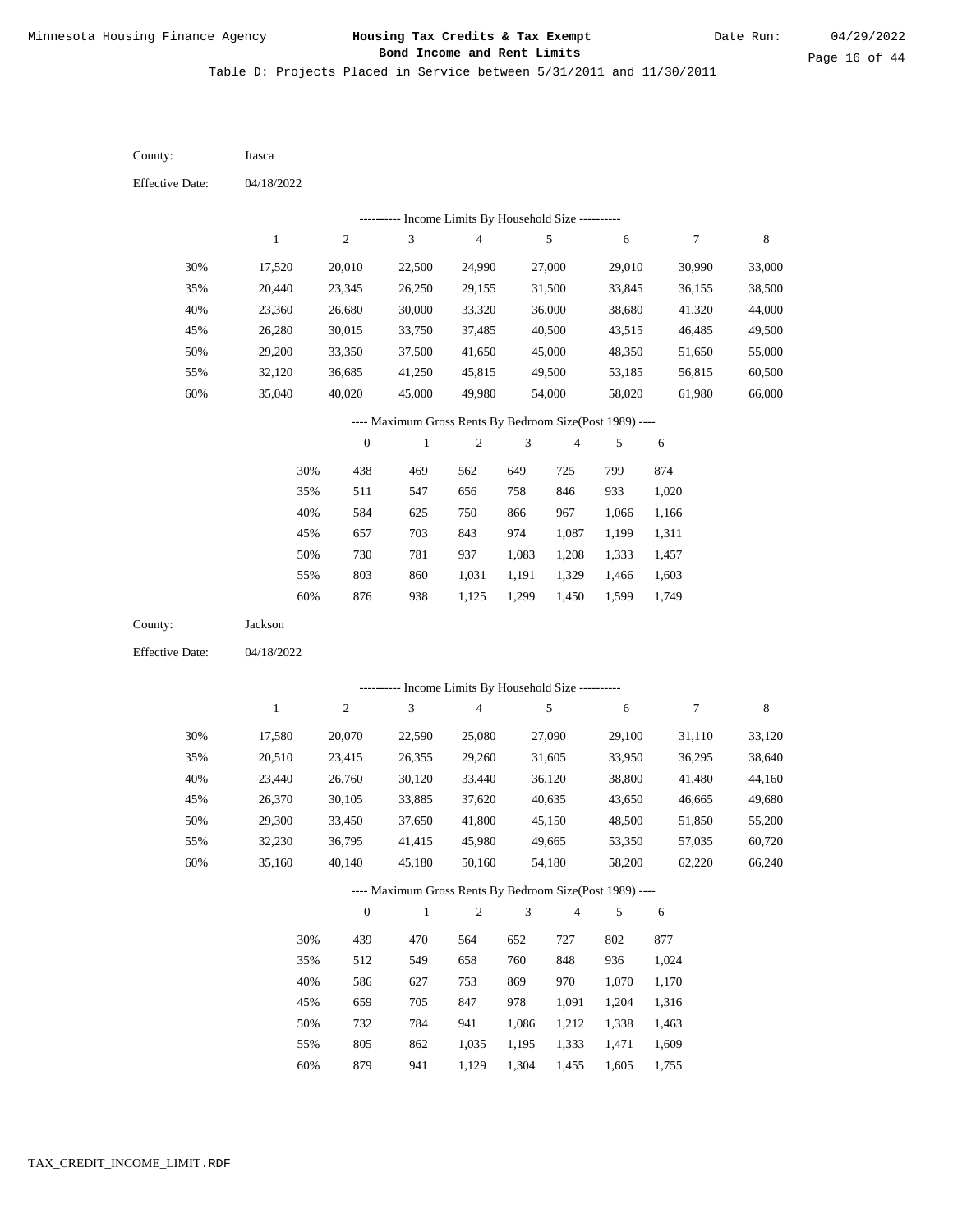Table D: Projects Placed in Service between 5/31/2011 and 11/30/2011

| County:                | Itasca       |                  |                                                          |                         |                |                |        |        |             |
|------------------------|--------------|------------------|----------------------------------------------------------|-------------------------|----------------|----------------|--------|--------|-------------|
| <b>Effective Date:</b> | 04/18/2022   |                  |                                                          |                         |                |                |        |        |             |
|                        |              |                  | --------- Income Limits By Household Size ----------     |                         |                |                |        |        |             |
|                        | $\mathbf{1}$ | $\boldsymbol{2}$ | 3                                                        | $\overline{\mathbf{4}}$ |                | 5              | 6      | 7      | $\,8\,$     |
| 30%                    | 17,520       | 20,010           | 22,500                                                   | 24,990                  |                | 27,000         | 29,010 | 30,990 | 33,000      |
| 35%                    | 20,440       | 23,345           | 26,250                                                   | 29,155                  |                | 31,500         | 33,845 | 36,155 | 38,500      |
| 40%                    | 23,360       | 26,680           | 30,000                                                   | 33,320                  |                | 36,000         | 38,680 | 41,320 | 44,000      |
| 45%                    | 26,280       | 30,015           | 33,750                                                   | 37,485                  |                | 40,500         | 43,515 | 46,485 | 49,500      |
| 50%                    | 29,200       | 33,350           | 37,500                                                   | 41,650                  |                | 45,000         | 48,350 | 51,650 | 55,000      |
| 55%                    | 32,120       | 36,685           | 41,250                                                   | 45,815                  |                | 49,500         | 53,185 | 56,815 | 60,500      |
| 60%                    | 35,040       | 40,020           | 45,000                                                   | 49,980                  |                | 54,000         | 58,020 | 61,980 | 66,000      |
|                        |              |                  | ---- Maximum Gross Rents By Bedroom Size(Post 1989) ---- |                         |                |                |        |        |             |
|                        |              | $\boldsymbol{0}$ | $\mathbf{1}$                                             | $\sqrt{2}$              | 3              | 4              | 5      | 6      |             |
|                        | 30%          | 438              | 469                                                      | 562                     | 649            | 725            | 799    | 874    |             |
|                        | 35%          | 511              | 547                                                      | 656                     | 758            | 846            | 933    | 1,020  |             |
|                        | 40%          | 584              | 625                                                      | 750                     | 866            | 967            | 1,066  | 1,166  |             |
|                        | 45%          | 657              | 703                                                      | 843                     | 974            | 1,087          | 1,199  | 1,311  |             |
|                        | 50%          | 730              | 781                                                      | 937                     | 1,083          | 1,208          | 1,333  | 1,457  |             |
|                        | 55%          | 803              | 860                                                      | 1,031                   | 1,191          | 1,329          | 1,466  | 1,603  |             |
|                        | 60%          | 876              | 938                                                      | 1,125                   | 1,299          | 1,450          | 1,599  | 1,749  |             |
| County:                | Jackson      |                  |                                                          |                         |                |                |        |        |             |
| <b>Effective Date:</b> | 04/18/2022   |                  |                                                          |                         |                |                |        |        |             |
|                        |              |                  | --------- Income Limits By Household Size ----------     |                         |                |                |        |        |             |
|                        | $\mathbf{1}$ | $\boldsymbol{2}$ | 3                                                        | $\overline{\mathbf{4}}$ |                | $\sqrt{5}$     | 6      | 7      | $\,$ 8 $\,$ |
| 30%                    | 17,580       | 20,070           | 22,590                                                   | 25,080                  |                | 27,090         | 29,100 | 31,110 | 33,120      |
| 35%                    | 20,510       | 23,415           | 26,355                                                   | 29,260                  |                | 31,605         | 33,950 | 36,295 | 38,640      |
| 40%                    | 23,440       | 26,760           | 30,120                                                   | 33,440                  |                | 36,120         | 38,800 | 41,480 | 44,160      |
| 45%                    | 26,370       | 30,105           | 33,885                                                   | 37,620                  |                | 40,635         | 43,650 | 46,665 | 49,680      |
| 50%                    | 29,300       | 33,450           | 37,650                                                   | 41,800                  |                | 45,150         | 48,500 | 51,850 | 55,200      |
| 55%                    | 32,230       | 36,795           | 41,415                                                   | 45,980                  |                | 49,665         | 53,350 | 57,035 | 60,720      |
| 60%                    | 35,160       | 40,140           | 45,180                                                   | 50,160                  |                | 54,180         | 58,200 | 62,220 | 66,240      |
|                        |              |                  | ---- Maximum Gross Rents By Bedroom Size(Post 1989) ---- |                         |                |                |        |        |             |
|                        |              | $\mathbf{0}$     | $\,1\,$                                                  | $\sqrt{2}$              | $\mathfrak{Z}$ | $\overline{4}$ | 5      | 6      |             |
|                        | 30%          | 439              | 470                                                      | 564                     | 652            | 727            | 802    | 877    |             |
|                        | 35%          | 512              | 549                                                      | 658                     | 760            | 848            | 936    | 1,024  |             |
|                        | 40%          | 586              | 627                                                      | 753                     | 869            | 970            | 1,070  | 1,170  |             |
|                        | 45%          | 659              | 705                                                      | 847                     | 978            | 1,091          | 1,204  | 1,316  |             |
|                        | 50%          | 732              | 784                                                      | 941                     | 1,086          | 1,212          | 1,338  | 1,463  |             |
|                        | 55%          | 805              | 862                                                      | 1,035                   | 1,195          | 1,333          | 1,471  | 1,609  |             |

879 941 1,129 1,304 1,455 1,605 1,755 60%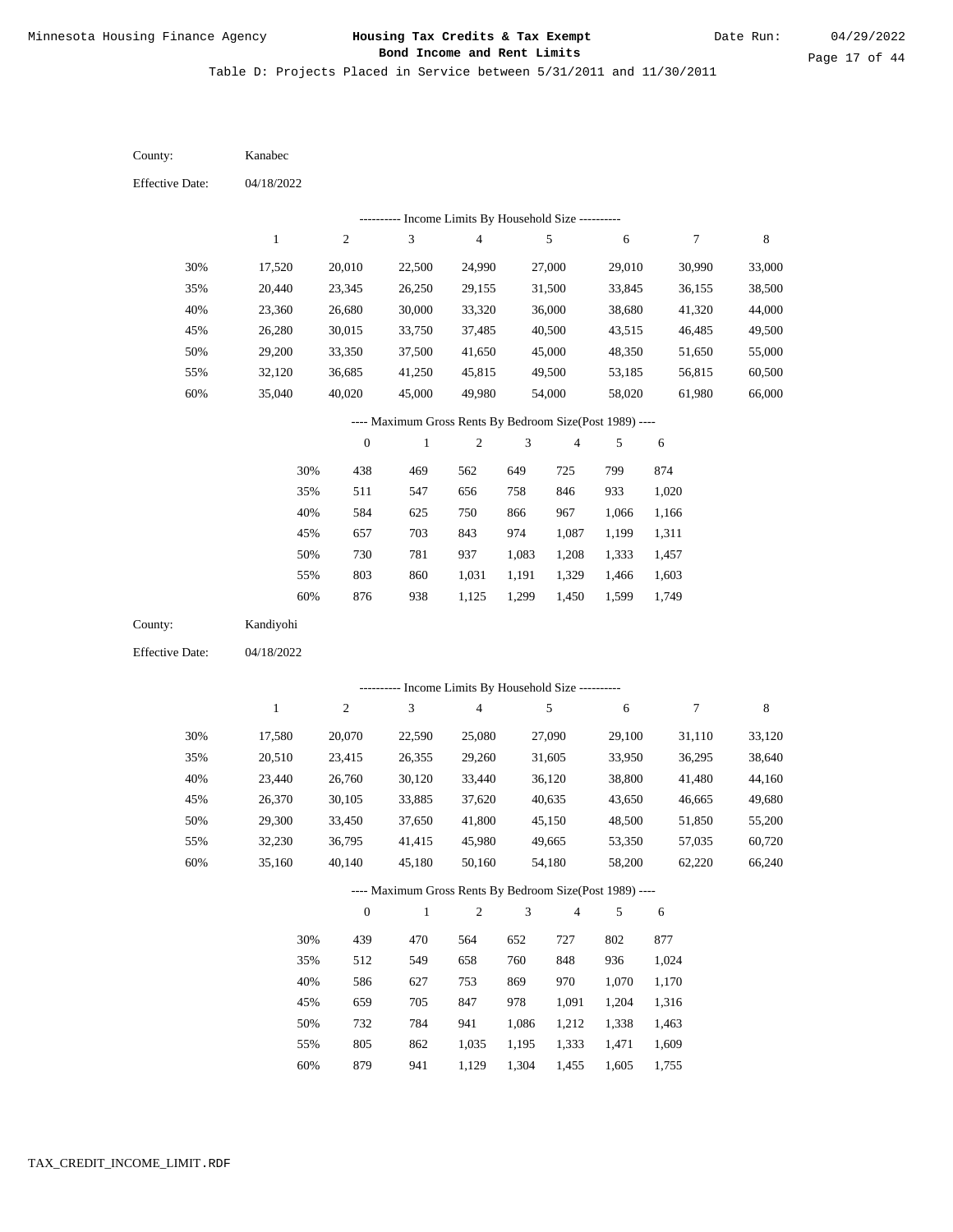Table D: Projects Placed in Service between 5/31/2011 and 11/30/2011

04/18/2022 04/18/2022 Kanabec Kandiyohi 30% 35% 40% 45% 50% 55% 60% 30% 35% 40% 45% 50% 55% 60% 17,520 20,440 23,360 26,280 29,200 32,120 35,040 17,580 20,510 23,440 26,370 29,300 32,230 35,160 20,010 23,345 26,680 30,015 33,350 36,685 40,020 20,070 23,415 26,760 30,105 33,450 36,795 40,140 22,500 26,250 30,000 33,750 37,500 41,250 45,000 22,590 26,355 30,120 33,885 37,650 41,415 45,180 24,990 29,155 33,320 37,485 41,650 45,815 49,980 25,080 29,260 33,440 37,620 41,800 45,980 50,160 27,000 31,500 36,000 40,500 45,000 49,500 54,000 27,090 31,605 36,120 40,635 45,150 49,665 54,180 29,010 33,845 38,680 43,515 48,350 53,185 58,020 29,100 33,950 38,800 43,650 48,500 53,350 58,200 30,990 36,155 41,320 46,485 51,650 56,815 61,980 31,110 36,295 41,480 46,665 51,850 57,035 62,220 33,000 38,500 44,000 49,500 55,000 60,500 66,000 33,120 38,640 44,160 49,680 55,200 60,720 66,240 438 511 584 657 730 803 876 439 512 586 659 732 805 879 469 547 625 703 781 860 938 470 549 627 705 784 862 941 562 656 750 843 937 1,031 1,125 564 658 753 847 941 1,035 1,129 649 758 866 974 1,083 1,191 1,299 652 760 869 978 1,086 1,195 1,304 725 846 967 1,087 1,208 1,329 1,450 727 848 970 1,091 1,212 1,333 1,455 799 933 1,066 1,199 1,333 1,466 1,599 802 936 1,070 1,204 1,338 1,471 1,605 874 1,020 1,166 1,311 1,457 1,603 1,749 877 1,024 1,170 1,316 1,463 1,609 1,755 County: County: Effective Date: Effective Date: 1 1 2 2 3 3 4 4 5 5 6 6 7 7 8 8 0 0 1 1 2 2 3 3 4 4 5 5 6 6 ---------- Income Limits By Household Size ---------- ---------- Income Limits By Household Size ---------- ---- Maximum Gross Rents By Bedroom Size(Post 1989) ---- ---- Maximum Gross Rents By Bedroom Size(Post 1989) ---- 30% 35% 40% 45% 50% 55% 60% 30% 35% 40% 45% 50% 55% 60%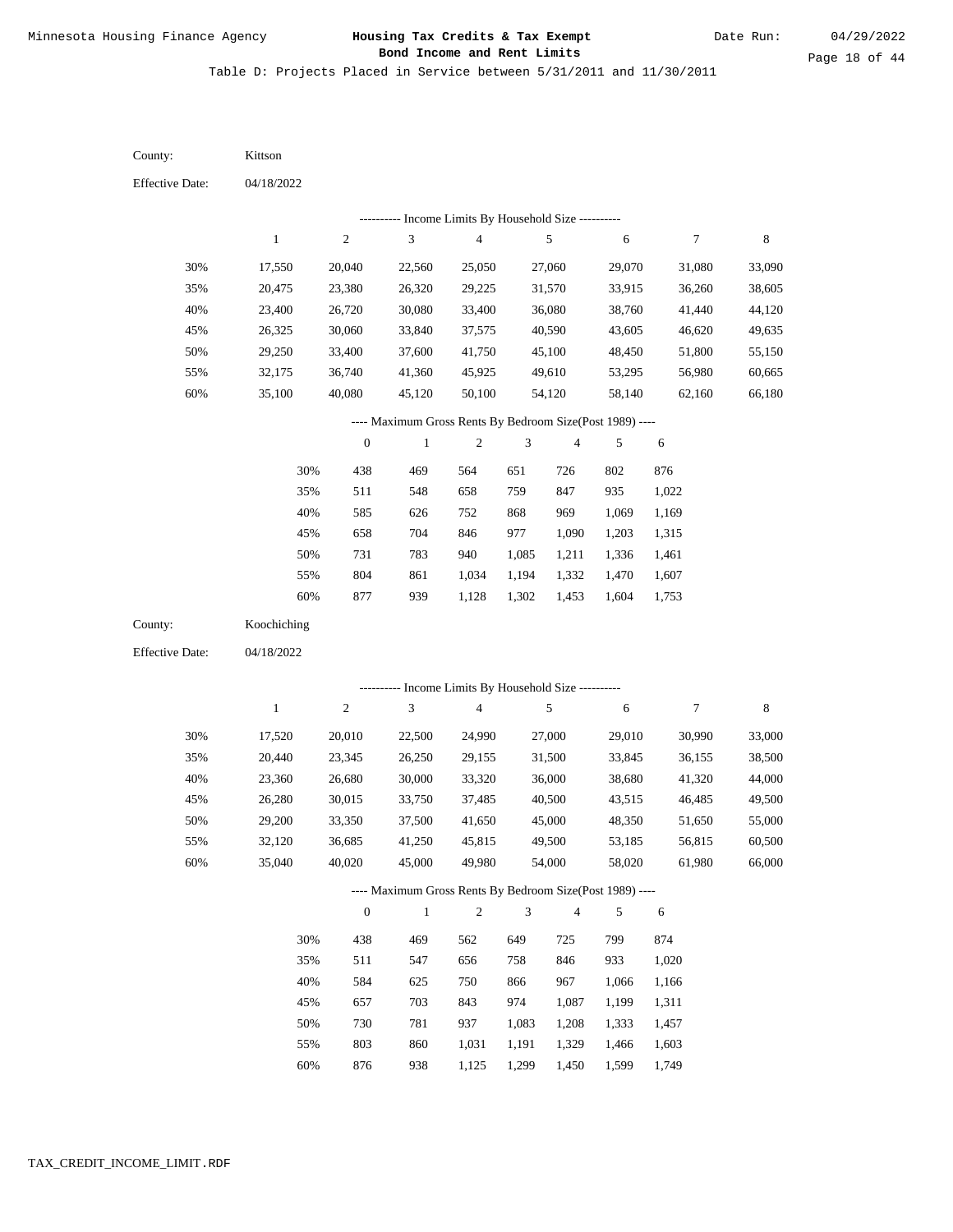Table D: Projects Placed in Service between 5/31/2011 and 11/30/2011

04/18/2022 04/18/2022 Kittson Koochiching 30% 35% 40% 45% 50% 55% 60% 30% 35% 40% 45% 50% 55% 60% 17,550 20,475 23,400 26,325 29,250 32,175 35,100 17,520 20,440 23,360 26,280 29,200 32,120 35,040 20,040 23,380 26,720 30,060 33,400 36,740 40,080 20,010 23,345 26,680 30,015 33,350 36,685 40,020 22,560 26,320 30,080 33,840 37,600 41,360 45,120 22,500 26,250 30,000 33,750 37,500 41,250 45,000 25,050 29,225 33,400 37,575 41,750 45,925 50,100 24,990 29,155 33,320 37,485 41,650 45,815 49,980 27,060 31,570 36,080 40,590 45,100 49,610 54,120 27,000 31,500 36,000 40,500 45,000 49,500 54,000 29,070 33,915 38,760 43,605 48,450 53,295 58,140 29,010 33,845 38,680 43,515 48,350 53,185 58,020 31,080 36,260 41,440 46,620 51,800 56,980 62,160 30,990 36,155 41,320 46,485 51,650 56,815 61,980 33,090 38,605 44,120 49,635 55,150 60,665 66,180 33,000 38,500 44,000 49,500 55,000 60,500 66,000 438 511 585 658 731 804 877 438 511 584 657 730 803 876 469 548 626 704 783 861 939 469 547 625 703 781 860 938 564 658 752 846 940 1,034 1,128 562 656 750 843 937 1,031 1,125 651 759 868 977 1,085 1,194 1,302 649 758 866 974 1,083 1,191 1,299 726 847 969 1,090 1,211 1,332 1,453 725 846 967 1,087 1,208 1,329 1,450 802 935 1,069 1,203 1,336 1,470 1,604 799 933 1,066 1,199 1,333 1,466 1,599 876 1,022 1,169 1,315 1,461 1,607 1,753 874 1,020 1,166 1,311 1,457 1,603 1,749 County: County: Effective Date: Effective Date: 1 1 2 2 3 3 4 4 5 5 6 6 7 7 8 8 0 0 1 1 2 2 3 3 4 4 5 5 6 6 ---------- Income Limits By Household Size ---------- ---------- Income Limits By Household Size ---------- ---- Maximum Gross Rents By Bedroom Size(Post 1989) ---- ---- Maximum Gross Rents By Bedroom Size(Post 1989) ---- 30% 35% 40% 45% 50% 55% 60% 30% 35% 40% 45% 50% 55% 60%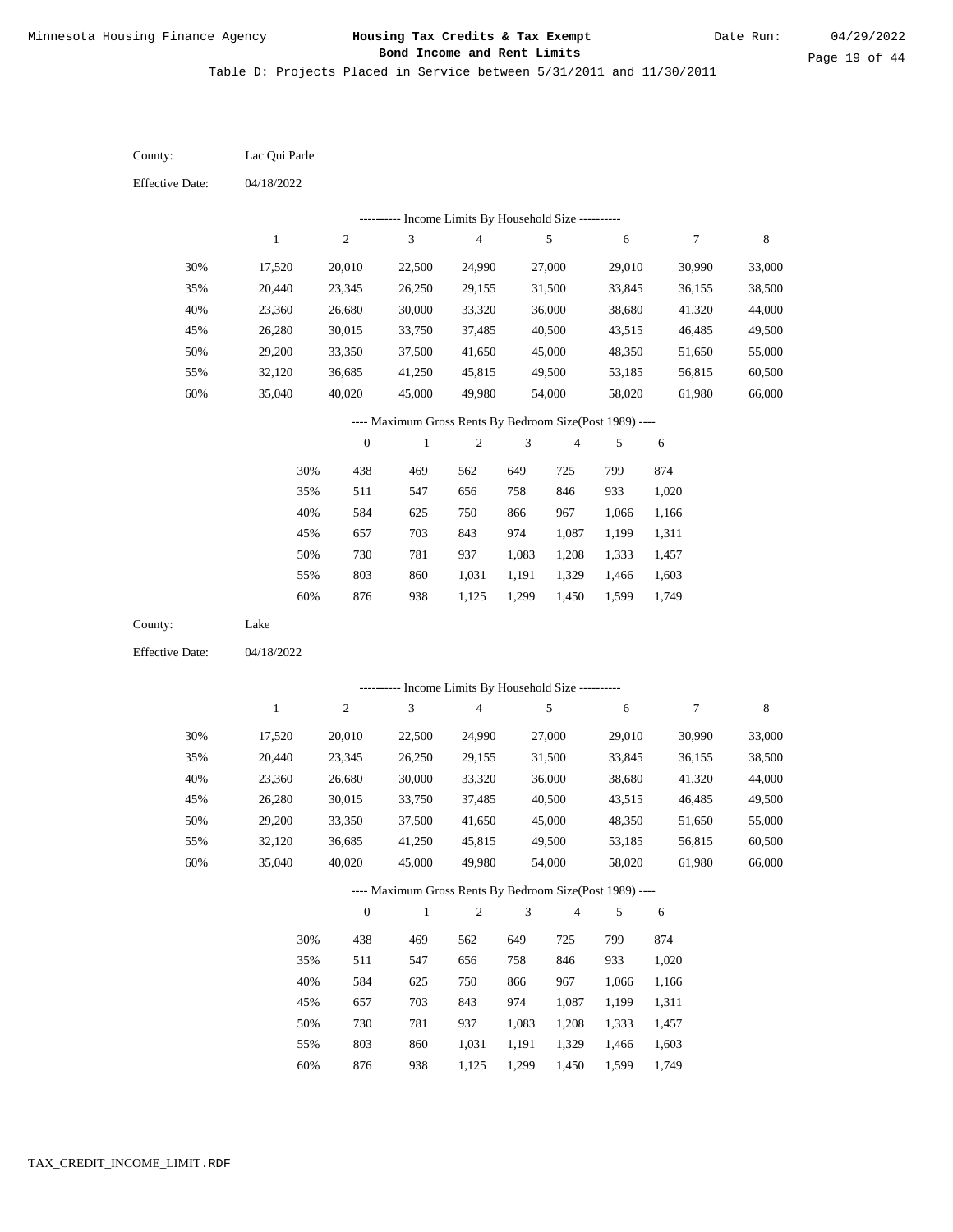Table D: Projects Placed in Service between 5/31/2011 and 11/30/2011

04/18/2022 04/18/2022 Lac Qui Parle Lake 30% 35% 40% 45% 50% 55% 60% 30% 35% 40% 45% 50% 55% 60% 17,520 20,440 23,360 26,280 29,200 32,120 35,040 17,520 20,440 23,360 26,280 29,200 32,120 35,040 20,010 23,345 26,680 30,015 33,350 36,685 40,020 20,010 23,345 26,680 30,015 33,350 36,685 40,020 22,500 26,250 30,000 33,750 37,500 41,250 45,000 22,500 26,250 30,000 33,750 37,500 41,250 45,000 24,990 29,155 33,320 37,485 41,650 45,815 49,980 24,990 29,155 33,320 37,485 41,650 45,815 49,980 27,000 31,500 36,000 40,500 45,000 49,500 54,000 27,000 31,500 36,000 40,500 45,000 49,500 54,000 29,010 33,845 38,680 43,515 48,350 53,185 58,020 29,010 33,845 38,680 43,515 48,350 53,185 58,020 30,990 36,155 41,320 46,485 51,650 56,815 61,980 30,990 36,155 41,320 46,485 51,650 56,815 61,980 33,000 38,500 44,000 49,500 55,000 60,500 66,000 33,000 38,500 44,000 49,500 55,000 60,500 66,000 438 511 584 657 730 803 876 438 511 584 657 730 803 469 547 625 703 781 860 938 469 547 625 703 781 860 562 656 750 843 937 1,031 1,125 562 656 750 843 937 1,031 649 758 866 974 1,083 1,191 1,299 649 758 866 974 1,083 1,191 725 846 967 1,087 1,208 1,329 1,450 725 846 967 1,087 1,208 1,329 799 933 1,066 1,199 1,333 1,466 1,599 799 933 1,066 1,199 1,333 1,466 874 1,020 1,166 1,311 1,457 1,603 1,749 874 1,020 1,166 1,311 1,457 1,603 County: County: Effective Date: Effective Date: 1 1 2 2 3 3 4 4 5 5 6 6 7 7 8 8 0 0 1 1 2 2 3 3 4 4 5 5 6 6 ---------- Income Limits By Household Size ---------- ---------- Income Limits By Household Size ---------- ---- Maximum Gross Rents By Bedroom Size(Post 1989) ---- ---- Maximum Gross Rents By Bedroom Size(Post 1989) ---- 30% 35% 40% 45% 50% 55% 60% 30% 35% 40% 45% 50% 55%

876

60%

938

1,125

1,299

1,450

1,599

1,749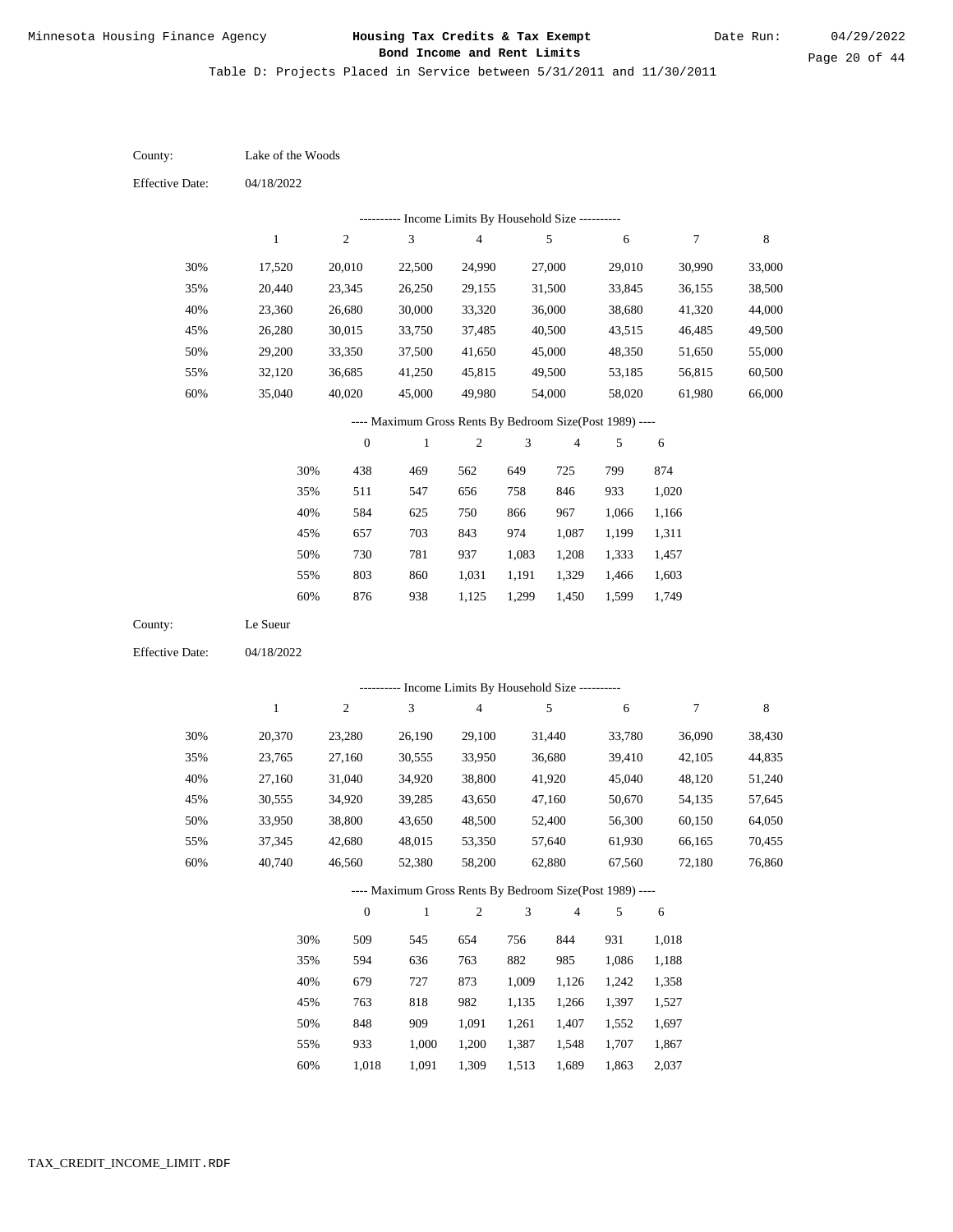Table D: Projects Placed in Service between 5/31/2011 and 11/30/2011

04/18/2022 04/18/2022 Lake of the Woods Le Sueur 30% 35% 40% 45% 50% 55% 60% 30% 35% 40% 45% 50% 55% 60% 17,520 20,440 23,360 26,280 29,200 32,120 35,040 20,370 23,765 27,160 30,555 33,950 37,345 40,740 20,010 23,345 26,680 30,015 33,350 36,685 40,020 23,280 27,160 31,040 34,920 38,800 42,680 46,560 22,500 26,250 30,000 33,750 37,500 41,250 45,000 26,190 30,555 34,920 39,285 43,650 48,015 52,380 24,990 29,155 33,320 37,485 41,650 45,815 49,980 29,100 33,950 38,800 43,650 48,500 53,350 58,200 27,000 31,500 36,000 40,500 45,000 49,500 54,000 31,440 36,680 41,920 47,160 52,400 57,640 62,880 29,010 33,845 38,680 43,515 48,350 53,185 58,020 33,780 39,410 45,040 50,670 56,300 61,930 67,560 30,990 36,155 41,320 46,485 51,650 56,815 61,980 36,090 42,105 48,120 54,135 60,150 66,165 72,180 33,000 38,500 44,000 49,500 55,000 60,500 66,000 38,430 44,835 51,240 57,645 64,050 70,455 76,860 438 511 584 657 730 803 876 509 594 679 763 848 933 1,018 469 547 625 703 781 860 938 545 636 727 818 909 1,000 1,091 562 656 750 843 937 1,031 1,125 654 763 873 982 1,091 1,200 1,309 649 758 866 974 1,083 1,191 1,299 756 882 1,009 1,135 1,261 1,387 1,513 725 846 967 1,087 1,208 1,329 1,450 844 985 1,126 1,266 1,407 1,548 1,689 799 933 1,066 1,199 1,333 1,466 1,599 931 1,086 1,242 1,397 1,552 1,707 1,863 874 1,020 1,166 1,311 1,457 1,603 1,749 1,018 1,188 1,358 1,527 1,697 1,867 2,037 County: County: Effective Date: Effective Date: 1 1 2 2 3 3 4 4 5 5 6 6 7 7 8 8 0 0 1 1 2 2 3 3 4 4 5 5 6 6 ---------- Income Limits By Household Size ---------- ---------- Income Limits By Household Size ---------- ---- Maximum Gross Rents By Bedroom Size(Post 1989) ---- ---- Maximum Gross Rents By Bedroom Size(Post 1989) ---- 30% 35% 40% 45% 50% 55% 60% 30% 35% 40% 45% 50% 55% 60%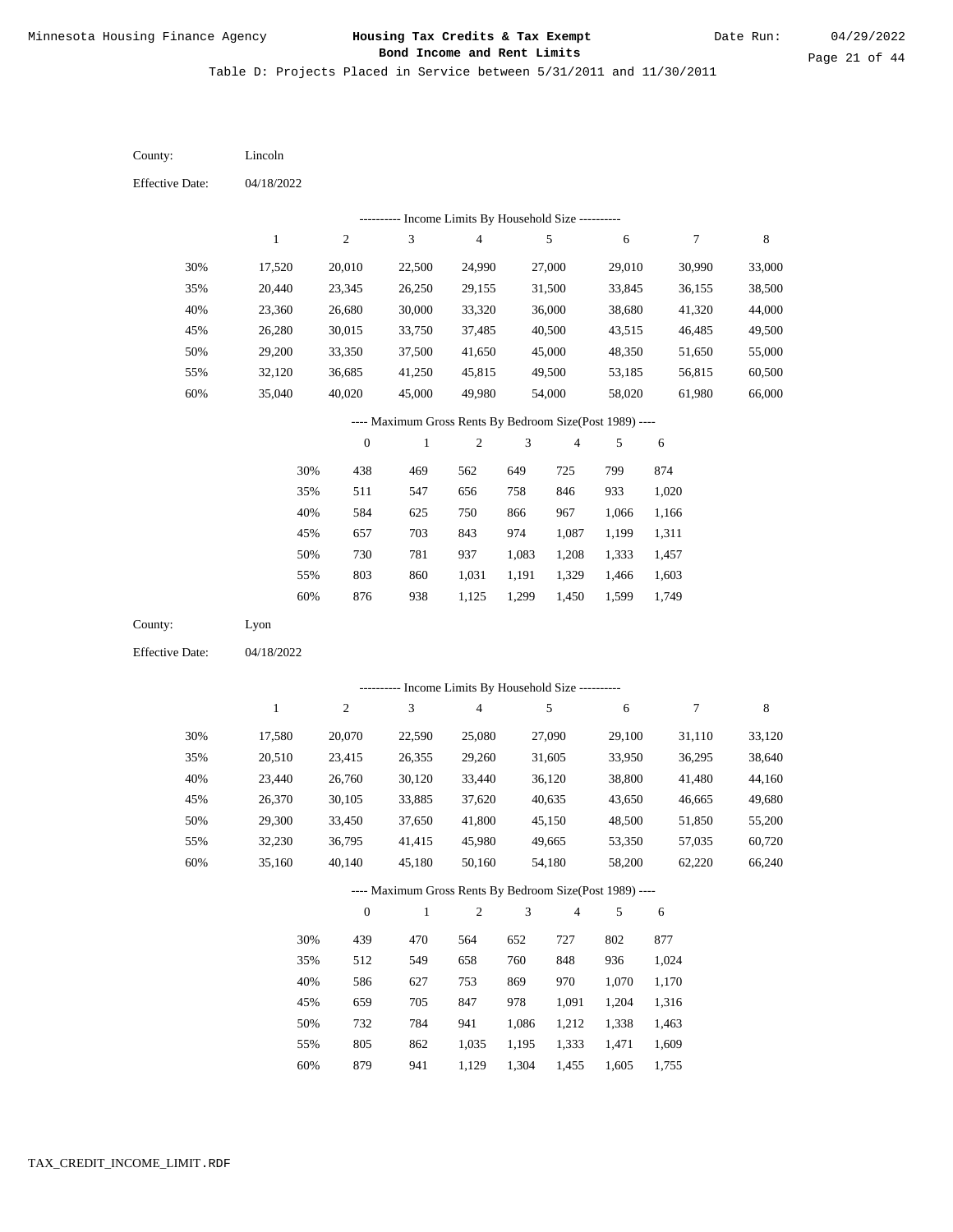Table D: Projects Placed in Service between 5/31/2011 and 11/30/2011

| County:                | Lincoln      |                  |                                                          |                          |                |                |        |            |         |
|------------------------|--------------|------------------|----------------------------------------------------------|--------------------------|----------------|----------------|--------|------------|---------|
| <b>Effective Date:</b> | 04/18/2022   |                  |                                                          |                          |                |                |        |            |         |
|                        |              |                  | ---------- Income Limits By Household Size ----------    |                          |                |                |        |            |         |
|                        | $\mathbf{1}$ | $\boldsymbol{2}$ | 3                                                        | $\overline{\mathcal{A}}$ |                | 5              | 6      | 7          | $\,8\,$ |
| 30%                    | 17,520       | 20,010           | 22,500                                                   | 24,990                   |                | 27,000         | 29,010 | 30,990     | 33,000  |
| 35%                    | 20,440       | 23,345           | 26,250                                                   | 29,155                   |                | 31,500         | 33,845 | 36,155     | 38,500  |
| 40%                    | 23,360       | 26,680           | 30,000                                                   | 33,320                   |                | 36,000         | 38,680 | 41,320     | 44,000  |
| 45%                    | 26,280       | 30,015           | 33,750                                                   | 37,485                   |                | 40,500         | 43,515 | 46,485     | 49,500  |
| 50%                    | 29,200       | 33,350           | 37,500                                                   | 41,650                   |                | 45,000         | 48,350 | 51,650     | 55,000  |
| 55%                    | 32,120       | 36,685           | 41,250                                                   | 45,815                   |                | 49,500         | 53,185 | 56,815     | 60,500  |
| 60%                    | 35,040       | 40,020           | 45,000                                                   | 49,980                   |                | 54,000         | 58,020 | 61,980     | 66,000  |
|                        |              |                  | ---- Maximum Gross Rents By Bedroom Size(Post 1989) ---- |                          |                |                |        |            |         |
|                        |              | $\boldsymbol{0}$ | $\mathbf{1}$                                             | $\boldsymbol{2}$         | 3              | 4              | 5      | 6          |         |
|                        | 30%          | 438              | 469                                                      | 562                      | 649            | 725            | 799    | 874        |         |
|                        | 35%          | 511              | 547                                                      | 656                      | 758            | 846            | 933    | 1,020      |         |
|                        | 40%          | 584              | 625                                                      | 750                      | 866            | 967            | 1,066  | 1,166      |         |
|                        | 45%          | 657              | 703                                                      | 843                      | 974            | 1,087          | 1,199  | 1,311      |         |
|                        | 50%          | 730              | 781                                                      | 937                      | 1,083          | 1,208          | 1,333  | 1,457      |         |
|                        | 55%          | 803              | 860                                                      | 1,031                    | 1,191          | 1,329          | 1,466  | 1,603      |         |
|                        | 60%          | 876              | 938                                                      | 1,125                    | 1,299          | 1,450          | 1,599  | 1,749      |         |
| County:                | Lyon         |                  |                                                          |                          |                |                |        |            |         |
| <b>Effective Date:</b> | 04/18/2022   |                  |                                                          |                          |                |                |        |            |         |
|                        |              |                  | --------- Income Limits By Household Size ----------     |                          |                |                |        |            |         |
|                        | $\mathbf{1}$ | $\boldsymbol{2}$ | 3                                                        | $\overline{4}$           |                | 5              | 6      | 7          | $\,8\,$ |
| 30%                    | 17,580       | 20,070           | 22,590                                                   | 25,080                   |                | 27,090         | 29,100 | 31,110     | 33,120  |
| 35%                    | 20,510       | 23,415           | 26,355                                                   | 29,260                   |                | 31,605         | 33,950 | 36,295     | 38,640  |
| 40%                    | 23,440       | 26,760           | 30,120                                                   | 33,440                   |                | 36,120         | 38,800 | 41,480     | 44,160  |
| 45%                    | 26,370       | 30,105           | 33,885                                                   | 37,620                   |                | 40,635         | 43,650 | 46,665     | 49,680  |
| 50%                    | 29,300       | 33,450           | 37,650                                                   | 41,800                   |                | 45,150         | 48,500 | 51,850     | 55,200  |
| 55%                    | 32,230       | 36,795           | 41,415                                                   | 45,980                   |                | 49,665         | 53,350 | 57,035     | 60,720  |
| 60%                    | 35,160       | 40,140           | 45,180                                                   | 50,160                   |                | 54,180         | 58,200 | 62,220     | 66,240  |
|                        |              |                  | ---- Maximum Gross Rents By Bedroom Size(Post 1989) ---- |                          |                |                |        |            |         |
|                        |              | $\boldsymbol{0}$ | $\,1$                                                    | $\sqrt{2}$               | $\mathfrak{Z}$ | $\overline{4}$ | 5      | $\sqrt{6}$ |         |
|                        | 30%          | 439              | 470                                                      | 564                      | 652            | 727            | 802    | 877        |         |
|                        | 35%          | 512              | 549                                                      | 658                      | 760            | 848            | 936    | 1,024      |         |
|                        | 40%          | 586              | 627                                                      | 753                      | 869            | 970            | 1,070  | 1,170      |         |
|                        | 45%          | 659              | 705                                                      | 847                      | 978            | 1,091          | 1,204  | 1,316      |         |
|                        | 50%          | 732              | 784                                                      | 941                      | 1,086          | 1,212          | 1,338  | 1,463      |         |
|                        | 55%          | 805              | 862                                                      | 1,035                    | 1,195          | 1,333          | 1,471  | 1,609      |         |

879 941 1,129 1,304 1,455 1,605 1,755 60%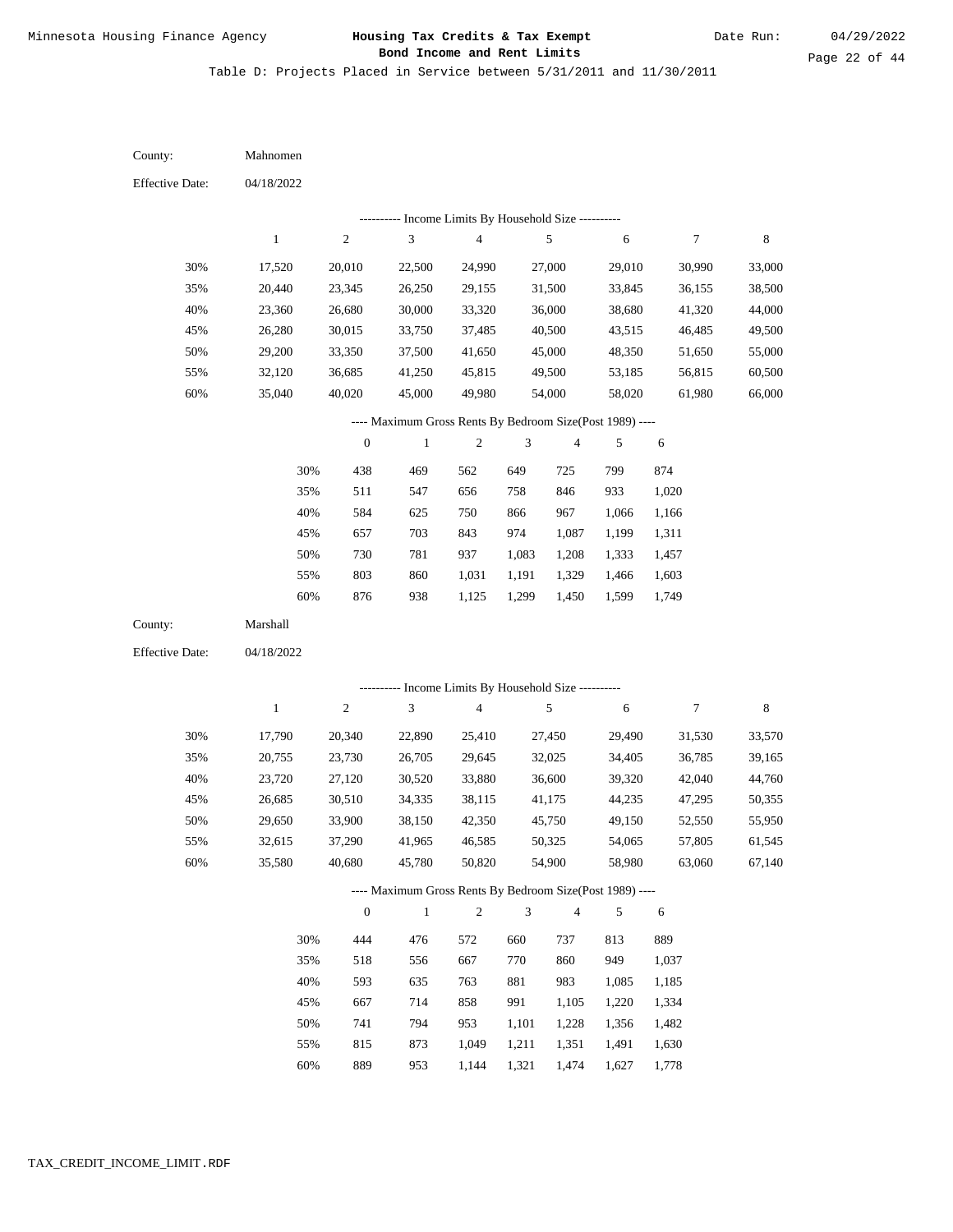Table D: Projects Placed in Service between 5/31/2011 and 11/30/2011

04/18/2022 04/18/2022 Mahnomen Marshall 30% 35% 40% 45% 50% 55% 60% 30% 35% 40% 45% 50% 55% 60% 17,520 20,440 23,360 26,280 29,200 32,120 35,040 17,790 20,755 23,720 26,685 29,650 32,615 35,580 20,010 23,345 26,680 30,015 33,350 36,685 40,020 20,340 23,730 27,120 30,510 33,900 37,290 40,680 22,500 26,250 30,000 33,750 37,500 41,250 45,000 22,890 26,705 30,520 34,335 38,150 41,965 45,780 24,990 29,155 33,320 37,485 41,650 45,815 49,980 25,410 29,645 33,880 38,115 42,350 46,585 50,820 27,000 31,500 36,000 40,500 45,000 49,500 54,000 27,450 32,025 36,600 41,175 45,750 50,325 54,900 29,010 33,845 38,680 43,515 48,350 53,185 58,020 29,490 34,405 39,320 44,235 49,150 54,065 58,980 30,990 36,155 41,320 46,485 51,650 56,815 61,980 31,530 36,785 42,040 47,295 52,550 57,805 63,060 33,000 38,500 44,000 49,500 55,000 60,500 66,000 33,570 39,165 44,760 50,355 55,950 61,545 67,140 438 511 584 657 730 803 876 444 518 593 667 741 815 469 547 625 703 781 860 938 476 556 635 714 794 873 562 656 750 843 937 1,031 1,125 572 667 763 858 953 1,049 649 758 866 974 1,083 1,191 1,299 660 770 881 991 1,101 1,211 725 846 967 1,087 1,208 1,329 1,450 737 860 983 1,105 1,228 1,351 799 933 1,066 1,199 1,333 1,466 1,599 813 949 1,085 1,220 1,356 1,491 874 1,020 1,166 1,311 1,457 1,603 1,749 889 1,037 1,185 1,334 1,482 1,630 County: County: Effective Date: Effective Date: 1 1 2 2 3 3 4 4 5 5 6 6 7 7 8 8 0 0 1 1 2 2 3 3 4 4 5 5 6 6 ---------- Income Limits By Household Size ---------- ---------- Income Limits By Household Size ---------- ---- Maximum Gross Rents By Bedroom Size(Post 1989) ---- ---- Maximum Gross Rents By Bedroom Size(Post 1989) ---- 30% 35% 40% 45% 50% 55% 60% 30% 35% 40% 45% 50% 55%

889

60%

953

1,144

1,321

1,474

1,627

1,778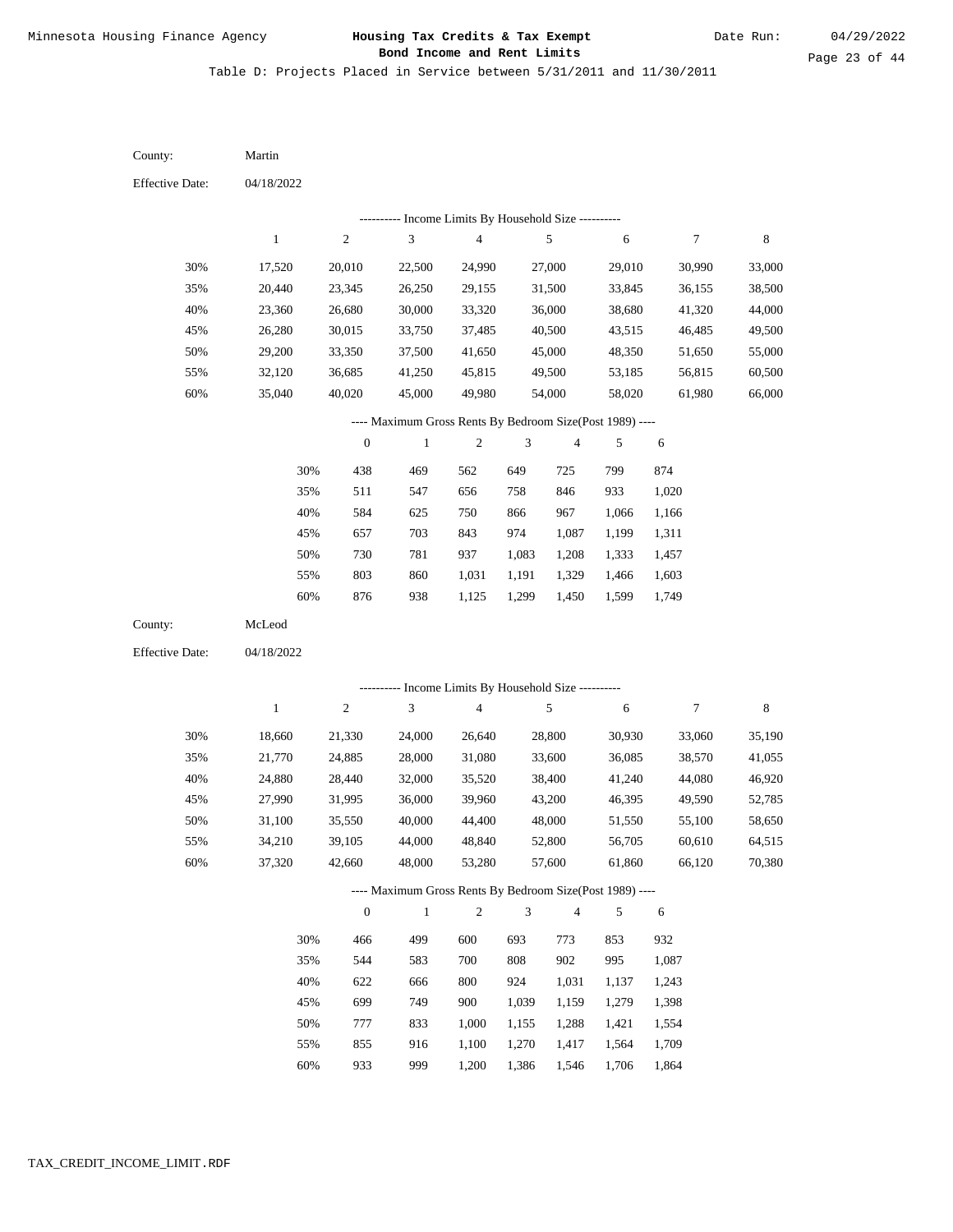Table D: Projects Placed in Service between 5/31/2011 and 11/30/2011

| County:                | Martin       |                  |                                                                        |                         |                |                |        |            |             |
|------------------------|--------------|------------------|------------------------------------------------------------------------|-------------------------|----------------|----------------|--------|------------|-------------|
| <b>Effective Date:</b> | 04/18/2022   |                  |                                                                        |                         |                |                |        |            |             |
|                        |              |                  | --------- Income Limits By Household Size ----------                   |                         |                |                |        |            |             |
|                        | $\mathbf{1}$ | $\boldsymbol{2}$ | $\ensuremath{\mathfrak{Z}}$                                            | $\overline{\mathbf{4}}$ |                | $\sqrt{5}$     | 6      | 7          | $\,$ 8 $\,$ |
| 30%                    | 17,520       | 20,010           | 22,500                                                                 | 24,990                  |                | 27,000         | 29,010 | 30,990     | 33,000      |
| 35%                    | 20,440       | 23,345           | 26,250                                                                 | 29,155                  |                | 31,500         | 33,845 | 36,155     | 38,500      |
| 40%                    | 23,360       | 26,680           | 30,000                                                                 | 33,320                  |                | 36,000         | 38,680 | 41,320     | 44,000      |
| 45%                    | 26,280       | 30,015           | 33,750                                                                 | 37,485                  |                | 40,500         | 43,515 | 46,485     | 49,500      |
| 50%                    | 29,200       | 33,350           | 37,500                                                                 | 41,650                  |                | 45,000         | 48,350 | 51,650     | 55,000      |
| 55%                    | 32,120       | 36,685           | 41,250                                                                 | 45,815                  |                | 49,500         | 53,185 | 56,815     | 60,500      |
| 60%                    | 35,040       | 40,020           | 45,000                                                                 | 49,980                  |                | 54,000         | 58,020 | 61,980     | 66,000      |
|                        |              |                  | ---- Maximum Gross Rents By Bedroom Size(Post 1989) ----               |                         |                |                |        |            |             |
|                        |              | $\boldsymbol{0}$ | $\mathbf{1}$                                                           | $\boldsymbol{2}$        | 3              | 4              | 5      | 6          |             |
|                        | 30%          | 438              | 469                                                                    | 562                     | 649            | 725            | 799    | 874        |             |
|                        | 35%          | 511              | 547                                                                    | 656                     | 758            | 846            | 933    | 1,020      |             |
|                        | 40%          | 584              | 625                                                                    | 750                     | 866            | 967            | 1,066  | 1,166      |             |
|                        | 45%          | 657              | 703                                                                    | 843                     | 974            | 1,087          | 1,199  | 1,311      |             |
|                        | 50%          | 730              | 781                                                                    | 937                     | 1,083          | 1,208          | 1,333  | 1,457      |             |
|                        | 55%          | 803              | 860                                                                    | 1,031                   | 1,191          | 1,329          | 1,466  | 1,603      |             |
|                        | 60%          | 876              | 938                                                                    | 1,125                   | 1,299          | 1,450          | 1,599  | 1,749      |             |
| County:                | McLeod       |                  |                                                                        |                         |                |                |        |            |             |
| <b>Effective Date:</b> | 04/18/2022   |                  |                                                                        |                         |                |                |        |            |             |
|                        |              |                  |                                                                        |                         |                |                |        |            |             |
|                        | $\mathbf{1}$ | $\sqrt{2}$       | --------- Income Limits By Household Size ----------<br>$\mathfrak{Z}$ | $\overline{4}$          |                | $\sqrt{5}$     | 6      | 7          | $\,$ 8 $\,$ |
|                        |              |                  |                                                                        |                         |                |                |        |            |             |
| 30%                    | 18,660       | 21,330           | 24,000                                                                 | 26,640                  |                | 28,800         | 30,930 | 33,060     | 35,190      |
| 35%                    | 21,770       | 24,885           | 28,000                                                                 | 31,080                  |                | 33,600         | 36,085 | 38,570     | 41,055      |
| 40%                    | 24,880       | 28,440           | 32,000                                                                 | 35,520                  |                | 38,400         | 41,240 | 44,080     | 46,920      |
| 45%                    | 27,990       | 31,995           | 36,000                                                                 | 39,960                  |                | 43,200         | 46,395 | 49,590     | 52,785      |
| 50%                    | 31,100       | 35,550           | 40,000                                                                 | 44,400                  |                | 48,000         | 51,550 | 55,100     | 58,650      |
| 55%                    | 34,210       | 39,105           | 44,000                                                                 | 48,840                  |                | 52,800         | 56,705 | 60,610     | 64,515      |
| 60%                    | 37,320       | 42,660           | 48,000                                                                 | 53,280                  |                | 57,600         | 61,860 | 66,120     | 70,380      |
|                        |              |                  | ---- Maximum Gross Rents By Bedroom Size(Post 1989) ----               |                         |                |                |        |            |             |
|                        |              | $\boldsymbol{0}$ | $\mathbf{1}$                                                           | $\sqrt{2}$              | $\mathfrak{Z}$ | $\overline{4}$ | 5      | $\sqrt{6}$ |             |
|                        | 30%          | 466              | 499                                                                    | 600                     | 693            | 773            | 853    | 932        |             |
|                        | 35%          | 544              | 583                                                                    | 700                     | 808            | 902            | 995    | 1,087      |             |
|                        | 40%          | 622              | 666                                                                    | 800                     | 924            | 1,031          | 1,137  | 1,243      |             |
|                        | 45%          | 699              | 749                                                                    | 900                     | 1,039          | 1,159          | 1,279  | 1,398      |             |
|                        | 50%          | 777              | 833                                                                    | 1,000                   | 1,155          | 1,288          | 1,421  | 1,554      |             |
|                        | 55%          | 855              | 916                                                                    | 1,100                   | 1,270          | 1,417          | 1,564  | 1,709      |             |

933 999 1,200 1,386 1,546 1,706 1,864 60%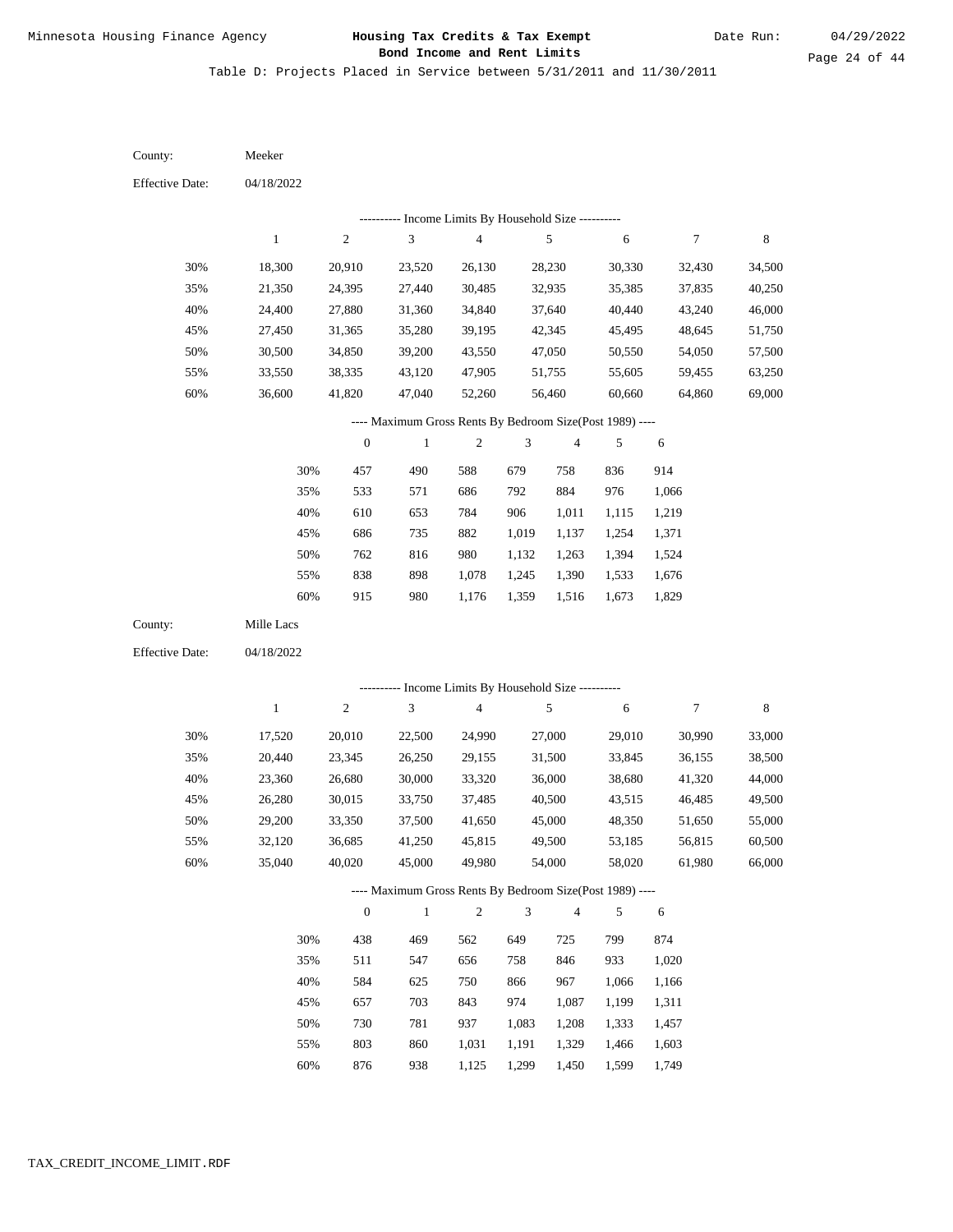Table D: Projects Placed in Service between 5/31/2011 and 11/30/2011

| County:                | Meeker           |                  |                                                          |                          |                |                |                  |                  |                  |
|------------------------|------------------|------------------|----------------------------------------------------------|--------------------------|----------------|----------------|------------------|------------------|------------------|
| <b>Effective Date:</b> | 04/18/2022       |                  |                                                          |                          |                |                |                  |                  |                  |
|                        |                  |                  | --------- Income Limits By Household Size ----------     |                          |                |                |                  |                  |                  |
|                        | $\mathbf{1}$     | $\sqrt{2}$       | $\mathfrak{Z}$                                           | $\overline{\mathcal{L}}$ |                | $\sqrt{5}$     | 6                | $\boldsymbol{7}$ | $\,$ 8 $\,$      |
| 30%                    | 18,300           | 20,910           | 23,520                                                   | 26,130                   |                | 28,230         | 30,330           | 32,430           | 34,500           |
| 35%                    | 21,350           | 24,395           | 27,440                                                   | 30,485                   |                | 32,935         | 35,385           | 37,835           | 40,250           |
| 40%                    | 24,400           | 27,880           | 31,360                                                   | 34,840                   |                | 37,640         | 40,440           | 43,240           | 46,000           |
| 45%                    | 27,450           | 31,365           | 35,280                                                   | 39,195                   |                | 42,345         | 45,495           | 48,645           | 51,750           |
| 50%                    | 30,500           | 34,850           | 39,200                                                   | 43,550                   |                | 47,050         | 50,550           | 54,050           | 57,500           |
| 55%                    | 33,550           | 38,335           | 43,120                                                   | 47,905                   |                | 51,755         | 55,605           | 59,455           | 63,250           |
| 60%                    | 36,600           | 41,820           | 47,040                                                   | 52,260                   |                | 56,460         | 60,660           | 64,860           | 69,000           |
|                        |                  |                  | ---- Maximum Gross Rents By Bedroom Size(Post 1989) ---- |                          |                |                |                  |                  |                  |
|                        |                  | $\boldsymbol{0}$ | $\,1$                                                    | $\sqrt{2}$               | 3              | 4              | 5                | 6                |                  |
|                        | 30%              | 457              | 490                                                      | 588                      | 679            | 758            | 836              | 914              |                  |
|                        | 35%              | 533              | 571                                                      | 686                      | 792            | 884            | 976              | 1,066            |                  |
|                        | 40%              | 610              | 653                                                      | 784                      | 906            | 1,011          | 1,115            | 1,219            |                  |
|                        | 45%              | 686              | 735                                                      | 882                      | 1,019          | 1,137          | 1,254            | 1,371            |                  |
|                        | 50%              | 762              | 816                                                      | 980                      | 1,132          | 1,263          | 1,394            | 1,524            |                  |
|                        | 55%              | 838              | 898                                                      | 1,078                    | 1,245          | 1,390          | 1,533            | 1,676            |                  |
|                        | 60%              | 915              | 980                                                      | 1,176                    | 1,359          | 1,516          | 1,673            | 1,829            |                  |
| County:                | Mille Lacs       |                  |                                                          |                          |                |                |                  |                  |                  |
| <b>Effective Date:</b> | 04/18/2022       |                  |                                                          |                          |                |                |                  |                  |                  |
|                        |                  |                  | --------- Income Limits By Household Size ----------     |                          |                |                |                  |                  |                  |
|                        | $\mathbf{1}$     | $\sqrt{2}$       | 3                                                        | $\overline{4}$           |                | $\sqrt{5}$     | 6                | $\boldsymbol{7}$ | $\,$ 8 $\,$      |
| 30%                    |                  |                  |                                                          |                          |                | 27,000         |                  |                  |                  |
| 35%                    | 17,520<br>20,440 | 20,010<br>23,345 | 22,500<br>26,250                                         | 24,990<br>29,155         |                | 31,500         | 29,010<br>33,845 | 30,990<br>36,155 | 33,000<br>38,500 |
| 40%                    | 23,360           | 26,680           | 30,000                                                   | 33,320                   |                | 36,000         | 38,680           | 41,320           | 44,000           |
| 45%                    | 26,280           | 30,015           | 33,750                                                   | 37,485                   |                | 40,500         | 43,515           | 46,485           | 49,500           |
| 50%                    | 29,200           | 33,350           | 37,500                                                   | 41,650                   |                | 45,000         | 48,350           | 51,650           | 55,000           |
| 55%                    | 32,120           | 36,685           | 41,250                                                   | 45,815                   |                | 49,500         | 53,185           | 56,815           | 60,500           |
| 60%                    | 35,040           | 40,020           | 45,000                                                   | 49,980                   |                | 54,000         | 58,020           | 61,980           | 66,000           |
|                        |                  |                  | ---- Maximum Gross Rents By Bedroom Size(Post 1989) ---- |                          |                |                |                  |                  |                  |
|                        |                  | $\boldsymbol{0}$ | $\mathbf{1}$                                             | $\sqrt{2}$               | $\mathfrak{Z}$ | $\overline{4}$ | 5                | 6                |                  |
|                        | 30%              | 438              | 469                                                      | 562                      | 649            | 725            | 799              | 874              |                  |
|                        | 35%              | 511              | 547                                                      | 656                      | 758            | 846            | 933              | 1,020            |                  |
|                        | 40%              | 584              | 625                                                      | 750                      | 866            | 967            | 1,066            | 1,166            |                  |
|                        | 45%              | 657              | 703                                                      | 843                      | 974            | 1,087          | 1,199            | 1,311            |                  |
|                        | 50%              | 730              | 781                                                      | 937                      | 1,083          | 1,208          | 1,333            | 1,457            |                  |
|                        | 55%              | 803              | 860                                                      | 1,031                    | 1,191          | 1,329          | 1,466            | 1,603            |                  |
|                        |                  |                  |                                                          |                          |                |                |                  |                  |                  |

876 938 1,125 1,299 1,450 1,599 1,749 60%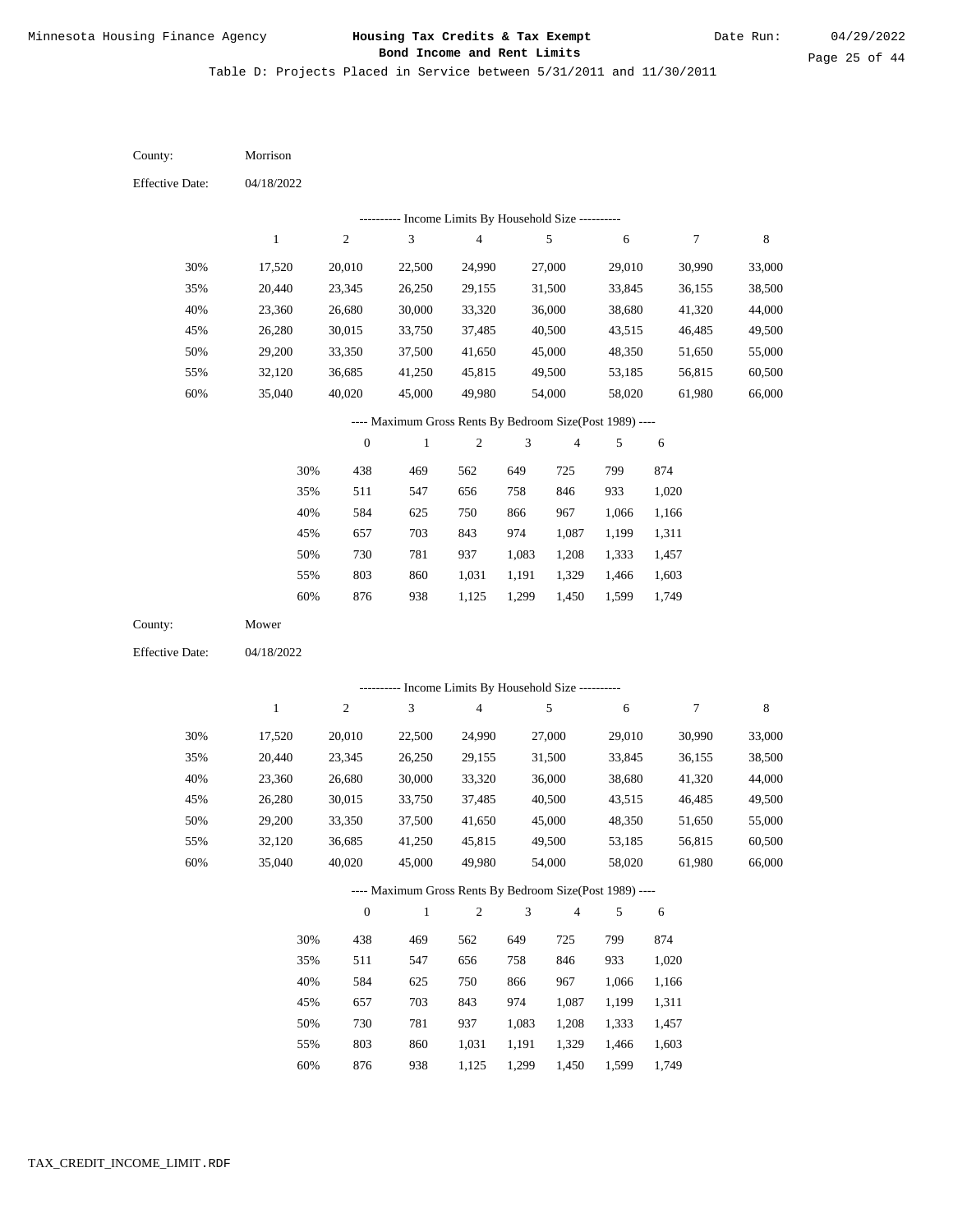Table D: Projects Placed in Service between 5/31/2011 and 11/30/2011

04/18/2022 04/18/2022 Morrison Mower 30% 35% 40% 45% 50% 55% 60% 30% 35% 40% 45% 50% 55% 60% 17,520 20,440 23,360 26,280 29,200 32,120 35,040 17,520 20,440 23,360 26,280 29,200 32,120 35,040 20,010 23,345 26,680 30,015 33,350 36,685 40,020 20,010 23,345 26,680 30,015 33,350 36,685 40,020 22,500 26,250 30,000 33,750 37,500 41,250 45,000 22,500 26,250 30,000 33,750 37,500 41,250 45,000 24,990 29,155 33,320 37,485 41,650 45,815 49,980 24,990 29,155 33,320 37,485 41,650 45,815 49,980 27,000 31,500 36,000 40,500 45,000 49,500 54,000 27,000 31,500 36,000 40,500 45,000 49,500 54,000 29,010 33,845 38,680 43,515 48,350 53,185 58,020 29,010 33,845 38,680 43,515 48,350 53,185 58,020 30,990 36,155 41,320 46,485 51,650 56,815 61,980 30,990 36,155 41,320 46,485 51,650 56,815 61,980 33,000 38,500 44,000 49,500 55,000 60,500 66,000 33,000 38,500 44,000 49,500 55,000 60,500 66,000 438 511 584 657 730 803 876 438 511 584 657 730 803 469 547 625 703 781 860 938 469 547 625 703 781 860 562 656 750 843 937 1,031 1,125 562 656 750 843 937 1,031 649 758 866 974 1,083 1,191 1,299 649 758 866 974 1,083 1,191 725 846 967 1,087 1,208 1,329 1,450 725 846 967 1,087 1,208 1,329 799 933 1,066 1,199 1,333 1,466 1,599 799 933 1,066 1,199 1,333 1,466 874 1,020 1,166 1,311 1,457 1,603 1,749 874 1,020 1,166 1,311 1,457 1,603 County: County: Effective Date: Effective Date: 1 1 2 2 3 3 4 4 5 5 6 6 7 7 8 8 0 0 1 1 2 2 3 3 4 4 5 5 6 6 ---------- Income Limits By Household Size ---------- ---------- Income Limits By Household Size ---------- ---- Maximum Gross Rents By Bedroom Size(Post 1989) ---- ---- Maximum Gross Rents By Bedroom Size(Post 1989) ---- 30% 35% 40% 45% 50% 55% 60% 30% 35% 40% 45% 50% 55%

876

60%

938

1,125

1,299

1,450

1,599

1,749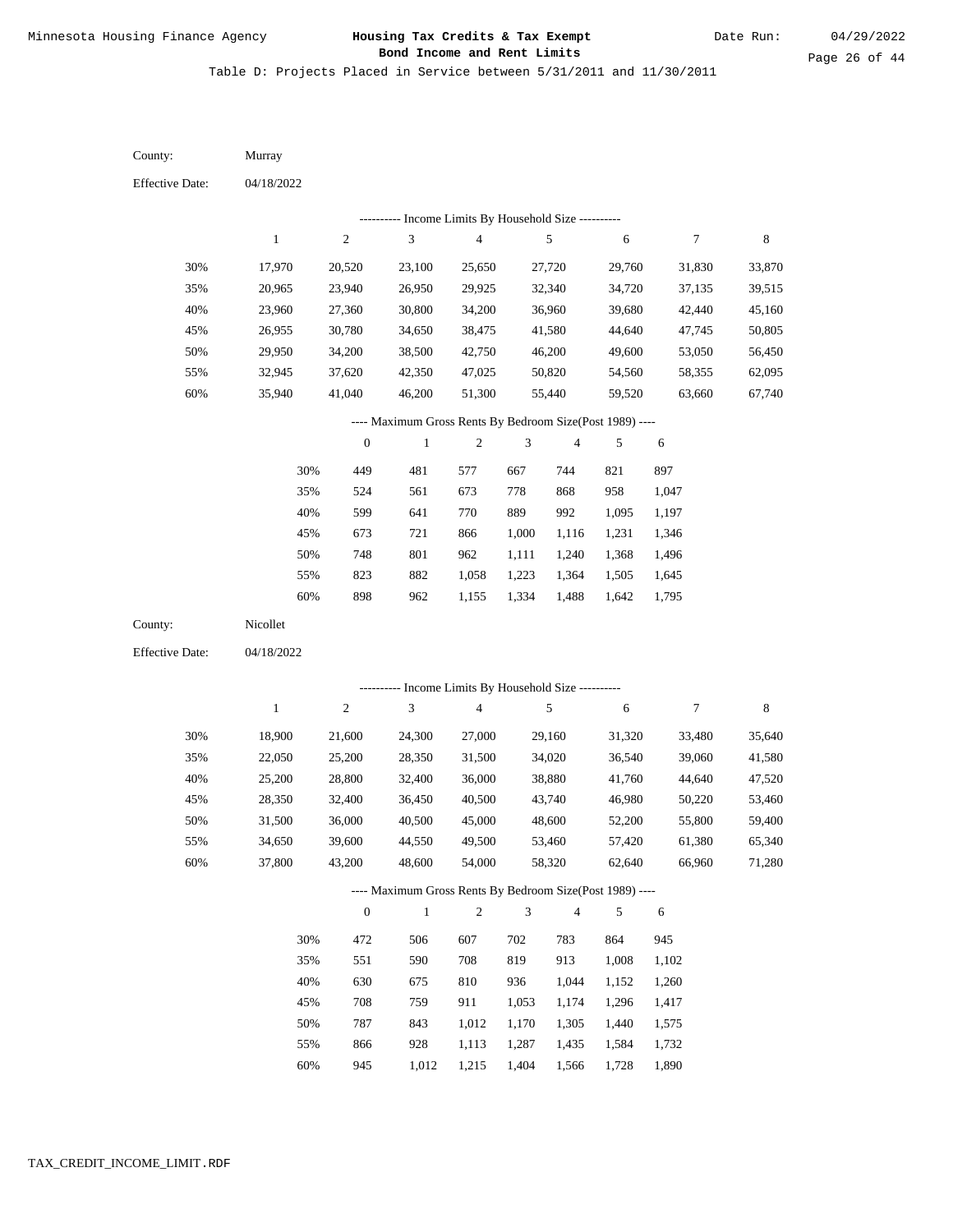Page 26 of 44

Table D: Projects Placed in Service between 5/31/2011 and 11/30/2011

| County:                | Murray       |                  |                                                          |                                            |                |                |        |                  |        |
|------------------------|--------------|------------------|----------------------------------------------------------|--------------------------------------------|----------------|----------------|--------|------------------|--------|
| <b>Effective Date:</b> | 04/18/2022   |                  |                                                          |                                            |                |                |        |                  |        |
|                        |              |                  | --------- Income Limits By Household Size ----------     |                                            |                |                |        |                  |        |
|                        | $\mathbf{1}$ | $\boldsymbol{2}$ | 3                                                        | 4                                          |                | 5              | 6      | $\boldsymbol{7}$ | 8      |
| 30%                    | 17,970       | 20,520           | 23,100                                                   | 25,650                                     |                | 27,720         | 29,760 | 31,830           | 33,870 |
| 35%                    | 20,965       | 23,940           | 26,950                                                   | 29,925                                     |                | 32,340         | 34,720 | 37,135           | 39,515 |
| 40%                    | 23,960       | 27,360           | 30,800                                                   | 34,200                                     |                | 36,960         | 39,680 | 42,440           | 45,160 |
| 45%                    | 26,955       | 30,780           | 34,650                                                   | 38,475                                     |                | 41,580         | 44,640 | 47,745           | 50,805 |
| 50%                    | 29,950       | 34,200           | 38,500                                                   | 42,750                                     |                | 46,200         | 49,600 | 53,050           | 56,450 |
| 55%                    | 32,945       | 37,620           | 42,350                                                   | 47,025                                     |                | 50,820         | 54,560 | 58,355           | 62,095 |
| 60%                    | 35,940       | 41,040           | 46,200                                                   | 51,300                                     |                | 55,440         | 59,520 | 63,660           | 67,740 |
|                        |              |                  | ---- Maximum Gross Rents By Bedroom Size(Post 1989) ---- |                                            |                |                |        |                  |        |
|                        |              | $\boldsymbol{0}$ | $\mathbf{1}$                                             | 2                                          | 3              | $\overline{4}$ | 5      | 6                |        |
|                        | 30%          | 449              | 481                                                      | 577                                        | 667            | 744            | 821    | 897              |        |
|                        | 35%          | 524              | 561                                                      | 673                                        | 778            | 868            | 958    | 1,047            |        |
|                        | 40%          | 599              | 641                                                      | 770                                        | 889            | 992            | 1,095  | 1,197            |        |
|                        | 45%          | 673              | 721                                                      | 866                                        | 1,000          | 1,116          | 1,231  | 1,346            |        |
|                        | 50%          | 748              | 801                                                      | 962                                        | 1,111          | 1,240          | 1,368  | 1,496            |        |
|                        | 55%          | 823              | 882                                                      | 1,058                                      | 1,223          | 1,364          | 1,505  | 1,645            |        |
|                        | 60%          | 898              | 962                                                      | 1,155                                      | 1,334          | 1,488          | 1,642  | 1,795            |        |
| County:                | Nicollet     |                  |                                                          |                                            |                |                |        |                  |        |
| <b>Effective Date:</b> | 04/18/2022   |                  |                                                          |                                            |                |                |        |                  |        |
|                        |              |                  |                                                          | Income Limits By Household Size ---------- |                |                |        |                  |        |
|                        | $\mathbf{1}$ | $\boldsymbol{2}$ | 3                                                        | $\overline{\mathbf{4}}$                    |                | 5              | 6      | $\boldsymbol{7}$ | 8      |
| 30%                    | 18,900       | 21,600           | 24,300                                                   | 27,000                                     |                | 29,160         | 31,320 | 33,480           | 35,640 |
| 35%                    | 22,050       | 25,200           | 28,350                                                   | 31,500                                     |                | 34,020         | 36,540 | 39,060           | 41,580 |
| 40%                    | 25,200       | 28,800           | 32,400                                                   | 36,000                                     |                | 38,880         | 41,760 | 44,640           | 47,520 |
| 45%                    | 28,350       | 32,400           | 36,450                                                   | 40,500                                     |                | 43,740         | 46,980 | 50,220           | 53,460 |
| 50%                    | 31,500       | 36,000           | 40,500                                                   | 45,000                                     |                | 48,600         | 52,200 | 55,800           | 59,400 |
| 55%                    | 34,650       | 39,600           | 44,550                                                   | 49,500                                     |                | 53,460         | 57,420 | 61,380           | 65,340 |
| 60%                    | 37,800       | 43,200           | 48,600                                                   | 54,000                                     |                | 58,320         | 62,640 | 66,960           | 71,280 |
|                        |              |                  | ---- Maximum Gross Rents By Bedroom Size(Post 1989) ---- |                                            |                |                |        |                  |        |
|                        |              | $\boldsymbol{0}$ | $\mathbf{1}$                                             | $\overline{c}$                             | $\mathfrak{Z}$ | $\overline{4}$ | 5      | $\sqrt{6}$       |        |
|                        | 30%          | 472              | 506                                                      | 607                                        | 702            | 783            | 864    | 945              |        |
|                        | 35%          | 551              | 590                                                      | 708                                        | 819            | 913            | 1,008  | 1,102            |        |
|                        | 40%          | 630              | 675                                                      | 810                                        | 936            | 1,044          | 1,152  | 1,260            |        |
|                        | 45%          | 708              | 759                                                      | 911                                        | 1,053          | 1,174          | 1,296  | 1,417            |        |
|                        | 50%          | 787              | 843                                                      | 1,012                                      | 1,170          | 1,305          | 1,440  | 1,575            |        |
|                        | 55%          | 866              | 928                                                      | 1,113                                      | 1,287          | 1,435          | 1,584  | 1,732            |        |

60% 945 1,012 1,215 1,404 1,566 1,728 1,890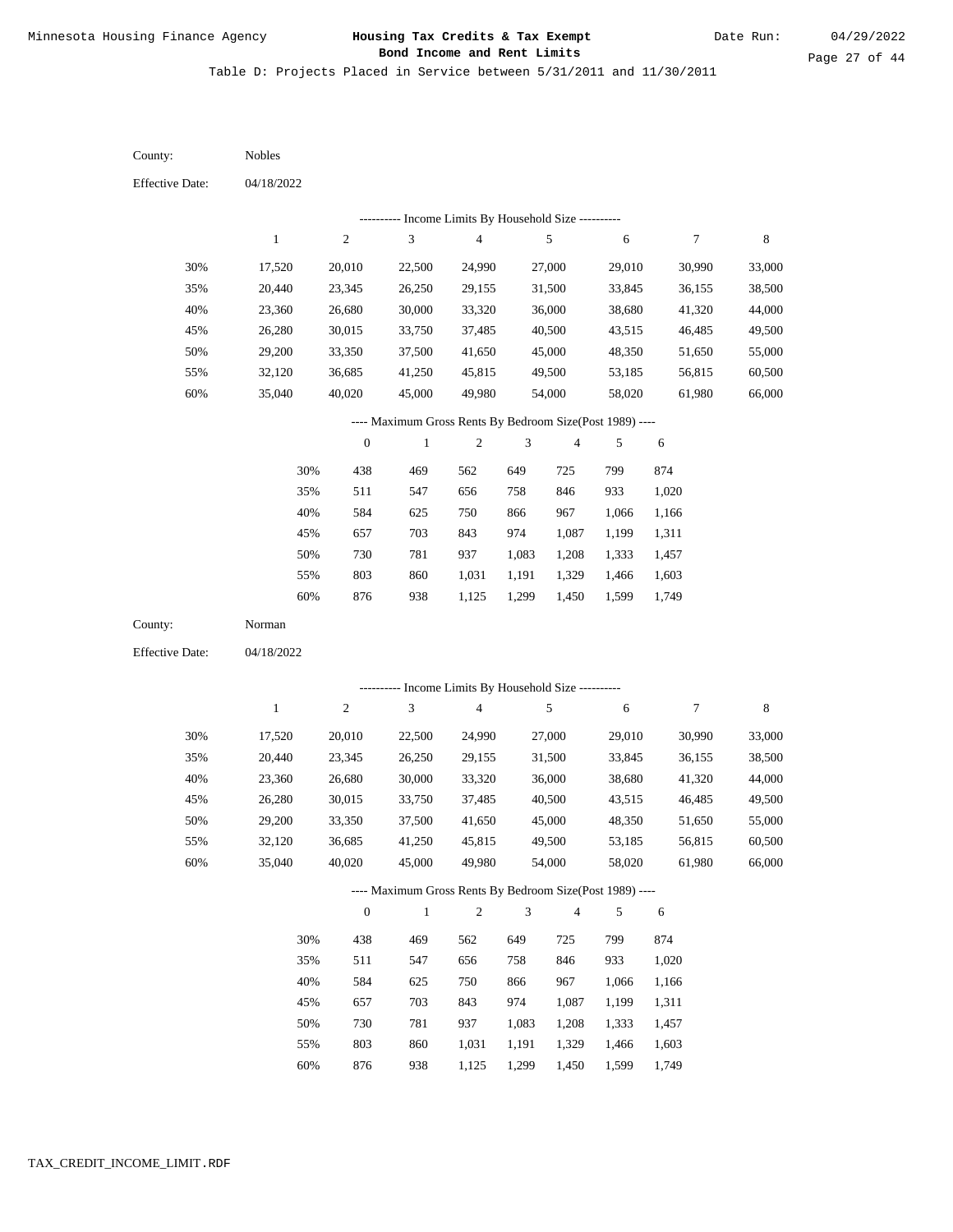Table D: Projects Placed in Service between 5/31/2011 and 11/30/2011

04/18/2022 04/18/2022 Nobles Norman 30% 35% 40% 45% 50% 55% 60% 30% 35% 40% 45% 50% 55% 60% 17,520 20,440 23,360 26,280 29,200 32,120 35,040 17,520 20,440 23,360 26,280 29,200 32,120 35,040 20,010 23,345 26,680 30,015 33,350 36,685 40,020 20,010 23,345 26,680 30,015 33,350 36,685 40,020 22,500 26,250 30,000 33,750 37,500 41,250 45,000 22,500 26,250 30,000 33,750 37,500 41,250 45,000 24,990 29,155 33,320 37,485 41,650 45,815 49,980 24,990 29,155 33,320 37,485 41,650 45,815 49,980 27,000 31,500 36,000 40,500 45,000 49,500 54,000 27,000 31,500 36,000 40,500 45,000 49,500 54,000 29,010 33,845 38,680 43,515 48,350 53,185 58,020 29,010 33,845 38,680 43,515 48,350 53,185 58,020 30,990 36,155 41,320 46,485 51,650 56,815 61,980 30,990 36,155 41,320 46,485 51,650 56,815 61,980 33,000 38,500 44,000 49,500 55,000 60,500 66,000 33,000 38,500 44,000 49,500 55,000 60,500 66,000 438 511 584 657 730 803 876 438 511 584 657 730 803 876 469 547 625 703 781 860 938 469 547 625 703 781 860 938 562 656 750 843 937 1,031 1,125 562 656 750 843 937 1,031 1,125 649 758 866 974 1,083 1,191 1,299 649 758 866 974 1,083 1,191 1,299 725 846 967 1,087 1,208 1,329 1,450 725 846 967 1,087 1,208 1,329 1,450 799 933 1,066 1,199 1,333 1,466 1,599 799 933 1,066 1,199 1,333 1,466 1,599 874 1,020 1,166 1,311 1,457 1,603 1,749 874 1,020 1,166 1,311 1,457 1,603 1,749 County: County: Effective Date: Effective Date: 1 1 2 2 3 3 4 4 5 5 6 6 7 7 8 8 0 0 1 1 2 2 3 3 4 4 5 5 6 6 ---------- Income Limits By Household Size ---------- ---------- Income Limits By Household Size ---------- ---- Maximum Gross Rents By Bedroom Size(Post 1989) ---- ---- Maximum Gross Rents By Bedroom Size(Post 1989) ---- 30% 35% 40% 45% 50% 55% 60% 30% 35% 40% 45% 50% 55% 60%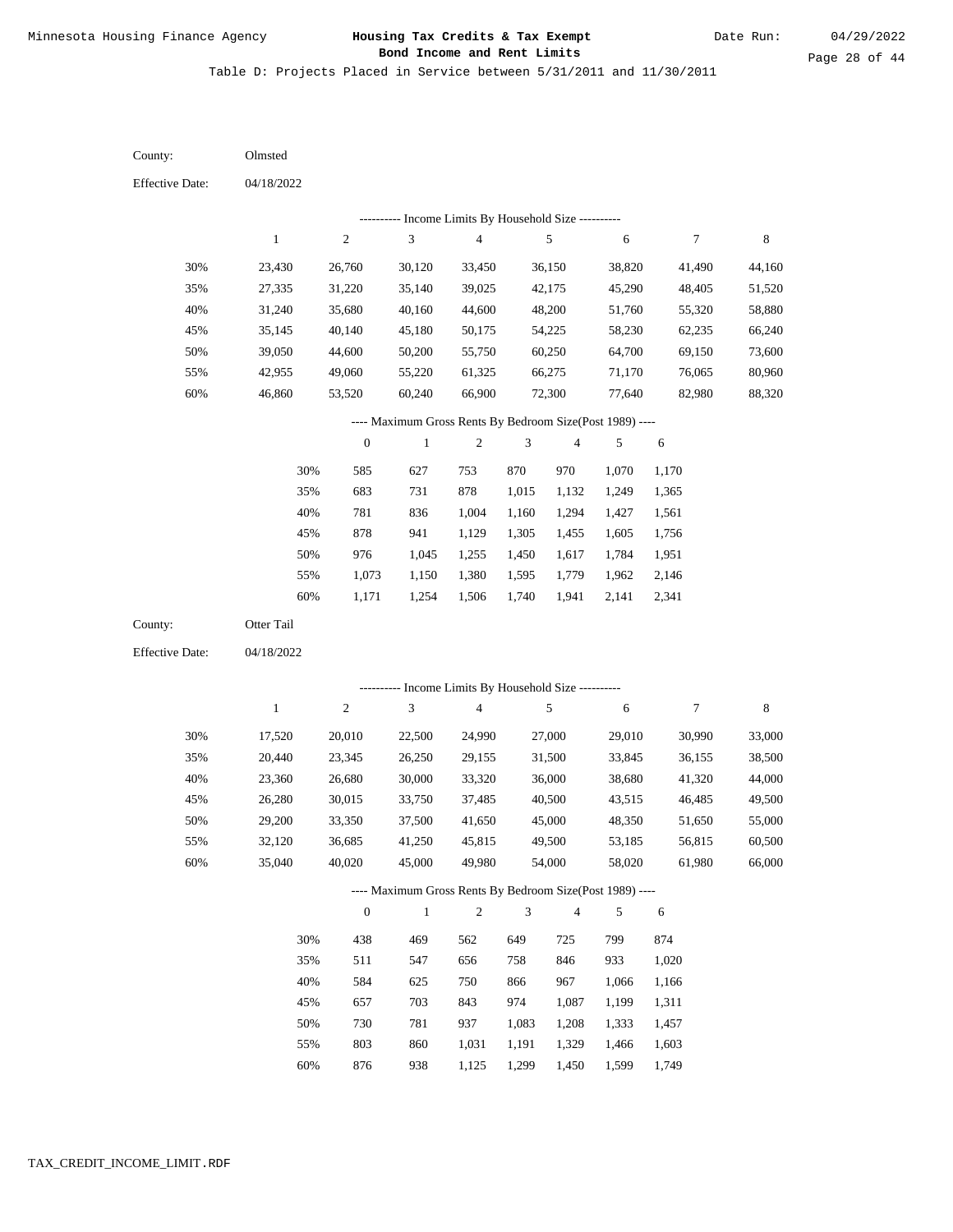Table D: Projects Placed in Service between 5/31/2011 and 11/30/2011

04/18/2022 04/18/2022 Olmsted Otter Tail 30% 35% 40% 45% 50% 55% 60% 30% 35% 40% 45% 50% 55% 60% 23,430 27,335 31,240 35,145 39,050 42,955 46,860 17,520 20,440 23,360 26,280 29,200 32,120 35,040 26,760 31,220 35,680 40,140 44,600 49,060 53,520 20,010 23,345 26,680 30,015 33,350 36,685 40,020 30,120 35,140 40,160 45,180 50,200 55,220 60,240 22,500 26,250 30,000 33,750 37,500 41,250 45,000 33,450 39,025 44,600 50,175 55,750 61,325 66,900 24,990 29,155 33,320 37,485 41,650 45,815 49,980 36,150 42,175 48,200 54,225 60,250 66,275 72,300 27,000 31,500 36,000 40,500 45,000 49,500 54,000 38,820 45,290 51,760 58,230 64,700 71,170 77,640 29,010 33,845 38,680 43,515 48,350 53,185 58,020 41,490 48,405 55,320 62,235 69,150 76,065 82,980 30,990 36,155 41,320 46,485 51,650 56,815 61,980 44,160 51,520 58,880 66,240 73,600 80,960 88,320 33,000 38,500 44,000 49,500 55,000 60,500 66,000 585 683 781 878 976 1,073 1,171 438 511 584 657 730 803 876 627 731 836 941 1,045 1,150 1,254 469 547 625 703 781 860 938 753 878 1,004 1,129 1,255 1,380 1,506 562 656 750 843 937 1,031 1,125 870 1,015 1,160 1,305 1,450 1,595 1,740 649 758 866 974 1,083 1,191 1,299 970 1,132 1,294 1,455 1,617 1,779 1,941 725 846 967 1,087 1,208 1,329 1,450 1,070 1,249 1,427 1,605 1,784 1,962 2,141 799 933 1,066 1,199 1,333 1,466 1,599 1,170 1,365 1,561 1,756 1,951 2,146 2,341 874 1,020 1,166 1,311 1,457 1,603 1,749 County: County: Effective Date: Effective Date: 1 1 2 2 3 3 4 4 5 5 6 6 7 7 8 8 0 0 1 1 2 2 3 3 4 4 5 5 6 6 ---------- Income Limits By Household Size ---------- ---------- Income Limits By Household Size ---------- ---- Maximum Gross Rents By Bedroom Size(Post 1989) ---- ---- Maximum Gross Rents By Bedroom Size(Post 1989) ---- 30% 35% 40% 45% 50% 55% 60% 30% 35% 40% 45% 50% 55% 60%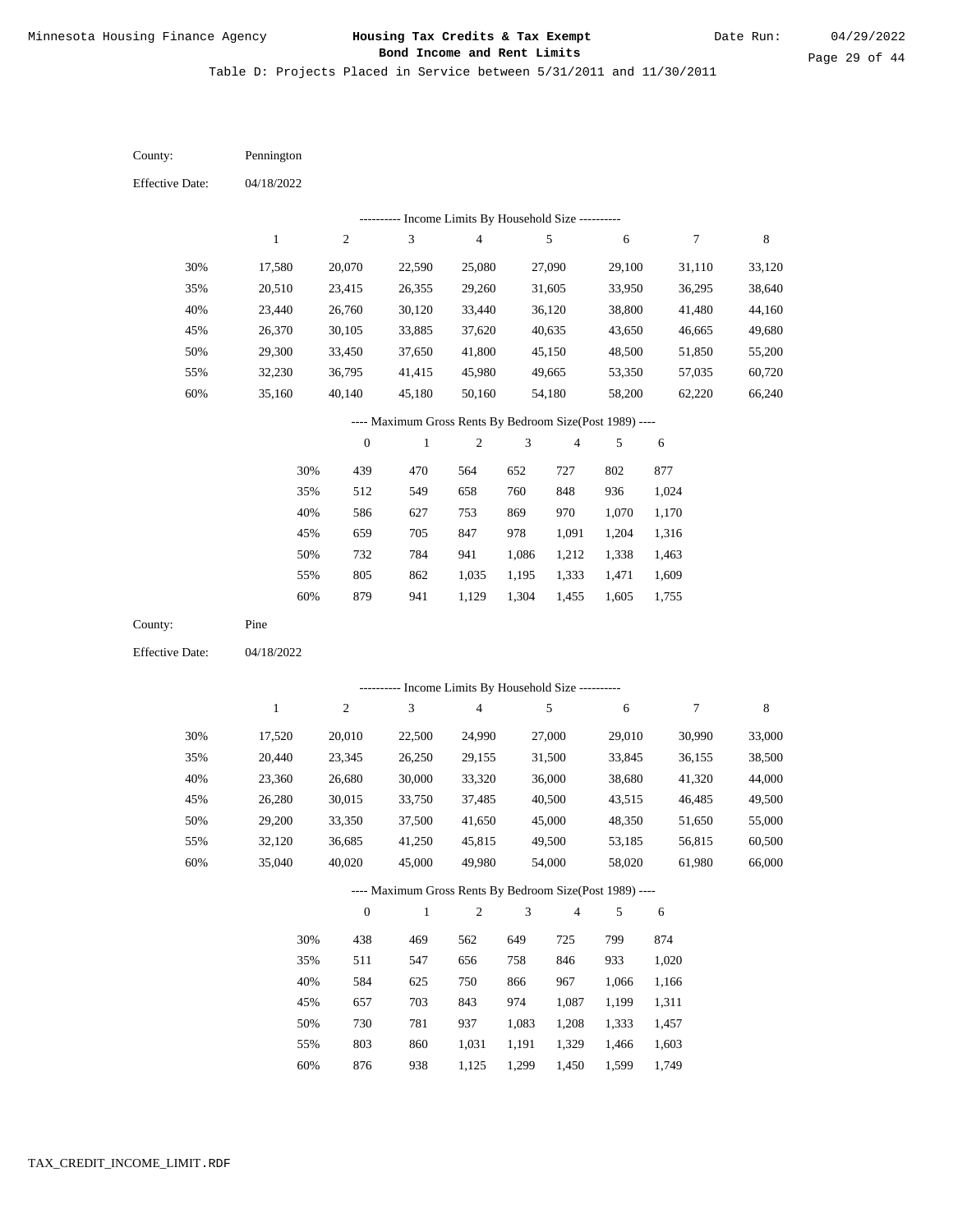Table D: Projects Placed in Service between 5/31/2011 and 11/30/2011

04/18/2022 04/18/2022 Pennington Pine 30% 35% 40% 45% 50% 55% 60% 30% 35% 40% 45% 50% 55% 60% 17,580 20,510 23,440 26,370 29,300 32,230 35,160 17,520 20,440 23,360 26,280 29,200 32,120 35,040 20,070 23,415 26,760 30,105 33,450 36,795 40,140 20,010 23,345 26,680 30,015 33,350 36,685 40,020 22,590 26,355 30,120 33,885 37,650 41,415 45,180 22,500 26,250 30,000 33,750 37,500 41,250 45,000 25,080 29,260 33,440 37,620 41,800 45,980 50,160 24,990 29,155 33,320 37,485 41,650 45,815 49,980 27,090 31,605 36,120 40,635 45,150 49,665 54,180 27,000 31,500 36,000 40,500 45,000 49,500 54,000 29,100 33,950 38,800 43,650 48,500 53,350 58,200 29,010 33,845 38,680 43,515 48,350 53,185 58,020 31,110 36,295 41,480 46,665 51,850 57,035 62,220 30,990 36,155 41,320 46,485 51,650 56,815 61,980 33,120 38,640 44,160 49,680 55,200 60,720 66,240 33,000 38,500 44,000 49,500 55,000 60,500 66,000 439 512 586 659 732 805 879 438 511 584 657 730 803 876 470 549 627 705 784 862 941 469 547 625 703 781 860 938 564 658 753 847 941 1,035 1,129 562 656 750 843 937 1,031 1,125 652 760 869 978 1,086 1,195 1,304 649 758 866 974 1,083 1,191 1,299 727 848 970 1,091 1,212 1,333 1,455 725 846 967 1,087 1,208 1,329 1,450 802 936 1,070 1,204 1,338 1,471 1,605 799 933 1,066 1,199 1,333 1,466 1,599 877 1,024 1,170 1,316 1,463 1,609 1,755 874 1,020 1,166 1,311 1,457 1,603 1,749 County: County: Effective Date: Effective Date: 1 1 2 2 3 3 4 4 5 5 6 6 7 7 8 8 0 0 1 1 2 2 3 3 4 4 5 5 6 6 ---------- Income Limits By Household Size ---------- ---------- Income Limits By Household Size ---------- ---- Maximum Gross Rents By Bedroom Size(Post 1989) ---- ---- Maximum Gross Rents By Bedroom Size(Post 1989) ---- 30% 35% 40% 45% 50% 55% 60% 30% 35% 40% 45% 50% 55% 60%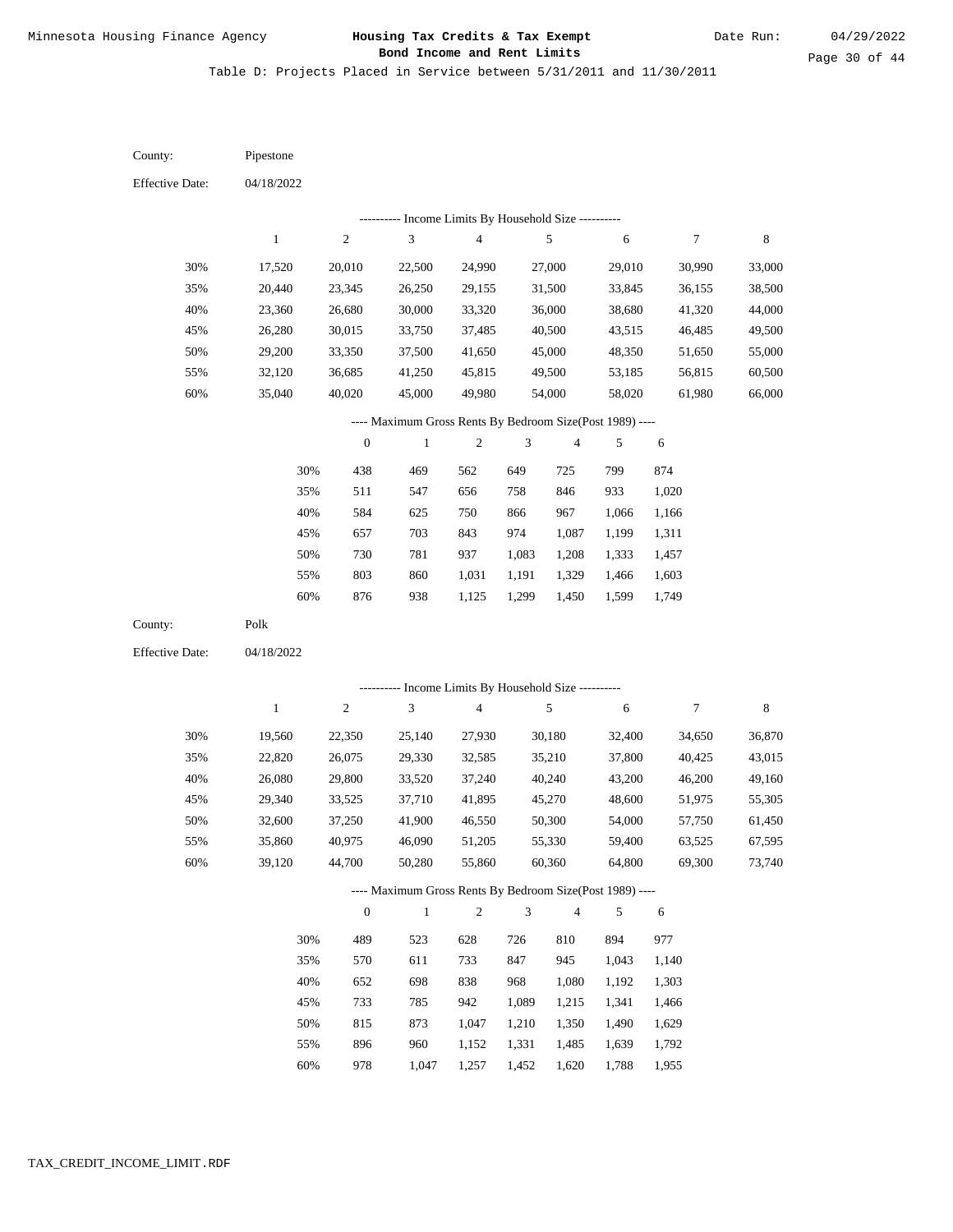Table D: Projects Placed in Service between 5/31/2011 and 11/30/2011

| County:                | Pipestone        |                  |                                                          |                          |                |                  |                  |                  |                  |
|------------------------|------------------|------------------|----------------------------------------------------------|--------------------------|----------------|------------------|------------------|------------------|------------------|
| <b>Effective Date:</b> | 04/18/2022       |                  |                                                          |                          |                |                  |                  |                  |                  |
|                        |                  |                  | ---------- Income Limits By Household Size ----------    |                          |                |                  |                  |                  |                  |
|                        | $\mathbf{1}$     | $\sqrt{2}$       | $\sqrt{3}$                                               | $\overline{\mathcal{L}}$ |                | $\sqrt{5}$       | 6                | $\boldsymbol{7}$ | $\,$ 8 $\,$      |
| 30%                    | 17,520           | 20,010           | 22,500                                                   | 24,990                   |                | 27,000           | 29,010           | 30,990           | 33,000           |
| 35%                    | 20,440           | 23,345           | 26,250                                                   | 29,155                   |                | 31,500           | 33,845           | 36,155           | 38,500           |
| 40%                    | 23,360           | 26,680           | 30,000                                                   | 33,320                   |                | 36,000           | 38,680           | 41,320           | 44,000           |
| 45%                    | 26,280           | 30,015           | 33,750                                                   | 37,485                   |                | 40,500           | 43,515           | 46,485           | 49,500           |
| 50%                    | 29,200           | 33,350           | 37,500                                                   | 41,650                   |                | 45,000           | 48,350           | 51,650           | 55,000           |
| 55%                    | 32,120           | 36,685           | 41,250                                                   | 45,815                   |                | 49,500           | 53,185           | 56,815           | 60,500           |
| 60%                    | 35,040           | 40,020           | 45,000                                                   | 49,980                   |                | 54,000           | 58,020           | 61,980           | 66,000           |
|                        |                  |                  | ---- Maximum Gross Rents By Bedroom Size(Post 1989) ---- |                          |                |                  |                  |                  |                  |
|                        |                  | $\boldsymbol{0}$ | $\,1$                                                    | $\boldsymbol{2}$         | 3              | 4                | 5                | 6                |                  |
|                        | 30%              | 438              | 469                                                      | 562                      | 649            | 725              | 799              | 874              |                  |
|                        | 35%              | 511              | 547                                                      | 656                      | 758            | 846              | 933              | 1,020            |                  |
|                        | 40%              | 584              | 625                                                      | 750                      | 866            | 967              | 1,066            | 1,166            |                  |
|                        | 45%              | 657              | 703                                                      | 843                      | 974            | 1,087            | 1,199            | 1,311            |                  |
|                        | 50%              | 730              | 781                                                      | 937                      | 1,083          | 1,208            | 1,333            | 1,457            |                  |
|                        | 55%              | 803              | 860                                                      | 1,031                    | 1,191          | 1,329            | 1,466            | 1,603            |                  |
|                        | 60%              | 876              | 938                                                      | 1,125                    | 1,299          | 1,450            | 1,599            | 1,749            |                  |
| County:                | Polk             |                  |                                                          |                          |                |                  |                  |                  |                  |
| <b>Effective Date:</b> | 04/18/2022       |                  |                                                          |                          |                |                  |                  |                  |                  |
|                        |                  |                  | ---------- Income Limits By Household Size ----------    |                          |                |                  |                  |                  |                  |
|                        | $\mathbf{1}$     | $\sqrt{2}$       | $\sqrt{3}$                                               | $\overline{\mathbf{4}}$  |                | $\sqrt{5}$       | 6                | $\boldsymbol{7}$ | $\,$ 8 $\,$      |
| 30%                    |                  |                  |                                                          |                          |                |                  |                  |                  |                  |
| 35%                    | 19,560<br>22,820 | 22,350<br>26,075 | 25,140<br>29,330                                         | 27,930<br>32,585         |                | 30,180<br>35,210 | 32,400<br>37,800 | 34,650<br>40,425 | 36,870<br>43,015 |
| 40%                    | 26,080           | 29,800           | 33,520                                                   | 37,240                   |                | 40,240           | 43,200           | 46,200           | 49,160           |
| 45%                    | 29,340           | 33,525           | 37,710                                                   | 41,895                   |                | 45,270           | 48,600           | 51,975           | 55,305           |
| 50%                    | 32,600           | 37,250           | 41,900                                                   | 46,550                   |                | 50,300           | 54,000           | 57,750           | 61,450           |
| 55%                    | 35,860           | 40,975           | 46,090                                                   | 51,205                   |                | 55,330           | 59,400           | 63,525           | 67,595           |
| 60%                    | 39,120           | 44,700           | 50,280                                                   | 55,860                   |                | 60,360           | 64,800           | 69,300           | 73,740           |
|                        |                  |                  | ---- Maximum Gross Rents By Bedroom Size(Post 1989) ---- |                          |                |                  |                  |                  |                  |
|                        |                  | $\boldsymbol{0}$ | $\,1\,$                                                  | $\sqrt{2}$               | $\mathfrak{Z}$ | 4                | 5                | 6                |                  |
|                        | 30%              | 489              | 523                                                      | 628                      | 726            | 810              | 894              | 977              |                  |
|                        | 35%              | 570              | 611                                                      | 733                      | 847            | 945              | 1,043            | 1,140            |                  |
|                        | 40%              | 652              | 698                                                      | 838                      | 968            | 1,080            | 1,192            | 1,303            |                  |
|                        | 45%              | 733              | 785                                                      | 942                      | 1,089          | 1,215            | 1,341            | 1,466            |                  |
|                        | 50%              | 815              | 873                                                      | 1,047                    | 1,210          | 1,350            | 1,490            | 1,629            |                  |
|                        | 55%              | 896              | 960                                                      | 1,152                    | 1,331          | 1,485            | 1,639            | 1,792            |                  |
|                        |                  |                  |                                                          |                          |                |                  |                  |                  |                  |

978 1,047 1,257 1,452 1,620 1,788 1,955 60%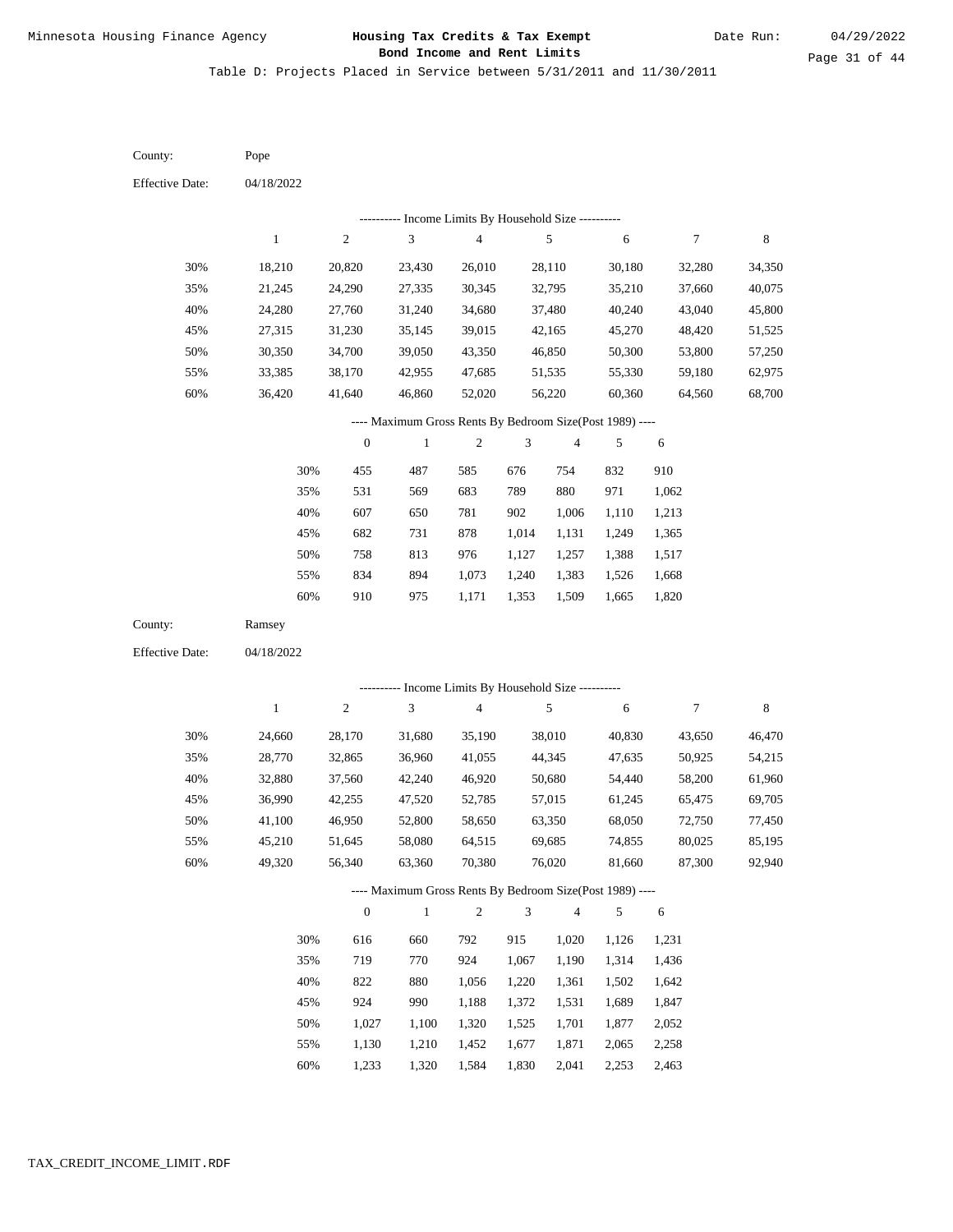Table D: Projects Placed in Service between 5/31/2011 and 11/30/2011

| County:                | Pope                                                     |                  |                                                           |                                            |                             |                         |                  |                  |                  |
|------------------------|----------------------------------------------------------|------------------|-----------------------------------------------------------|--------------------------------------------|-----------------------------|-------------------------|------------------|------------------|------------------|
| <b>Effective Date:</b> | 04/18/2022                                               |                  |                                                           |                                            |                             |                         |                  |                  |                  |
|                        |                                                          |                  |                                                           | Income Limits By Household Size ---------- |                             |                         |                  |                  |                  |
|                        | $\,1$                                                    | $\mathfrak{2}$   | $\ensuremath{\mathfrak{Z}}$                               | $\overline{4}$                             |                             | $\sqrt{5}$              | $\sqrt{6}$       | $\boldsymbol{7}$ | $\,$ 8 $\,$      |
| 30%                    | 18,210                                                   | 20,820           | 23,430                                                    | 26,010                                     |                             | 28,110                  | 30,180           | 32,280           | 34,350           |
| 35%                    | 21,245                                                   | 24,290           | 27,335                                                    | 30,345                                     |                             | 32,795                  | 35,210           | 37,660           | 40,075           |
| 40%                    | 24,280                                                   | 27,760           | 31,240                                                    | 34,680                                     |                             | 37,480                  | 40,240           | 43,040           | 45,800           |
| 45%                    | 27,315                                                   | 31,230           | 35,145                                                    | 39,015                                     |                             | 42,165                  | 45,270           | 48,420           | 51,525           |
| 50%                    | 30,350                                                   | 34,700           | 39,050                                                    | 43,350                                     |                             | 46,850                  | 50,300           | 53,800           | 57,250           |
| 55%                    | 33,385                                                   | 38,170           | 42,955                                                    | 47,685                                     |                             | 51,535                  | 55,330           | 59,180           | 62,975           |
| 60%                    | 36,420                                                   | 41,640           | 46,860                                                    | 52,020                                     |                             | 56,220                  | 60,360           | 64,560           | 68,700           |
|                        |                                                          |                  | ---- Maximum Gross Rents By Bedroom Size(Post 1989) ----  |                                            |                             |                         |                  |                  |                  |
|                        |                                                          | $\boldsymbol{0}$ | $\mathbf{1}$                                              | $\sqrt{2}$                                 | $\ensuremath{\mathfrak{Z}}$ | $\overline{\mathbf{4}}$ | 5                | $\sqrt{6}$       |                  |
|                        | 30%                                                      | 455              | 487                                                       | 585                                        | 676                         | 754                     | 832              | 910              |                  |
|                        | 35%                                                      | 531              | 569                                                       | 683                                        | 789                         | 880                     | 971              | 1,062            |                  |
|                        | 40%                                                      | 607              | 650                                                       | 781                                        | 902                         | 1,006                   | 1,110            | 1,213            |                  |
|                        | 45%                                                      | 682              | 731                                                       | 878                                        | 1,014                       | 1,131                   | 1,249            | 1,365            |                  |
|                        | 50%                                                      | 758              | 813                                                       | 976                                        | 1,127                       | 1,257                   | 1,388            | 1,517            |                  |
|                        | 55%                                                      | 834              | 894                                                       | 1,073                                      | 1,240                       | 1,383                   | 1,526            | 1,668            |                  |
|                        | 60%                                                      | 910              | 975                                                       | 1,171                                      | 1,353                       | 1,509                   | 1,665            | 1,820            |                  |
| County:                | Ramsey                                                   |                  |                                                           |                                            |                             |                         |                  |                  |                  |
| <b>Effective Date:</b> | 04/18/2022                                               |                  |                                                           |                                            |                             |                         |                  |                  |                  |
|                        |                                                          |                  |                                                           |                                            |                             |                         |                  |                  |                  |
|                        | $\mathbf{1}$                                             | $\mathfrak{2}$   | --------- Income Limits By Household Size ----------<br>3 | $\overline{4}$                             |                             | $\sqrt{5}$              | 6                | $\boldsymbol{7}$ | 8                |
|                        |                                                          |                  |                                                           |                                            |                             |                         |                  |                  |                  |
| 30%                    | 24,660                                                   | 28,170           | 31,680                                                    | 35,190                                     |                             | 38,010                  | 40,830           | 43,650           | 46,470           |
| 35%                    | 28,770                                                   | 32,865           | 36,960                                                    | 41,055                                     |                             | 44,345                  | 47,635           | 50,925           | 54,215           |
| 40%<br>45%             | 32,880<br>36,990                                         | 37,560<br>42,255 | 42,240<br>47,520                                          | 46,920<br>52,785                           |                             | 50,680<br>57,015        | 54,440<br>61,245 | 58,200           | 61,960<br>69,705 |
| 50%                    | 41,100                                                   | 46,950           | 52,800                                                    | 58,650                                     |                             | 63,350                  | 68,050           | 65,475<br>72,750 | 77,450           |
| 55%                    | 45,210                                                   | 51,645           | 58,080                                                    | 64,515                                     |                             | 69,685                  | 74,855           | 80,025           | 85,195           |
| 60%                    | 49,320                                                   | 56,340           | 63,360                                                    | 70,380                                     |                             | 76,020                  | 81,660           | 87,300           | 92,940           |
|                        |                                                          |                  |                                                           |                                            |                             |                         |                  |                  |                  |
|                        | ---- Maximum Gross Rents By Bedroom Size(Post 1989) ---- |                  |                                                           |                                            |                             |                         |                  |                  |                  |
|                        |                                                          | $\boldsymbol{0}$ | $\mathbf{1}$                                              | $\sqrt{2}$                                 | $\mathfrak{Z}$              | 4                       | $\sqrt{5}$       | 6                |                  |
|                        | 30%                                                      | 616              | 660                                                       | 792                                        | 915                         | 1,020                   | 1,126            | 1,231            |                  |
|                        | 35%                                                      | 719              | 770                                                       | 924                                        | 1,067                       | 1,190                   | 1,314            | 1,436            |                  |
|                        | 40%                                                      | 822              | 880                                                       | 1,056                                      | 1,220                       | 1,361                   | 1,502            | 1,642            |                  |
|                        | 45%                                                      | 924              | 990                                                       | 1,188                                      | 1,372                       | 1,531                   | 1,689            | 1,847            |                  |
|                        | 50%                                                      | 1,027            | 1,100                                                     | 1,320                                      | 1,525                       | 1,701                   | 1,877            | 2,052            |                  |
|                        | 55%                                                      | 1,130            | 1,210                                                     | 1,452                                      | 1,677                       | 1,871                   | 2,065            | 2,258            |                  |

1,233 1,320 1,584 1,830 2,041 2,253 2,463 60%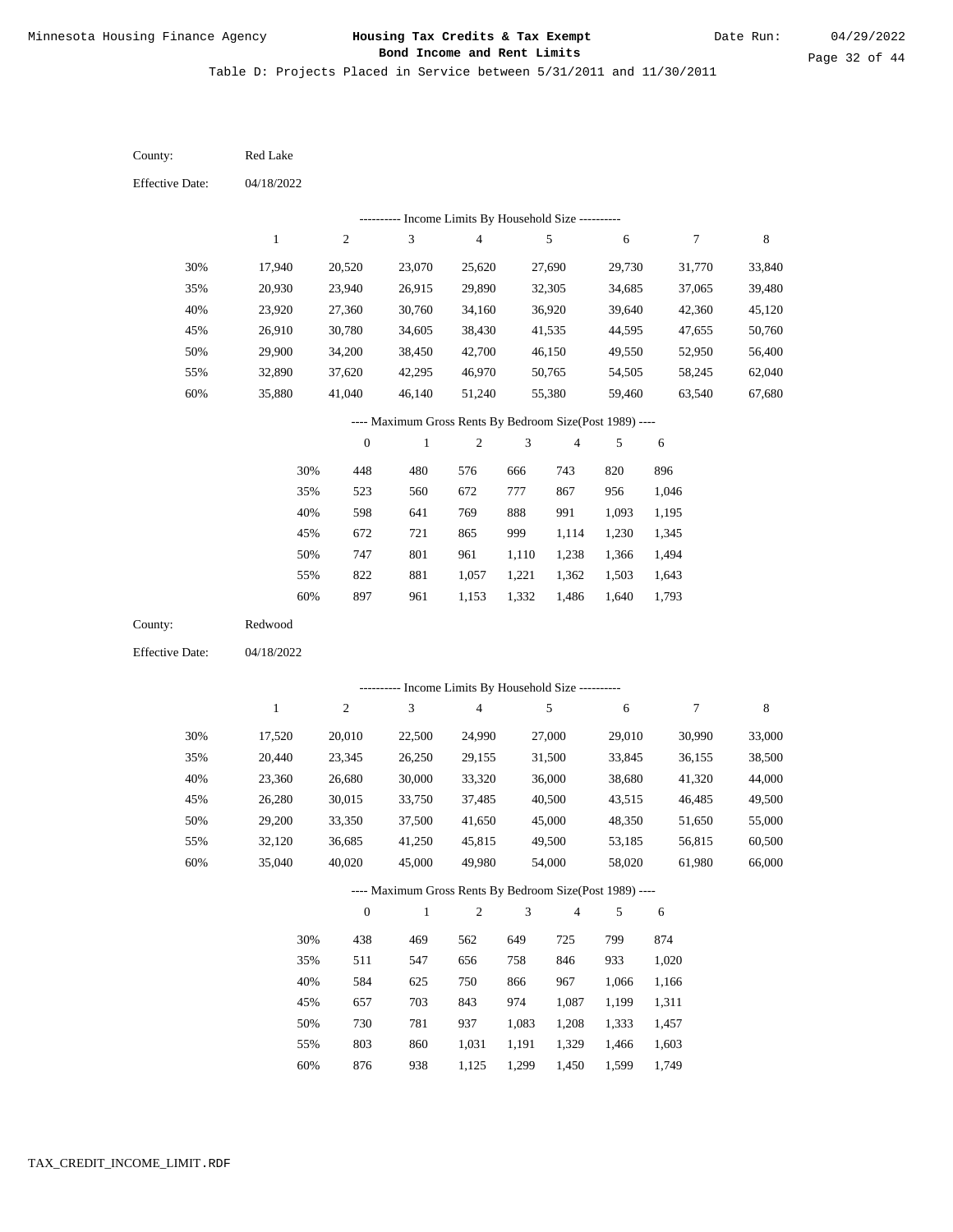Table D: Projects Placed in Service between 5/31/2011 and 11/30/2011

04/18/2022 04/18/2022 Red Lake Redwood 30% 35% 40% 45% 50% 55% 60% 30% 35% 40% 45% 50% 55% 60% 17,940 20,930 23,920 26,910 29,900 32,890 35,880 17,520 20,440 23,360 26,280 29,200 32,120 35,040 20,520 23,940 27,360 30,780 34,200 37,620 41,040 20,010 23,345 26,680 30,015 33,350 36,685 40,020 23,070 26,915 30,760 34,605 38,450 42,295 46,140 22,500 26,250 30,000 33,750 37,500 41,250 45,000 25,620 29,890 34,160 38,430 42,700 46,970 51,240 24,990 29,155 33,320 37,485 41,650 45,815 49,980 27,690 32,305 36,920 41,535 46,150 50,765 55,380 27,000 31,500 36,000 40,500 45,000 49,500 54,000 29,730 34,685 39,640 44,595 49,550 54,505 59,460 29,010 33,845 38,680 43,515 48,350 53,185 58,020 31,770 37,065 42,360 47,655 52,950 58,245 63,540 30,990 36,155 41,320 46,485 51,650 56,815 61,980 33,840 39,480 45,120 50,760 56,400 62,040 67,680 33,000 38,500 44,000 49,500 55,000 60,500 66,000 448 523 598 672 747 822 897 438 511 584 657 730 803 480 560 641 721 801 881 961 469 547 625 703 781 860 576 672 769 865 961 1,057 1,153 562 656 750 843 937 1,031 666 777 888 999 1,110 1,221 1,332 649 758 866 974 1,083 1,191 743 867 991 1,114 1,238 1,362 1,486 725 846 967 1,087 1,208 1,329 820 956 1,093 1,230 1,366 1,503 1,640 799 933 1,066 1,199 1,333 1,466 896 1,046 1,195 1,345 1,494 1,643 1,793 874 1,020 1,166 1,311 1,457 1,603 County: County: Effective Date: Effective Date: 1 1 2 2 3 3 4 4 5 5 6 6 7 7 8 8 0 0 1 1 2 2 3 3 4 4 5 5 6 6 ---------- Income Limits By Household Size ---------- ---------- Income Limits By Household Size ---------- ---- Maximum Gross Rents By Bedroom Size(Post 1989) ---- ---- Maximum Gross Rents By Bedroom Size(Post 1989) ---- 30% 35% 40% 45% 50% 55% 60% 30% 35% 40% 45% 50% 55%

876

60%

938

1,125

1,299

1,450

1,599

1,749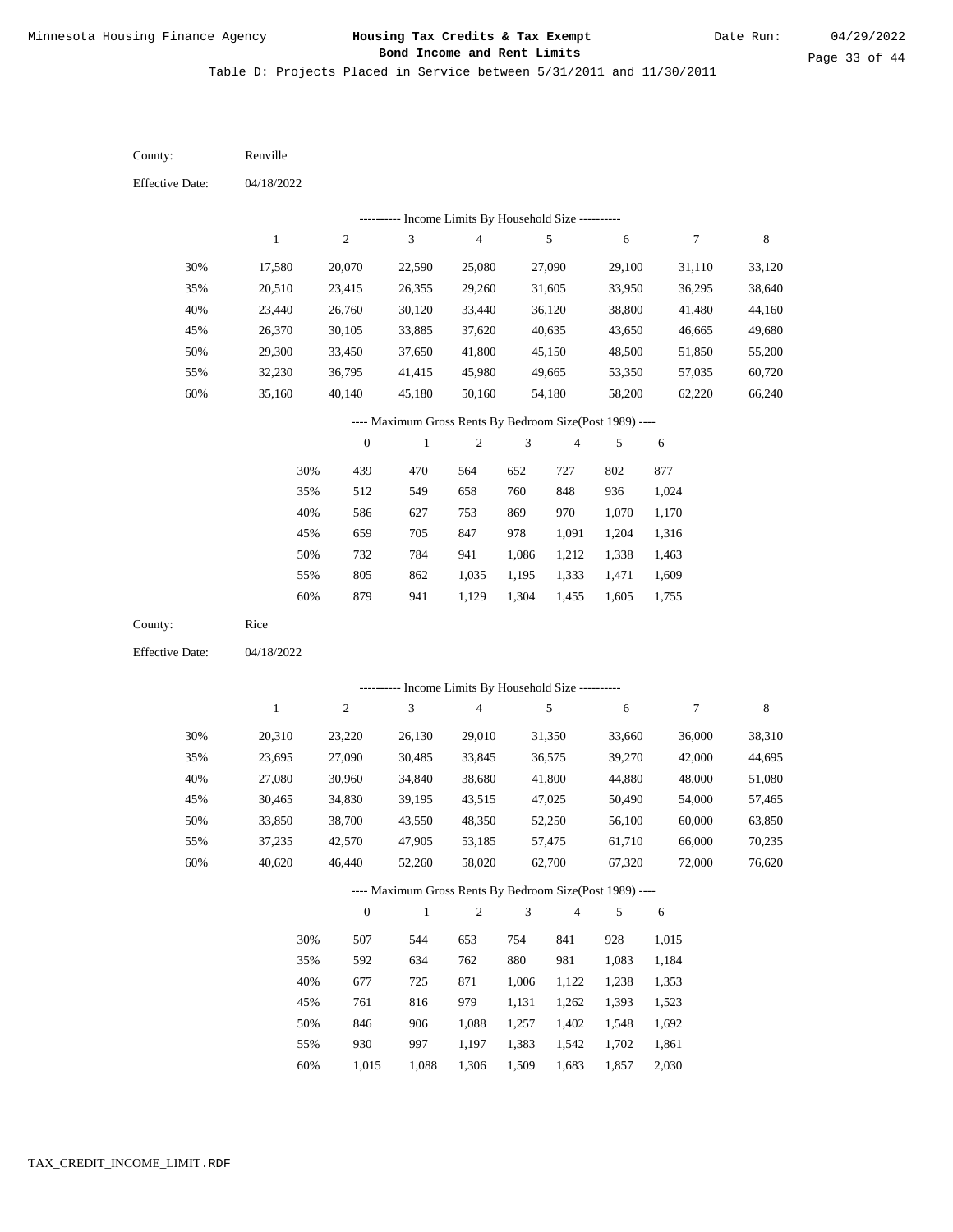Page 33 of 44

Table D: Projects Placed in Service between 5/31/2011 and 11/30/2011

| County:                | Renville     |                  |                                                          |                  |                |                |            |                  |        |
|------------------------|--------------|------------------|----------------------------------------------------------|------------------|----------------|----------------|------------|------------------|--------|
| <b>Effective Date:</b> | 04/18/2022   |                  |                                                          |                  |                |                |            |                  |        |
|                        |              |                  | --------- Income Limits By Household Size ----------     |                  |                |                |            |                  |        |
|                        | $\mathbf{1}$ | $\sqrt{2}$       | 3                                                        | $\overline{4}$   |                | 5              | 6          | $\overline{7}$   | 8      |
| 30%                    | 17,580       | 20,070           | 22,590                                                   | 25,080           |                | 27,090         | 29,100     | 31,110           | 33,120 |
| 35%                    | 20,510       | 23,415           | 26,355                                                   | 29,260           |                | 31,605         | 33,950     | 36,295           | 38,640 |
| 40%                    | 23,440       | 26,760           | 30,120                                                   | 33,440           |                | 36,120         | 38,800     | 41,480           | 44,160 |
| 45%                    | 26,370       | 30,105           | 33,885                                                   | 37,620           |                | 40,635         | 43,650     | 46,665           | 49,680 |
| 50%                    | 29,300       | 33,450           | 37,650                                                   | 41,800           |                | 45,150         | 48,500     | 51,850           | 55,200 |
| 55%                    | 32,230       | 36,795           | 41,415                                                   | 45,980           |                | 49,665         | 53,350     | 57,035           | 60,720 |
| 60%                    | 35,160       | 40,140           | 45,180                                                   | 50,160           |                | 54,180         | 58,200     | 62,220           | 66,240 |
|                        |              |                  | ---- Maximum Gross Rents By Bedroom Size(Post 1989) ---- |                  |                |                |            |                  |        |
|                        |              | $\boldsymbol{0}$ | $\mathbf{1}$                                             | $\boldsymbol{2}$ | 3              | 4              | 5          | 6                |        |
|                        | 30%          | 439              | 470                                                      | 564              | 652            | 727            | 802        | 877              |        |
|                        | 35%          | 512              | 549                                                      | 658              | 760            | 848            | 936        | 1,024            |        |
|                        | 40%          | 586              | 627                                                      | 753              | 869            | 970            | 1,070      | 1,170            |        |
|                        | 45%          | 659              | 705                                                      | 847              | 978            | 1,091          | 1,204      | 1,316            |        |
|                        | 50%          | 732              | 784                                                      | 941              | 1,086          | 1,212          | 1,338      | 1,463            |        |
|                        | 55%          | 805              | 862                                                      | 1,035            | 1,195          | 1,333          | 1,471      | 1,609            |        |
|                        | 60%          | 879              | 941                                                      | 1,129            | 1,304          | 1,455          | 1,605      | 1,755            |        |
| County:                | Rice         |                  |                                                          |                  |                |                |            |                  |        |
| <b>Effective Date:</b> | 04/18/2022   |                  |                                                          |                  |                |                |            |                  |        |
|                        |              |                  | ---------- Income Limits By Household Size ----------    |                  |                |                |            |                  |        |
|                        | $\mathbf{1}$ | $\sqrt{2}$       | 3                                                        | $\overline{4}$   |                | 5              | 6          | $\boldsymbol{7}$ | 8      |
| 30%                    | 20,310       | 23,220           | 26,130                                                   | 29,010           |                | 31,350         | 33,660     | 36,000           | 38,310 |
| 35%                    | 23,695       | 27,090           | 30,485                                                   | 33,845           |                | 36,575         | 39,270     | 42,000           | 44,695 |
| 40%                    | 27,080       | 30,960           | 34,840                                                   | 38,680           |                | 41,800         | 44,880     | 48,000           | 51,080 |
| 45%                    | 30,465       | 34,830           | 39,195                                                   | 43,515           |                | 47,025         | 50,490     | 54,000           | 57,465 |
| 50%                    | 33,850       | 38,700           | 43,550                                                   | 48,350           |                | 52,250         | 56,100     | 60,000           | 63,850 |
| 55%                    | 37,235       | 42,570           | 47,905                                                   | 53,185           |                | 57,475         | 61,710     | 66,000           | 70,235 |
| 60%                    | 40,620       | 46,440           | 52,260                                                   | 58,020           |                | 62,700         | 67,320     | 72,000           | 76,620 |
|                        |              |                  | ---- Maximum Gross Rents By Bedroom Size(Post 1989) ---- |                  |                |                |            |                  |        |
|                        |              | $\mathbf{0}$     | $\,1\,$                                                  | $\sqrt{2}$       | $\mathfrak{Z}$ | $\overline{4}$ | $\sqrt{5}$ | 6                |        |
|                        | 30%          | 507              | 544                                                      | 653              | 754            | 841            | 928        | 1,015            |        |
|                        | 35%          | 592              | 634                                                      | 762              | 880            | 981            | 1,083      | 1,184            |        |
|                        | 40%          | 677              | 725                                                      | 871              | 1,006          | 1,122          | 1,238      | 1,353            |        |
|                        | 45%          | 761              | 816                                                      | 979              | 1,131          | 1,262          | 1,393      | 1,523            |        |
|                        | 50%          | 846              | 906                                                      | 1,088            | 1,257          | 1,402          | 1,548      | 1,692            |        |
|                        | 55%          | 930              | 997                                                      | 1,197            | 1,383          | 1,542          | 1,702      | 1,861            |        |

1,015 1,088 1,306 1,509 1,683 1,857 2,030 60%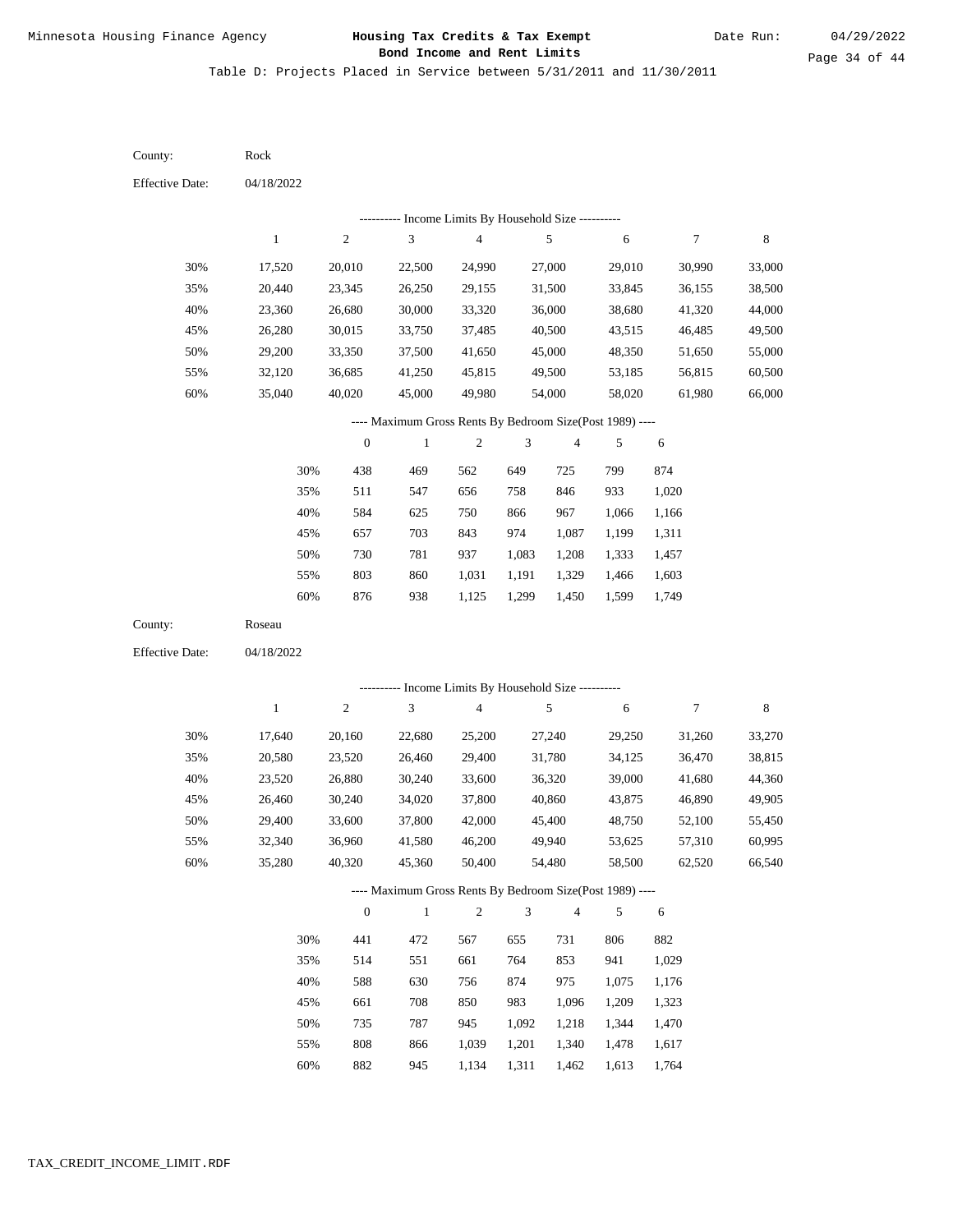Table D: Projects Placed in Service between 5/31/2011 and 11/30/2011

| County:                | Rock             |                  |                                                                   |                          |               |                  |                  |                  |                  |
|------------------------|------------------|------------------|-------------------------------------------------------------------|--------------------------|---------------|------------------|------------------|------------------|------------------|
| <b>Effective Date:</b> | 04/18/2022       |                  |                                                                   |                          |               |                  |                  |                  |                  |
|                        |                  |                  | --------- Income Limits By Household Size ----------              |                          |               |                  |                  |                  |                  |
|                        | $\mathbf{1}$     | $\overline{c}$   | 3                                                                 | $\overline{\mathcal{A}}$ |               | 5                | 6                | 7                | $\,$ 8 $\,$      |
| 30%                    | 17,520           | 20,010           | 22,500                                                            | 24,990                   |               | 27,000           | 29,010           | 30,990           | 33,000           |
| 35%                    | 20,440           | 23,345           | 26,250                                                            | 29,155                   |               | 31,500           | 33,845           | 36,155           | 38,500           |
| 40%                    | 23,360           | 26,680           | 30,000                                                            | 33,320                   |               | 36,000           | 38,680           | 41,320           | 44,000           |
| 45%                    | 26,280           | 30,015           | 33,750                                                            | 37,485                   |               | 40,500           | 43,515           | 46,485           | 49,500           |
| 50%                    | 29,200           | 33,350           | 37,500                                                            | 41,650                   |               | 45,000           | 48,350           | 51,650           | 55,000           |
| 55%                    | 32,120           | 36,685           | 41,250                                                            | 45,815                   |               | 49,500           | 53,185           | 56,815           | 60,500           |
| 60%                    | 35,040           | 40,020           | 45,000                                                            | 49,980                   |               | 54,000           | 58,020           | 61,980           | 66,000           |
|                        |                  |                  | ---- Maximum Gross Rents By Bedroom Size(Post 1989) ----          |                          |               |                  |                  |                  |                  |
|                        |                  | $\boldsymbol{0}$ | $\,1$                                                             | $\boldsymbol{2}$         | 3             | 4                | 5                | 6                |                  |
|                        | 30%              | 438              | 469                                                               | 562                      | 649           | 725              | 799              | 874              |                  |
|                        | 35%              | 511              | 547                                                               | 656                      | 758           | 846              | 933              | 1,020            |                  |
|                        | 40%              | 584              | 625                                                               | 750                      | 866           | 967              | 1,066            | 1,166            |                  |
|                        | 45%              | 657              | 703                                                               | 843                      | 974           | 1,087            | 1,199            | 1,311            |                  |
|                        | 50%              | 730              | 781                                                               | 937                      | 1,083         | 1,208            | 1,333            | 1,457            |                  |
|                        | 55%              | 803              | 860                                                               | 1,031                    | 1,191         | 1,329            | 1,466            | 1,603            |                  |
|                        | 60%              | 876              | 938                                                               | 1,125                    | 1,299         | 1,450            | 1,599            | 1,749            |                  |
| County:                | Roseau           |                  |                                                                   |                          |               |                  |                  |                  |                  |
| <b>Effective Date:</b> | 04/18/2022       |                  |                                                                   |                          |               |                  |                  |                  |                  |
|                        |                  |                  | --------- Income Limits By Household Size ----------              |                          |               |                  |                  |                  |                  |
|                        | $\mathbf{1}$     | $\mathfrak{2}$   | $\mathfrak{Z}$                                                    | $\overline{4}$           |               | 5                | 6                | 7                | $\,$ 8 $\,$      |
|                        |                  |                  |                                                                   |                          |               |                  |                  |                  |                  |
| 30%                    | 17,640           | 20,160           | 22,680                                                            | 25,200                   |               | 27,240           | 29,250           | 31,260           | 33,270           |
| 35%                    | 20,580           | 23,520           | 26,460                                                            | 29,400                   |               | 31,780           | 34,125           | 36,470           | 38,815           |
| 40%<br>45%             | 23,520           | 26,880           | 30,240                                                            | 33,600                   |               | 36,320<br>40,860 | 39,000           | 41,680           | 44,360           |
|                        | 26,460<br>29,400 | 30,240           | 34,020                                                            | 37,800                   |               |                  | 43,875           | 46,890           | 49,905           |
| 50%                    | 32,340           | 33,600           | 37,800                                                            | 42,000<br>46,200         |               | 45,400           | 48,750           | 52,100<br>57,310 | 55,450           |
| 55%<br>60%             | 35,280           | 36,960<br>40,320 | 41,580<br>45,360                                                  | 50,400                   |               | 49,940<br>54,480 | 53,625<br>58,500 | 62,520           | 60,995<br>66,540 |
|                        |                  |                  |                                                                   |                          |               |                  |                  |                  |                  |
|                        |                  | $\boldsymbol{0}$ | ---- Maximum Gross Rents By Bedroom Size(Post 1989) ----<br>$\,1$ | $\sqrt{2}$               | $\mathfrak 3$ | $\overline{4}$   | 5                | 6                |                  |
|                        |                  |                  |                                                                   |                          |               |                  |                  |                  |                  |
|                        | 30%              | 441              | 472                                                               | 567                      | 655           | 731              | 806              | 882              |                  |
|                        | 35%              | 514              | 551                                                               | 661                      | 764           | 853              | 941              | 1,029            |                  |
|                        | 40%              | 588              | 630                                                               | 756                      | 874           | 975              | 1,075            | 1,176            |                  |
|                        | 45%              | 661              | 708                                                               | 850                      | 983           | 1,096            | 1,209            | 1,323            |                  |
|                        | 50%              | 735              | 787                                                               | 945                      | 1,092         | 1,218            | 1,344            | 1,470            |                  |
|                        | 55%              | 808              | 866                                                               | 1,039                    | 1,201         | 1,340            | 1,478            | 1,617            |                  |

60% 882 945 1,134 1,311 1,462 1,613 1,764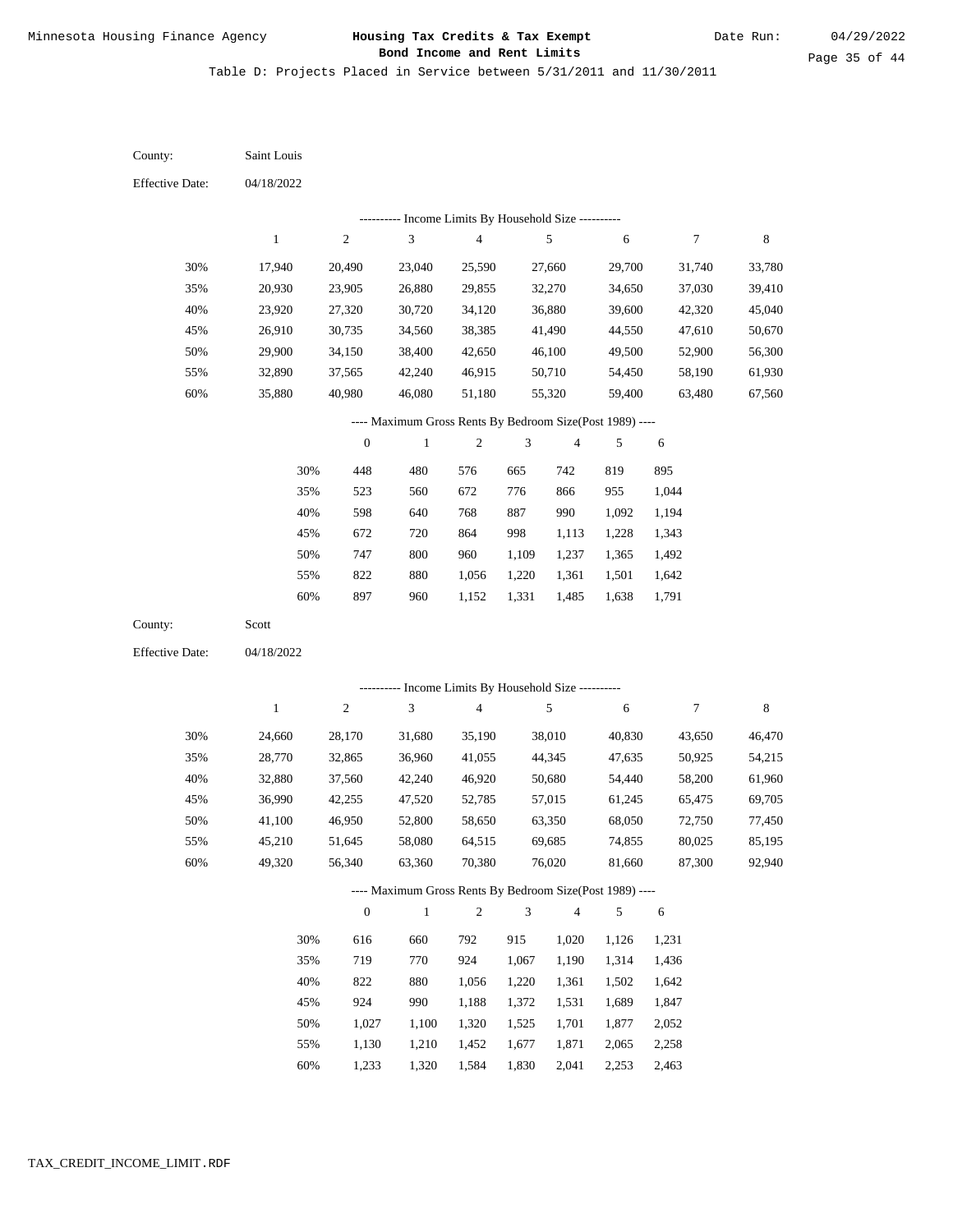Table D: Projects Placed in Service between 5/31/2011 and 11/30/2011

04/18/2022 04/18/2022 Saint Louis Scott 30% 35% 40% 45% 50% 55% 60% 30% 35% 40% 45% 50% 55% 60% 17,940 20,930 23,920 26,910 29,900 32,890 35,880 24,660 28,770 32,880 36,990 41,100 45,210 49,320 20,490 23,905 27,320 30,735 34,150 37,565 40,980 28,170 32,865 37,560 42,255 46,950 51,645 56,340 23,040 26,880 30,720 34,560 38,400 42,240 46,080 31,680 36,960 42,240 47,520 52,800 58,080 63,360 25,590 29,855 34,120 38,385 42,650 46,915 51,180 35,190 41,055 46,920 52,785 58,650 64,515 70,380 27,660 32,270 36,880 41,490 46,100 50,710 55,320 38,010 44,345 50,680 57,015 63,350 69,685 76,020 29,700 34,650 39,600 44,550 49,500 54,450 59,400 40,830 47,635 54,440 61,245 68,050 74,855 81,660 31,740 37,030 42,320 47,610 52,900 58,190 63,480 43,650 50,925 58,200 65,475 72,750 80,025 87,300 33,780 39,410 45,040 50,670 56,300 61,930 67,560 46,470 54,215 61,960 69,705 77,450 85,195 92,940 448 523 598 672 747 822 897 616 719 822 924 1,027 1,130 1,233 480 560 640 720 800 880 960 660 770 880 990 1,100 1,210 1,320 576 672 768 864 960 1,056 1,152 792 924 1,056 1,188 1,320 1,452 1,584 665 776 887 998 1,109 1,220 1,331 915 1,067 1,220 1,372 1,525 1,677 1,830 742 866 990 1,113 1,237 1,361 1,485 1,020 1,190 1,361 1,531 1,701 1,871 2,041 819 955 1,092 1,228 1,365 1,501 1,638 1,126 1,314 1,502 1,689 1,877 2,065 2,253 895 1,044 1,194 1,343 1,492 1,642 1,791 1,231 1,436 1,642 1,847 2,052 2,258 2,463 County: County: Effective Date: Effective Date: 1 1 2 2 3 3 4 4 5 5 6 6 7 7 8 8 0 0 1 1 2 2 3 3 4 4 5 5 6 6 ---------- Income Limits By Household Size ---------- ---------- Income Limits By Household Size ---------- ---- Maximum Gross Rents By Bedroom Size(Post 1989) ---- ---- Maximum Gross Rents By Bedroom Size(Post 1989) ---- 30% 35% 40% 45% 50% 55% 60% 30% 35% 40% 45% 50% 55% 60%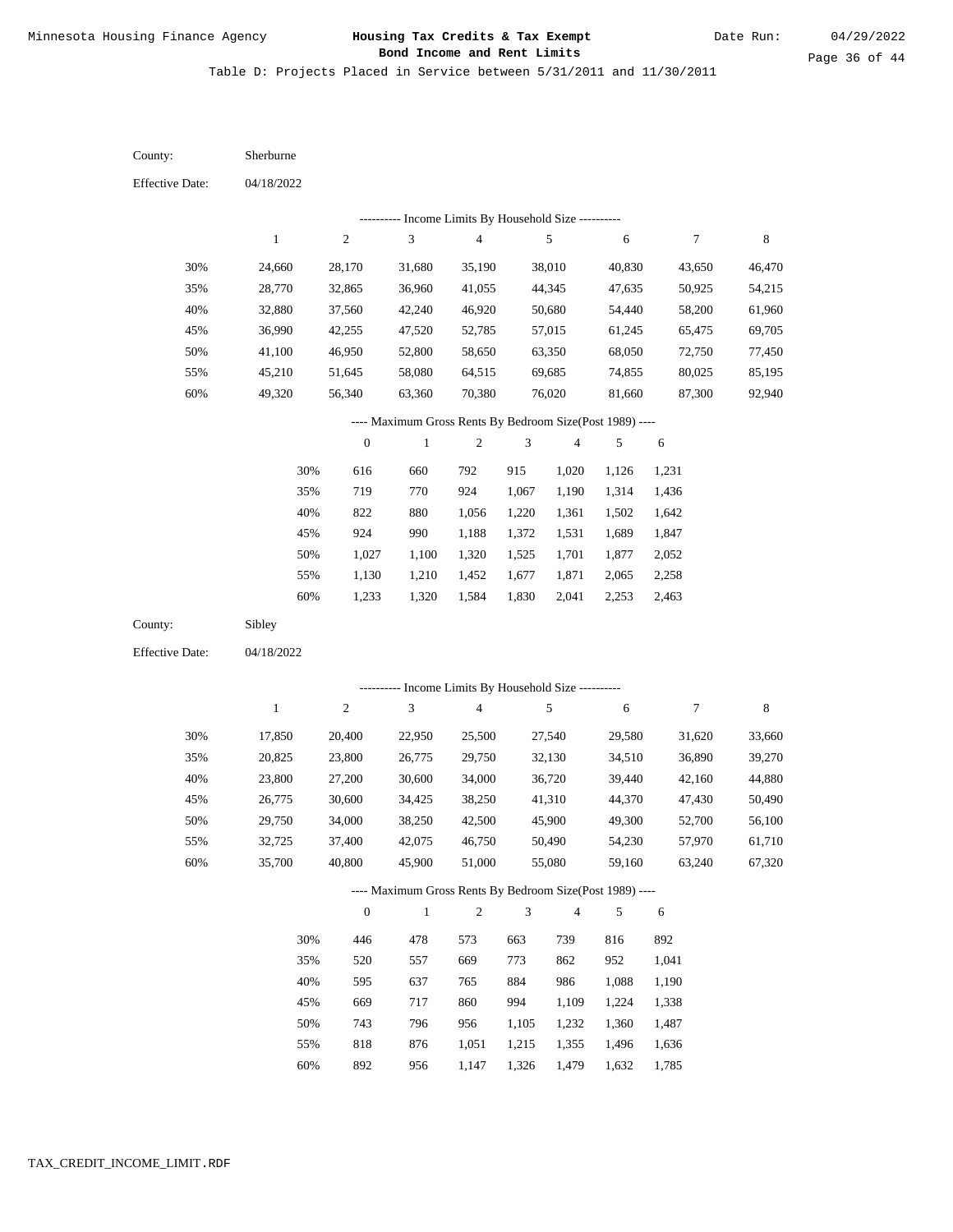Table D: Projects Placed in Service between 5/31/2011 and 11/30/2011

04/18/2022 04/18/2022 Sherburne Sibley 30% 35% 40% 45% 50% 55% 60% 30% 35% 40% 45% 50% 55% 60% 24,660 28,770 32,880 36,990 41,100 45,210 49,320 17,850 20,825 23,800 26,775 29,750 32,725 35,700 28,170 32,865 37,560 42,255 46,950 51,645 56,340 20,400 23,800 27,200 30,600 34,000 37,400 40,800 31,680 36,960 42,240 47,520 52,800 58,080 63,360 22,950 26,775 30,600 34,425 38,250 42,075 45,900 35,190 41,055 46,920 52,785 58,650 64,515 70,380 25,500 29,750 34,000 38,250 42,500 46,750 51,000 38,010 44,345 50,680 57,015 63,350 69,685 76,020 27,540 32,130 36,720 41,310 45,900 50,490 55,080 40,830 47,635 54,440 61,245 68,050 74,855 81,660 29,580 34,510 39,440 44,370 49,300 54,230 59,160 43,650 50,925 58,200 65,475 72,750 80,025 87,300 31,620 36,890 42,160 47,430 52,700 57,970 63,240 46,470 54,215 61,960 69,705 77,450 85,195 92,940 33,660 39,270 44,880 50,490 56,100 61,710 67,320 616 719 822 924 1,027 1,130 1,233 446 520 595 669 743 818 892 660 770 880 990 1,100 1,210 1,320 478 557 637 717 796 876 956 792 924 1,056 1,188 1,320 1,452 1,584 573 669 765 860 956 1,051 1,147 915 1,067 1,220 1,372 1,525 1,677 1,830 663 773 884 994 1,105 1,215 1,326 1,020 1,190 1,361 1,531 1,701 1,871 2,041 739 862 986 1,109 1,232 1,355 1,479 1,126 1,314 1,502 1,689 1,877 2,065 2,253 816 952 1,088 1,224 1,360 1,496 1,632 1,231 1,436 1,642 1,847 2,052 2,258 2,463 892 1,041 1,190 1,338 1,487 1,636 1,785 County: County: Effective Date: Effective Date: 1 1 2 2 3 3 4 4 5 5 6 6 7 7 8 8 0 0 1 1 2 2 3 3 4 4 5 5 6 6 ---------- Income Limits By Household Size ---------- ---------- Income Limits By Household Size ---------- ---- Maximum Gross Rents By Bedroom Size(Post 1989) ---- ---- Maximum Gross Rents By Bedroom Size(Post 1989) ---- 30% 35% 40% 45% 50% 55% 60% 30% 35% 40% 45% 50% 55% 60%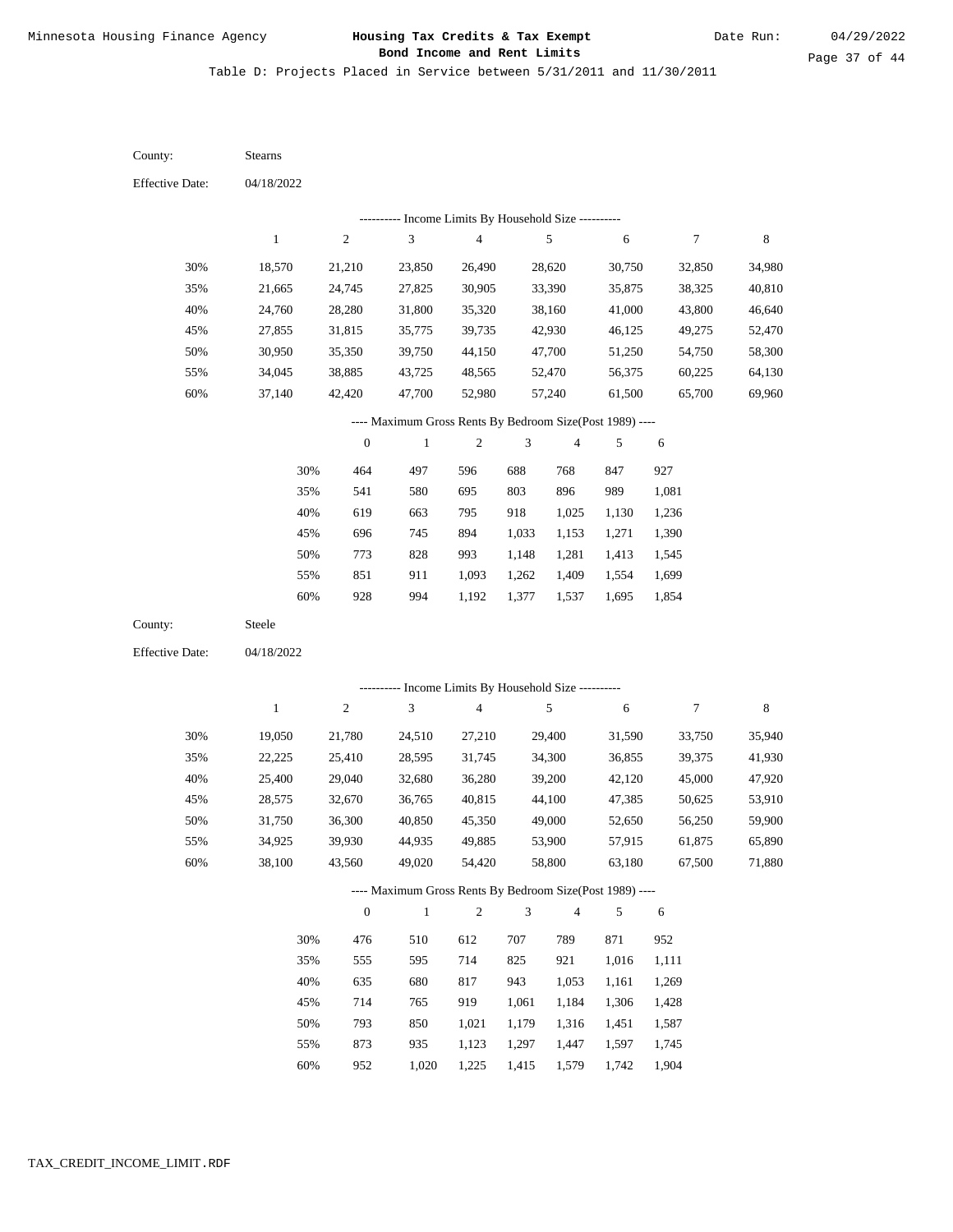Table D: Projects Placed in Service between 5/31/2011 and 11/30/2011

| County:                | <b>Stearns</b>                                           |                  |                                                           |                                            |                |                |        |                  |             |
|------------------------|----------------------------------------------------------|------------------|-----------------------------------------------------------|--------------------------------------------|----------------|----------------|--------|------------------|-------------|
| <b>Effective Date:</b> | 04/18/2022                                               |                  |                                                           |                                            |                |                |        |                  |             |
|                        |                                                          |                  |                                                           | Income Limits By Household Size ---------- |                |                |        |                  |             |
|                        | $\mathbf{1}$                                             | $\sqrt{2}$       | $\ensuremath{\mathfrak{Z}}$                               | $\overline{\mathcal{L}}$                   |                | $\sqrt{5}$     | 6      | 7                | $\,$ 8 $\,$ |
| 30%                    | 18,570                                                   | 21,210           | 23,850                                                    | 26,490                                     |                | 28,620         | 30,750 | 32,850           | 34,980      |
| 35%                    | 21,665                                                   | 24,745           | 27,825                                                    | 30,905                                     |                | 33,390         | 35,875 | 38,325           | 40,810      |
| 40%                    | 24,760                                                   | 28,280           | 31,800                                                    | 35,320                                     |                | 38,160         | 41,000 | 43,800           | 46,640      |
| 45%                    | 27,855                                                   | 31,815           | 35,775                                                    | 39,735                                     |                | 42,930         | 46,125 | 49,275           | 52,470      |
| 50%                    | 30,950                                                   | 35,350           | 39,750                                                    | 44,150                                     |                | 47,700         | 51,250 | 54,750           | 58,300      |
| 55%                    | 34,045                                                   | 38,885           | 43,725                                                    | 48,565                                     |                | 52,470         | 56,375 | 60,225           | 64,130      |
| 60%                    | 37,140                                                   | 42,420           | 47,700                                                    | 52,980                                     |                | 57,240         | 61,500 | 65,700           | 69,960      |
|                        |                                                          |                  | ---- Maximum Gross Rents By Bedroom Size(Post 1989) ----  |                                            |                |                |        |                  |             |
|                        |                                                          | $\boldsymbol{0}$ | $\,1$                                                     | $\boldsymbol{2}$                           | 3              | $\overline{4}$ | 5      | 6                |             |
|                        | 30%                                                      | 464              | 497                                                       | 596                                        | 688            | 768            | 847    | 927              |             |
|                        | 35%                                                      | 541              | 580                                                       | 695                                        | 803            | 896            | 989    | 1,081            |             |
|                        | 40%                                                      | 619              | 663                                                       | 795                                        | 918            | 1,025          | 1,130  | 1,236            |             |
|                        | 45%                                                      | 696              | 745                                                       | 894                                        | 1,033          | 1,153          | 1,271  | 1,390            |             |
|                        | 50%                                                      | 773              | 828                                                       | 993                                        | 1,148          | 1,281          | 1,413  | 1,545            |             |
|                        | 55%                                                      | 851              | 911                                                       | 1,093                                      | 1,262          | 1,409          | 1,554  | 1,699            |             |
|                        | 60%                                                      | 928              | 994                                                       | 1,192                                      | 1,377          | 1,537          | 1,695  | 1,854            |             |
| County:                | Steele                                                   |                  |                                                           |                                            |                |                |        |                  |             |
| <b>Effective Date:</b> | 04/18/2022                                               |                  |                                                           |                                            |                |                |        |                  |             |
|                        |                                                          |                  |                                                           |                                            |                |                |        |                  |             |
|                        | $\mathbf{1}$                                             | $\sqrt{2}$       | --------- Income Limits By Household Size ----------<br>3 | $\overline{4}$                             |                | 5              | 6      | $\boldsymbol{7}$ | $\,$ 8 $\,$ |
|                        |                                                          |                  |                                                           |                                            |                |                |        |                  |             |
| 30%                    | 19,050                                                   | 21,780           | 24,510                                                    | 27,210                                     |                | 29,400         | 31,590 | 33,750           | 35,940      |
| 35%                    | 22,225                                                   | 25,410           | 28,595                                                    | 31,745                                     |                | 34,300         | 36,855 | 39,375           | 41,930      |
| 40%                    | 25,400                                                   | 29,040           | 32,680                                                    | 36,280                                     |                | 39,200         | 42,120 | 45,000           | 47,920      |
| 45%                    | 28,575                                                   | 32,670           | 36,765                                                    | 40,815                                     |                | 44,100         | 47,385 | 50,625           | 53,910      |
| 50%                    | 31,750                                                   | 36,300           | 40,850                                                    | 45,350                                     |                | 49,000         | 52,650 | 56,250           | 59,900      |
| 55%                    | 34,925                                                   | 39,930           | 44,935                                                    | 49,885                                     |                | 53,900         | 57,915 | 61,875           | 65,890      |
| 60%                    | 38,100                                                   | 43,560           | 49,020                                                    | 54,420                                     |                | 58,800         | 63,180 | 67,500           | 71,880      |
|                        | ---- Maximum Gross Rents By Bedroom Size(Post 1989) ---- |                  |                                                           |                                            |                |                |        |                  |             |
|                        |                                                          | $\boldsymbol{0}$ | $\,1\,$                                                   | $\sqrt{2}$                                 | $\mathfrak{Z}$ | $\overline{4}$ | 5      | 6                |             |
|                        | 30%                                                      | 476              | 510                                                       | 612                                        | 707            | 789            | 871    | 952              |             |
|                        | 35%                                                      | 555              | 595                                                       | 714                                        | 825            | 921            | 1,016  | 1,111            |             |
|                        | 40%                                                      | 635              | 680                                                       | 817                                        | 943            | 1,053          | 1,161  | 1,269            |             |
|                        | 45%                                                      | 714              | 765                                                       | 919                                        | 1,061          | 1,184          | 1,306  | 1,428            |             |
|                        | 50%                                                      | 793              | 850                                                       | 1,021                                      | 1,179          | 1,316          | 1,451  | 1,587            |             |
|                        | 55%                                                      | 873              | 935                                                       | 1,123                                      | 1,297          | 1,447          | 1,597  | 1,745            |             |

952 1,020 1,225 1,415 1,579 1,742 1,904 60%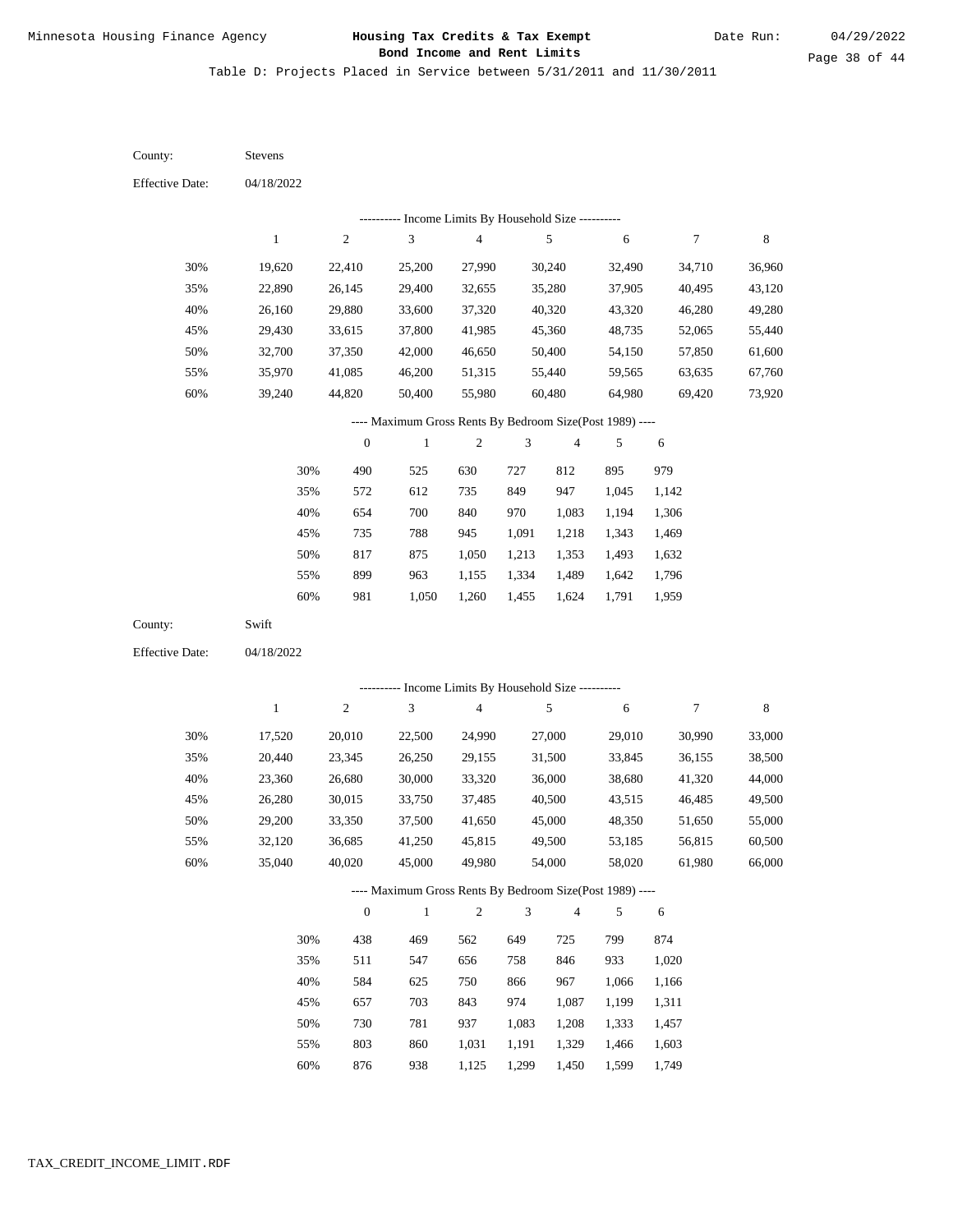Table D: Projects Placed in Service between 5/31/2011 and 11/30/2011

04/18/2022 04/18/2022 Stevens Swift 30% 35% 40% 45% 50% 55% 60% 30% 35% 40% 45% 50% 55% 60% 19,620 22,890 26,160 29,430 32,700 35,970 39,240 17,520 20,440 23,360 26,280 29,200 32,120 35,040 22,410 26,145 29,880 33,615 37,350 41,085 44,820 20,010 23,345 26,680 30,015 33,350 36,685 40,020 25,200 29,400 33,600 37,800 42,000 46,200 50,400 22,500 26,250 30,000 33,750 37,500 41,250 45,000 27,990 32,655 37,320 41,985 46,650 51,315 55,980 24,990 29,155 33,320 37,485 41,650 45,815 49,980 30,240 35,280 40,320 45,360 50,400 55,440 60,480 27,000 31,500 36,000 40,500 45,000 49,500 54,000 32,490 37,905 43,320 48,735 54,150 59,565 64,980 29,010 33,845 38,680 43,515 48,350 53,185 58,020 34,710 40,495 46,280 52,065 57,850 63,635 69,420 30,990 36,155 41,320 46,485 51,650 56,815 61,980 36,960 43,120 49,280 55,440 61,600 67,760 73,920 33,000 38,500 44,000 49,500 55,000 60,500 66,000 490 572 654 735 817 899 981 438 511 584 657 730 803 525 612 700 788 875 963 1,050 469 547 625 703 781 860 630 735 840 945 1,050 1,155 1,260 562 656 750 843 937 1,031 727 849 970 1,091 1,213 1,334 1,455 649 758 866 974 1,083 1,191 812 947 1,083 1,218 1,353 1,489 1,624 725 846 967 1,087 1,208 1,329 895 1,045 1,194 1,343 1,493 1,642 1,791 799 933 1,066 1,199 1,333 1,466 979 1,142 1,306 1,469 1,632 1,796 1,959 874 1,020 1,166 1,311 1,457 1,603 County: County: Effective Date: Effective Date: 1 1 2 2 3 3 4 4 5 5 6 6 7 7 8 8 0 0 1 1 2 2 3 3 4 4 5 5 6 6 ---------- Income Limits By Household Size ---------- ---------- Income Limits By Household Size ---------- ---- Maximum Gross Rents By Bedroom Size(Post 1989) ---- ---- Maximum Gross Rents By Bedroom Size(Post 1989) ---- 30% 35% 40% 45% 50% 55% 60% 30% 35% 40% 45% 50% 55%

876

60%

938

1,125

1,299

1,450

1,599

1,749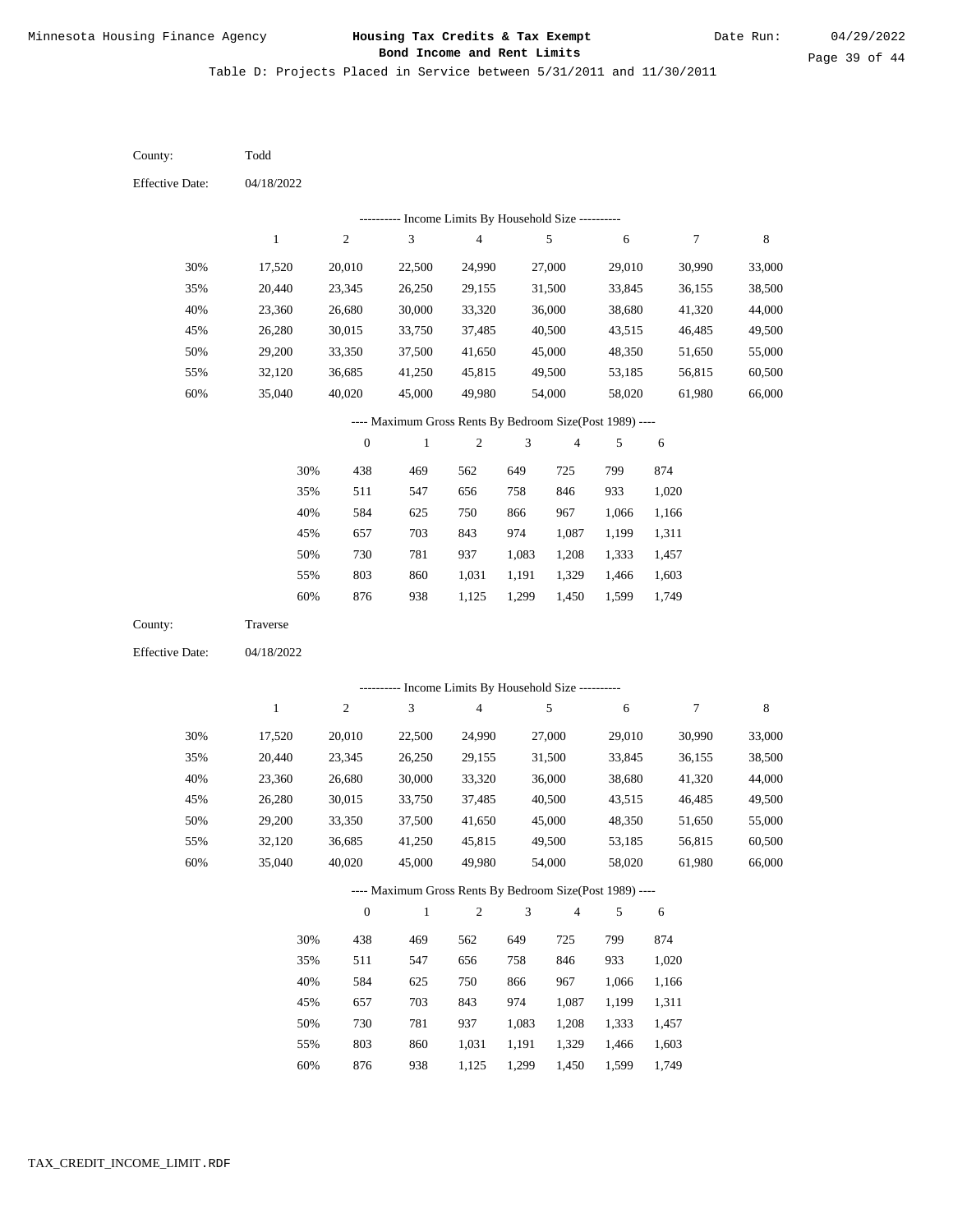Table D: Projects Placed in Service between 5/31/2011 and 11/30/2011

04/18/2022 04/18/2022 Todd Traverse 30% 35% 40% 45% 50% 55% 60% 30% 35% 40% 45% 50% 55% 60% 17,520 20,440 23,360 26,280 29,200 32,120 35,040 17,520 20,440 23,360 26,280 29,200 32,120 35,040 20,010 23,345 26,680 30,015 33,350 36,685 40,020 20,010 23,345 26,680 30,015 33,350 36,685 40,020 22,500 26,250 30,000 33,750 37,500 41,250 45,000 22,500 26,250 30,000 33,750 37,500 41,250 45,000 24,990 29,155 33,320 37,485 41,650 45,815 49,980 24,990 29,155 33,320 37,485 41,650 45,815 49,980 27,000 31,500 36,000 40,500 45,000 49,500 54,000 27,000 31,500 36,000 40,500 45,000 49,500 54,000 29,010 33,845 38,680 43,515 48,350 53,185 58,020 29,010 33,845 38,680 43,515 48,350 53,185 58,020 30,990 36,155 41,320 46,485 51,650 56,815 61,980 30,990 36,155 41,320 46,485 51,650 56,815 61,980 33,000 38,500 44,000 49,500 55,000 60,500 66,000 33,000 38,500 44,000 49,500 55,000 60,500 66,000 438 511 584 657 730 803 876 438 511 584 657 730 803 876 469 547 625 703 781 860 938 469 547 625 703 781 860 938 562 656 750 843 937 1,031 1,125 562 656 750 843 937 1,031 1,125 649 758 866 974 1,083 1,191 1,299 649 758 866 974 1,083 1,191 1,299 725 846 967 1,087 1,208 1,329 1,450 725 846 967 1,087 1,208 1,329 1,450 799 933 1,066 1,199 1,333 1,466 1,599 799 933 1,066 1,199 1,333 1,466 1,599 874 1,020 1,166 1,311 1,457 1,603 1,749 874 1,020 1,166 1,311 1,457 1,603 1,749 County: County: Effective Date: Effective Date: 1 1 2 2 3 3 4 4 5 5 6 6 7 7 8 8 0 0 1 1 2 2 3 3 4 4 5 5 6 6 ---------- Income Limits By Household Size ---------- ---------- Income Limits By Household Size ---------- ---- Maximum Gross Rents By Bedroom Size(Post 1989) ---- ---- Maximum Gross Rents By Bedroom Size(Post 1989) ---- 30% 35% 40% 45% 50% 55% 60% 30% 35% 40% 45% 50% 55% 60%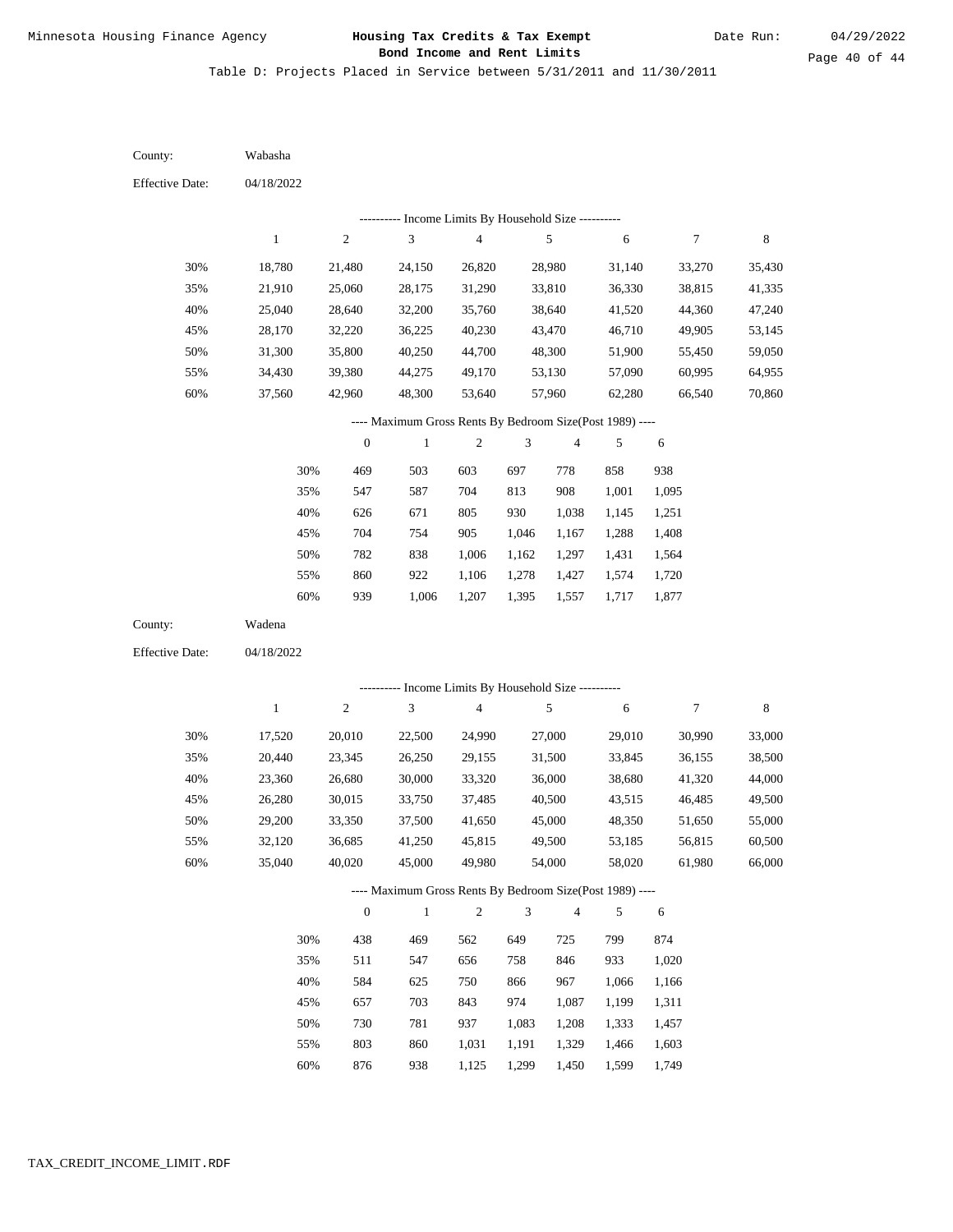Table D: Projects Placed in Service between 5/31/2011 and 11/30/2011

04/18/2022 04/18/2022 Wabasha Wadena 30% 35% 40% 45% 50% 55% 60% 30% 35% 40% 45% 50% 55% 60% 18,780 21,910 25,040 28,170 31,300 34,430 37,560 17,520 20,440 23,360 26,280 29,200 32,120 35,040 21,480 25,060 28,640 32,220 35,800 39,380 42,960 20,010 23,345 26,680 30,015 33,350 36,685 40,020 24,150 28,175 32,200 36,225 40,250 44,275 48,300 22,500 26,250 30,000 33,750 37,500 41,250 45,000 26,820 31,290 35,760 40,230 44,700 49,170 53,640 24,990 29,155 33,320 37,485 41,650 45,815 49,980 28,980 33,810 38,640 43,470 48,300 53,130 57,960 27,000 31,500 36,000 40,500 45,000 49,500 54,000 31,140 36,330 41,520 46,710 51,900 57,090 62,280 29,010 33,845 38,680 43,515 48,350 53,185 58,020 33,270 38,815 44,360 49,905 55,450 60,995 66,540 30,990 36,155 41,320 46,485 51,650 56,815 61,980 35,430 41,335 47,240 53,145 59,050 64,955 70,860 33,000 38,500 44,000 49,500 55,000 60,500 66,000 469 547 626 704 782 860 939 438 511 584 657 730 803 876 503 587 671 754 838 922 1,006 469 547 625 703 781 860 938 603 704 805 905 1,006 1,106 1,207 562 656 750 843 937 1,031 1,125 697 813 930 1,046 1,162 1,278 1,395 649 758 866 974 1,083 1,191 1,299 778 908 1,038 1,167 1,297 1,427 1,557 725 846 967 1,087 1,208 1,329 1,450 858 1,001 1,145 1,288 1,431 1,574 1,717 799 933 1,066 1,199 1,333 1,466 1,599 938 1,095 1,251 1,408 1,564 1,720 1,877 874 1,020 1,166 1,311 1,457 1,603 1,749 County: County: Effective Date: Effective Date: 1 1 2 2 3 3 4 4 5 5 6 6 7 7 8 8 0 0 1 1 2 2 3 3 4 4 5 5 6 6 ---------- Income Limits By Household Size ---------- ---------- Income Limits By Household Size ---------- ---- Maximum Gross Rents By Bedroom Size(Post 1989) ---- ---- Maximum Gross Rents By Bedroom Size(Post 1989) ---- 30% 35% 40% 45% 50% 55% 60% 30% 35% 40% 45% 50% 55% 60%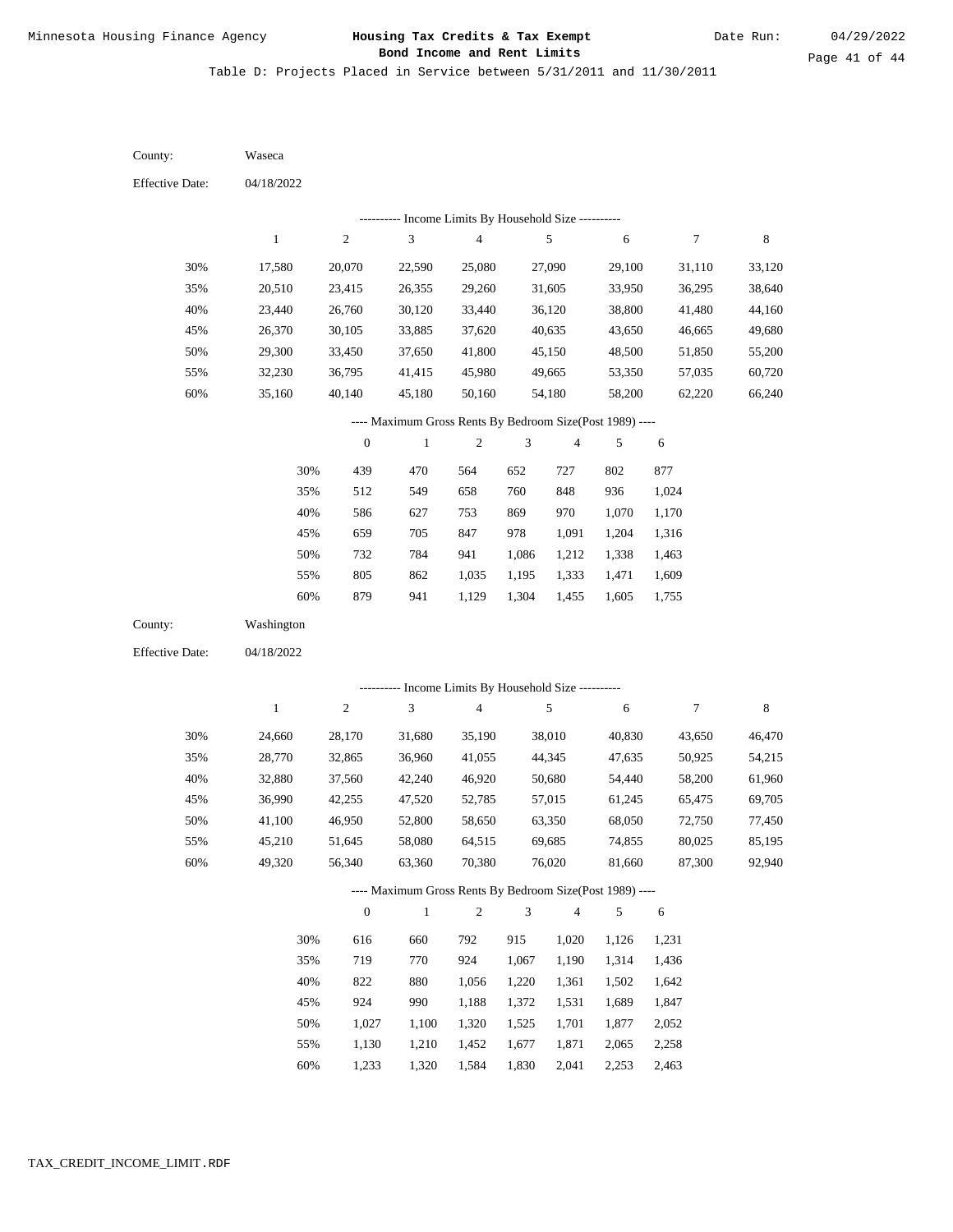Table D: Projects Placed in Service between 5/31/2011 and 11/30/2011

04/18/2022 04/18/2022 Waseca Washington 30% 35% 40% 45% 50% 55% 60% 30% 35% 40% 45% 50% 55% 60% 17,580 20,510 23,440 26,370 29,300 32,230 35,160 24,660 28,770 32,880 36,990 41,100 45,210 49,320 20,070 23,415 26,760 30,105 33,450 36,795 40,140 28,170 32,865 37,560 42,255 46,950 51,645 56,340 22,590 26,355 30,120 33,885 37,650 41,415 45,180 31,680 36,960 42,240 47,520 52,800 58,080 63,360 25,080 29,260 33,440 37,620 41,800 45,980 50,160 35,190 41,055 46,920 52,785 58,650 64,515 70,380 27,090 31,605 36,120 40,635 45,150 49,665 54,180 38,010 44,345 50,680 57,015 63,350 69,685 76,020 29,100 33,950 38,800 43,650 48,500 53,350 58,200 40,830 47,635 54,440 61,245 68,050 74,855 81,660 31,110 36,295 41,480 46,665 51,850 57,035 62,220 43,650 50,925 58,200 65,475 72,750 80,025 87,300 33,120 38,640 44,160 49,680 55,200 60,720 66,240 46,470 54,215 61,960 69,705 77,450 85,195 92,940 439 512 586 659 732 805 879 616 719 822 924 1,027 1,130 1,233 470 549 627 705 784 862 941 660 770 880 990 1,100 1,210 1,320 564 658 753 847 941 1,035 1,129 792 924 1,056 1,188 1,320 1,452 1,584 652 760 869 978 1,086 1,195 1,304 915 1,067 1,220 1,372 1,525 1,677 1,830 727 848 970 1,091 1,212 1,333 1,455 1,020 1,190 1,361 1,531 1,701 1,871 2,041 802 936 1,070 1,204 1,338 1,471 1,605 1,126 1,314 1,502 1,689 1,877 2,065 2,253 877 1,024 1,170 1,316 1,463 1,609 1,755 1,231 1,436 1,642 1,847 2,052 2,258 2,463 County: County: Effective Date: Effective Date: 1 1 2 2 3 3 4 4 5 5 6 6 7 7 8 8 0 0 1 1 2 2 3 3 4 4 5 5 6 6 ---------- Income Limits By Household Size ---------- ---------- Income Limits By Household Size ---------- ---- Maximum Gross Rents By Bedroom Size(Post 1989) ---- ---- Maximum Gross Rents By Bedroom Size(Post 1989) ---- 30% 35% 40% 45% 50% 55% 60% 30% 35% 40% 45% 50% 55% 60%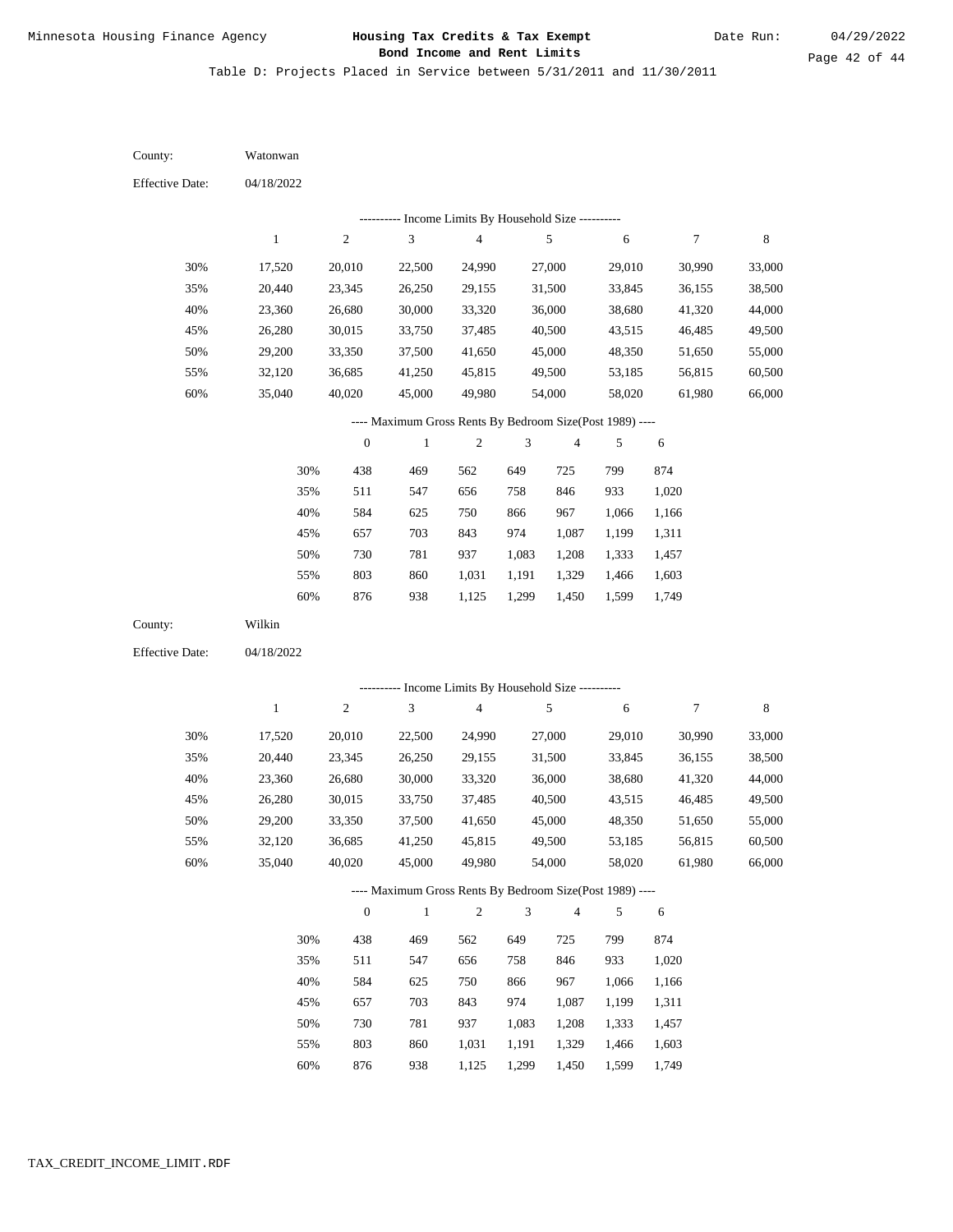Table D: Projects Placed in Service between 5/31/2011 and 11/30/2011

04/18/2022 04/18/2022 Watonwan Wilkin 30% 35% 40% 45% 50% 55% 60% 30% 35% 40% 45% 50% 55% 60% 17,520 20,440 23,360 26,280 29,200 32,120 35,040 17,520 20,440 23,360 26,280 29,200 32,120 35,040 20,010 23,345 26,680 30,015 33,350 36,685 40,020 20,010 23,345 26,680 30,015 33,350 36,685 40,020 22,500 26,250 30,000 33,750 37,500 41,250 45,000 22,500 26,250 30,000 33,750 37,500 41,250 45,000 24,990 29,155 33,320 37,485 41,650 45,815 49,980 24,990 29,155 33,320 37,485 41,650 45,815 49,980 27,000 31,500 36,000 40,500 45,000 49,500 54,000 27,000 31,500 36,000 40,500 45,000 49,500 54,000 29,010 33,845 38,680 43,515 48,350 53,185 58,020 29,010 33,845 38,680 43,515 48,350 53,185 58,020 30,990 36,155 41,320 46,485 51,650 56,815 61,980 30,990 36,155 41,320 46,485 51,650 56,815 61,980 33,000 38,500 44,000 49,500 55,000 60,500 66,000 33,000 38,500 44,000 49,500 55,000 60,500 66,000 438 511 584 657 730 803 876 438 511 584 657 730 803 876 469 547 625 703 781 860 938 469 547 625 703 781 860 938 562 656 750 843 937 1,031 1,125 562 656 750 843 937 1,031 1,125 649 758 866 974 1,083 1,191 1,299 649 758 866 974 1,083 1,191 1,299 725 846 967 1,087 1,208 1,329 1,450 725 846 967 1,087 1,208 1,329 1,450 799 933 1,066 1,199 1,333 1,466 1,599 799 933 1,066 1,199 1,333 1,466 1,599 874 1,020 1,166 1,311 1,457 1,603 1,749 874 1,020 1,166 1,311 1,457 1,603 1,749 County: County: Effective Date: Effective Date: 1 1 2 2 3 3 4 4 5 5 6 6 7 7 8 8 0 0 1 1 2 2 3 3 4 4 5 5 6 6 ---------- Income Limits By Household Size ---------- ---------- Income Limits By Household Size ---------- ---- Maximum Gross Rents By Bedroom Size(Post 1989) ---- ---- Maximum Gross Rents By Bedroom Size(Post 1989) ---- 30% 35% 40% 45% 50% 55% 60% 30% 35% 40% 45% 50% 55% 60%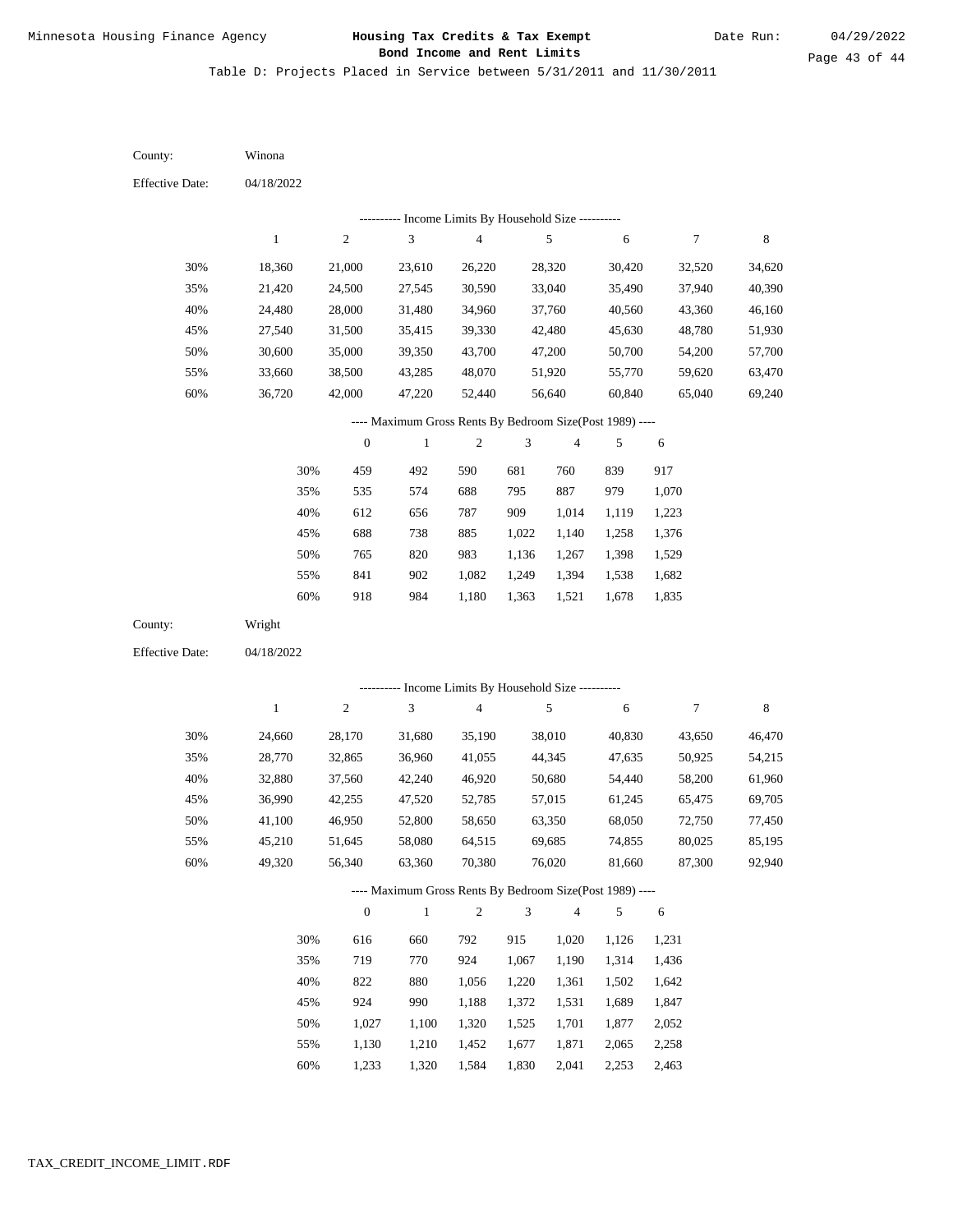Table D: Projects Placed in Service between 5/31/2011 and 11/30/2011

04/18/2022 04/18/2022 Winona Wright 30% 35% 40% 45% 50% 55% 60% 30% 35% 40% 45% 50% 55% 60% 18,360 21,420 24,480 27,540 30,600 33,660 36,720 24,660 28,770 32,880 36,990 41,100 45,210 49,320 21,000 24,500 28,000 31,500 35,000 38,500 42,000 28,170 32,865 37,560 42,255 46,950 51,645 56,340 23,610 27,545 31,480 35,415 39,350 43,285 47,220 31,680 36,960 42,240 47,520 52,800 58,080 63,360 26,220 30,590 34,960 39,330 43,700 48,070 52,440 35,190 41,055 46,920 52,785 58,650 64,515 70,380 28,320 33,040 37,760 42,480 47,200 51,920 56,640 38,010 44,345 50,680 57,015 63,350 69,685 76,020 30,420 35,490 40,560 45,630 50,700 55,770 60,840 40,830 47,635 54,440 61,245 68,050 74,855 81,660 32,520 37,940 43,360 48,780 54,200 59,620 65,040 43,650 50,925 58,200 65,475 72,750 80,025 87,300 34,620 40,390 46,160 51,930 57,700 63,470 69,240 46,470 54,215 61,960 69,705 77,450 85,195 92,940 459 535 612 688 765 841 918 616 719 822 924 1,027 1,130 1,233 492 574 656 738 820 902 984 660 770 880 990 1,100 1,210 1,320 590 688 787 885 983 1,082 1,180 792 924 1,056 1,188 1,320 1,452 1,584 681 795 909 1,022 1,136 1,249 1,363 915 1,067 1,220 1,372 1,525 1,677 1,830 760 887 1,014 1,140 1,267 1,394 1,521 1,020 1,190 1,361 1,531 1,701 1,871 2,041 839 979 1,119 1,258 1,398 1,538 1,678 1,126 1,314 1,502 1,689 1,877 2,065 2,253 917 1,070 1,223 1,376 1,529 1,682 1,835 1,231 1,436 1,642 1,847 2,052 2,258 2,463 County: County: Effective Date: Effective Date: 1 1 2 2 3 3 4 4 5 5 6 6 7 7 8 8 0 0 1 1 2 2 3 3 4 4 5 5 6 6 ---------- Income Limits By Household Size ---------- ---------- Income Limits By Household Size ---------- ---- Maximum Gross Rents By Bedroom Size(Post 1989) ---- ---- Maximum Gross Rents By Bedroom Size(Post 1989) ---- 30% 35% 40% 45% 50% 55% 60% 30% 35% 40% 45% 50% 55% 60%